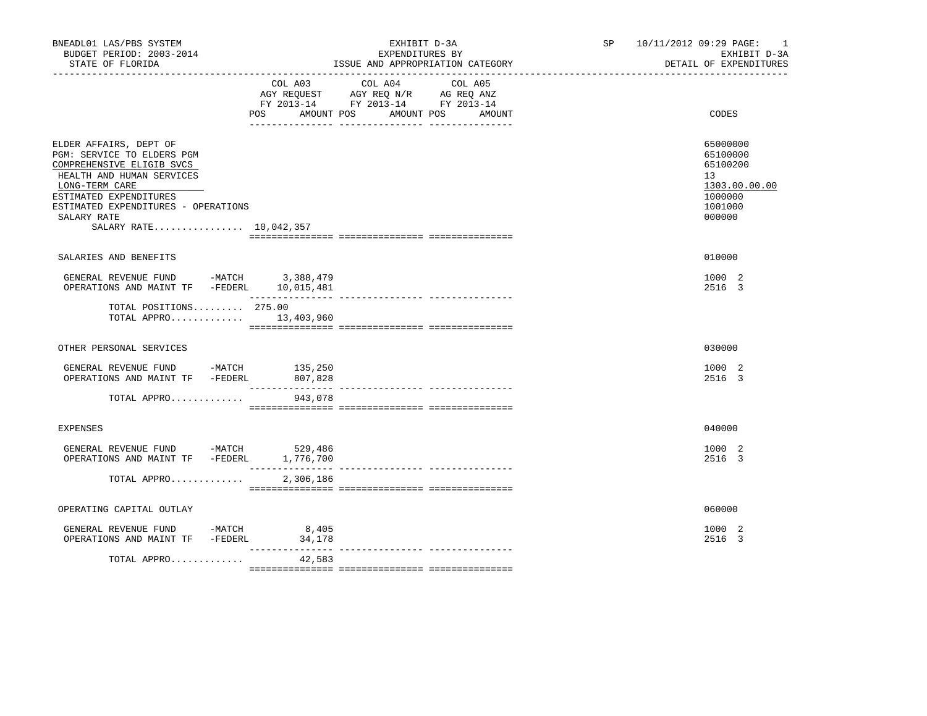| BNEADL01 LAS/PBS SYSTEM<br>BUDGET PERIOD: 2003-2014<br>STATE OF FLORIDA<br>------------------                                                                                                                                              |                                 | EXHIBIT D-3A<br>EXPENDITURES BY<br>ISSUE AND APPROPRIATION CATEGORY                                                                        | SP 10/11/2012 09:29 PAGE: 1<br>EXHIBIT D-3A<br>DETAIL OF EXPENDITURES                   |  |
|--------------------------------------------------------------------------------------------------------------------------------------------------------------------------------------------------------------------------------------------|---------------------------------|--------------------------------------------------------------------------------------------------------------------------------------------|-----------------------------------------------------------------------------------------|--|
|                                                                                                                                                                                                                                            | POS FOR                         | COL A03 COL A04<br>COL A05<br>AGY REQUEST AGY REQ N/R AG REQ ANZ<br>FY 2013-14 FY 2013-14 FY 2013-14<br>AMOUNT POS<br>AMOUNT POS<br>AMOUNT | CODES                                                                                   |  |
| ELDER AFFAIRS, DEPT OF<br>PGM: SERVICE TO ELDERS PGM<br>COMPREHENSIVE ELIGIB SVCS<br>HEALTH AND HUMAN SERVICES<br>LONG-TERM CARE<br>ESTIMATED EXPENDITURES<br>ESTIMATED EXPENDITURES - OPERATIONS<br>SALARY RATE<br>SALARY RATE 10,042,357 |                                 |                                                                                                                                            | 65000000<br>65100000<br>65100200<br>13<br>1303.00.00.00<br>1000000<br>1001000<br>000000 |  |
| SALARIES AND BENEFITS                                                                                                                                                                                                                      |                                 |                                                                                                                                            | 010000                                                                                  |  |
| GENERAL REVENUE FUND -MATCH 3,388,479<br>OPERATIONS AND MAINT TF -FEDERL 10,015,481                                                                                                                                                        |                                 |                                                                                                                                            | 1000 2<br>2516 3                                                                        |  |
| TOTAL POSITIONS 275.00<br>TOTAL APPRO $13,403,960$                                                                                                                                                                                         |                                 |                                                                                                                                            |                                                                                         |  |
| OTHER PERSONAL SERVICES                                                                                                                                                                                                                    |                                 |                                                                                                                                            | 030000                                                                                  |  |
| GENERAL REVENUE FUND -MATCH 135,250<br>OPERATIONS AND MAINT TF -FEDERL 807,828                                                                                                                                                             | _______________                 |                                                                                                                                            | 1000 2<br>2516 3                                                                        |  |
| TOTAL APPRO                                                                                                                                                                                                                                | 943,078                         |                                                                                                                                            |                                                                                         |  |
| <b>EXPENSES</b>                                                                                                                                                                                                                            |                                 |                                                                                                                                            | 040000                                                                                  |  |
| GENERAL REVENUE FUND -MATCH 529,486<br>OPERATIONS AND MAINT TF -FEDERL                                                                                                                                                                     | 1,776,700<br>_______________    |                                                                                                                                            | 1000 2<br>2516 3                                                                        |  |
| TOTAL APPRO                                                                                                                                                                                                                                | 2,306,186                       | --------------- --------------                                                                                                             |                                                                                         |  |
| OPERATING CAPITAL OUTLAY                                                                                                                                                                                                                   |                                 |                                                                                                                                            | 060000                                                                                  |  |
| GENERAL REVENUE FUND -MATCH<br>OPERATIONS AND MAINT TF -FEDERL                                                                                                                                                                             | 8,405<br>34,178<br>------------ |                                                                                                                                            | 1000 2<br>2516 3                                                                        |  |
| TOTAL APPRO                                                                                                                                                                                                                                | 42,583                          |                                                                                                                                            |                                                                                         |  |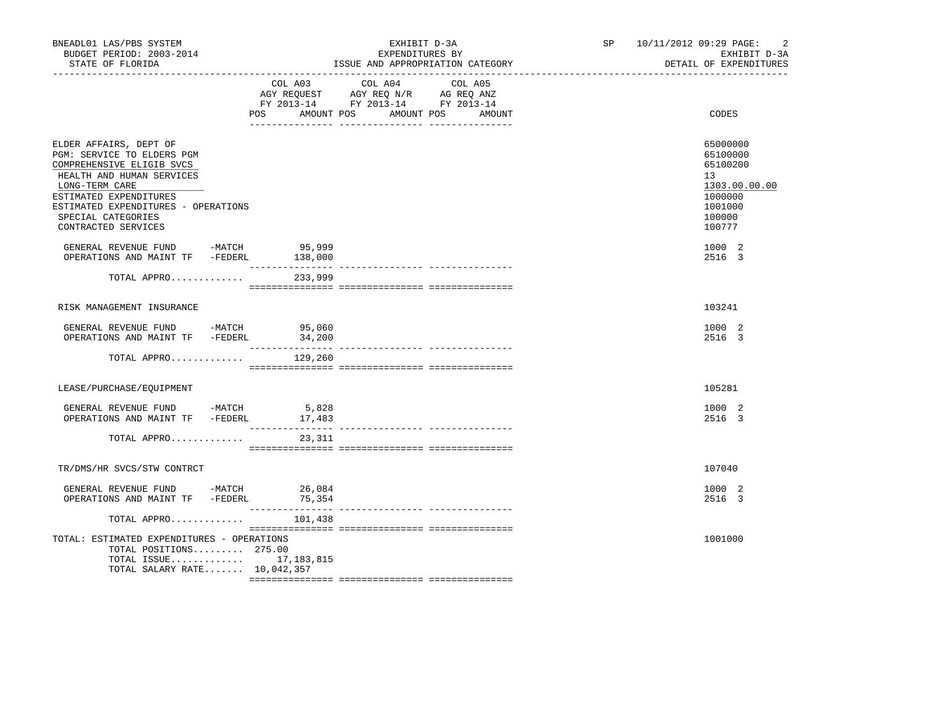| BNEADL01 LAS/PBS SYSTEM<br>BUDGET PERIOD: 2003-2014<br>STATE OF FLORIDA                                                                                                                                                                        | EXHIBIT D-3A<br>EXPENDITURES BY<br>ISSUE AND APPROPRIATION CATEGORY |                            |                                                                                                   | $\overline{2}$<br>SP 10/11/2012 09:29 PAGE:<br>EXHIBIT D-3A<br>DETAIL OF EXPENDITURES |                                                                                                   |  |
|------------------------------------------------------------------------------------------------------------------------------------------------------------------------------------------------------------------------------------------------|---------------------------------------------------------------------|----------------------------|---------------------------------------------------------------------------------------------------|---------------------------------------------------------------------------------------|---------------------------------------------------------------------------------------------------|--|
|                                                                                                                                                                                                                                                |                                                                     | POS<br>AMOUNT POS          | COL A03 COL A04 COL A05<br>AGY REQUEST AGY REQ N/R AG REQ ANZ<br>FY 2013-14 FY 2013-14 FY 2013-14 | AMOUNT POS<br>AMOUNT                                                                  | CODES                                                                                             |  |
| ELDER AFFAIRS, DEPT OF<br>PGM: SERVICE TO ELDERS PGM<br>COMPREHENSIVE ELIGIB SVCS<br>HEALTH AND HUMAN SERVICES<br>LONG-TERM CARE<br>ESTIMATED EXPENDITURES<br>ESTIMATED EXPENDITURES - OPERATIONS<br>SPECIAL CATEGORIES<br>CONTRACTED SERVICES |                                                                     |                            |                                                                                                   |                                                                                       | 65000000<br>65100000<br>65100200<br>13<br>1303.00.00.00<br>1000000<br>1001000<br>100000<br>100777 |  |
| GENERAL REVENUE FUND -MATCH 95,999<br>OPERATIONS AND MAINT TF -FEDERL 138,000                                                                                                                                                                  |                                                                     |                            |                                                                                                   |                                                                                       | 1000 2<br>2516 3                                                                                  |  |
| TOTAL APPRO                                                                                                                                                                                                                                    |                                                                     | 233,999                    |                                                                                                   | ______________ _______________                                                        |                                                                                                   |  |
| RISK MANAGEMENT INSURANCE                                                                                                                                                                                                                      |                                                                     |                            |                                                                                                   |                                                                                       | 103241                                                                                            |  |
| GENERAL REVENUE FUND -MATCH 95,060<br>OPERATIONS AND MAINT TF -FEDERL                                                                                                                                                                          |                                                                     | 34,200                     |                                                                                                   |                                                                                       | 1000 2<br>2516 3                                                                                  |  |
| TOTAL APPRO                                                                                                                                                                                                                                    |                                                                     | 129,260                    |                                                                                                   |                                                                                       |                                                                                                   |  |
| LEASE/PURCHASE/EQUIPMENT                                                                                                                                                                                                                       |                                                                     |                            |                                                                                                   |                                                                                       | 105281                                                                                            |  |
| GENERAL REVENUE FUND -MATCH 5,828<br>OPERATIONS AND MAINT TF -FEDERL                                                                                                                                                                           |                                                                     | 17,483<br>________________ |                                                                                                   |                                                                                       | 1000 2<br>2516 3                                                                                  |  |
| TOTAL APPRO                                                                                                                                                                                                                                    |                                                                     | 23,311                     |                                                                                                   |                                                                                       |                                                                                                   |  |
| TR/DMS/HR SVCS/STW CONTRCT                                                                                                                                                                                                                     |                                                                     |                            |                                                                                                   |                                                                                       | 107040                                                                                            |  |
| GENERAL REVENUE FUND -MATCH 26,084<br>OPERATIONS AND MAINT TF -FEDERL                                                                                                                                                                          |                                                                     | 75,354                     |                                                                                                   |                                                                                       | 1000 2<br>2516 3                                                                                  |  |
| TOTAL APPRO                                                                                                                                                                                                                                    |                                                                     | 101,438                    |                                                                                                   |                                                                                       |                                                                                                   |  |
| TOTAL: ESTIMATED EXPENDITURES - OPERATIONS<br>TOTAL POSITIONS 275.00<br>TOTAL ISSUE 17,183,815<br>TOTAL SALARY RATE 10,042,357                                                                                                                 |                                                                     |                            |                                                                                                   |                                                                                       | 1001000                                                                                           |  |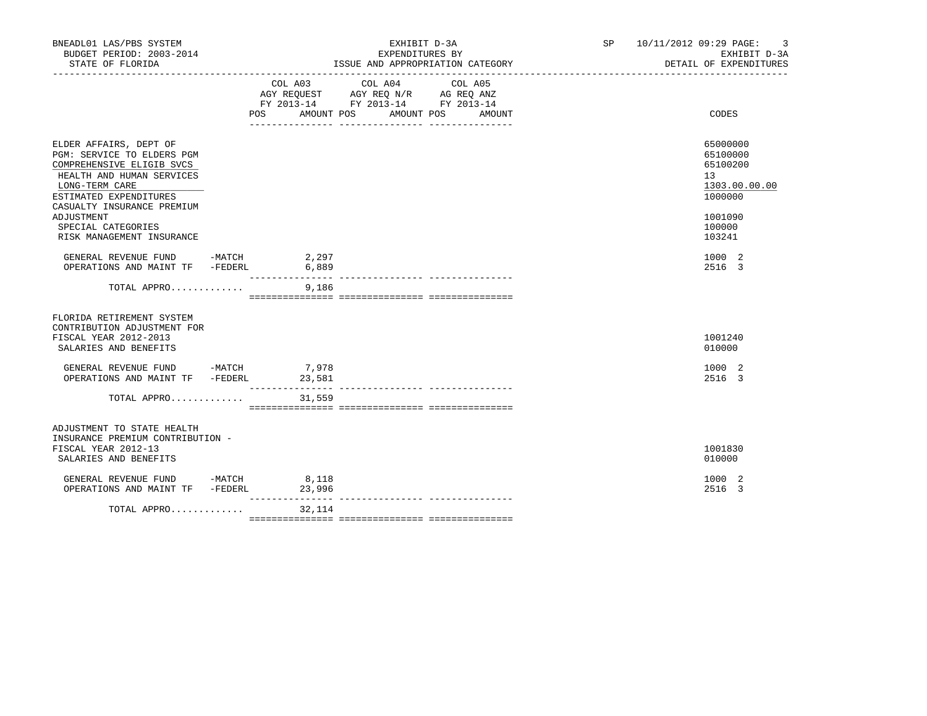| BNEADL01 LAS/PBS SYSTEM<br>BUDGET PERIOD: 2003-2014<br>STATE OF FLORIDA                                                                                                                                | EXHIBIT D-3A<br>EXPENDITURES BY<br>ISSUE AND APPROPRIATION CATEGORY |        |                                                                                                                                                                                                                                                                                                                                                    |        | SP 10/11/2012 09:29 PAGE: 3<br>EXHIBIT D-3A<br>DETAIL OF EXPENDITURES         |
|--------------------------------------------------------------------------------------------------------------------------------------------------------------------------------------------------------|---------------------------------------------------------------------|--------|----------------------------------------------------------------------------------------------------------------------------------------------------------------------------------------------------------------------------------------------------------------------------------------------------------------------------------------------------|--------|-------------------------------------------------------------------------------|
|                                                                                                                                                                                                        |                                                                     |        | $\begin{tabular}{lllllllllll} &\multicolumn{4}{c}{\text{COL A03}} &\multicolumn{4}{c}{\text{COL A04}} &\multicolumn{4}{c}{\text{COL A05}} \\ \multicolumn{4}{c}{\text{AGY REQUEST}} &\multicolumn{4}{c}{\text{AGY REQ N/R}} &\multicolumn{4}{c}{\text{AG REQ ANZ}} \end{tabular}$<br>FY 2013-14 FY 2013-14 FY 2013-14<br>POS AMOUNT POS AMOUNT POS | AMOUNT | CODES                                                                         |
| ELDER AFFAIRS, DEPT OF<br>PGM: SERVICE TO ELDERS PGM<br>COMPREHENSIVE ELIGIB SVCS<br>HEALTH AND HUMAN SERVICES<br>LONG-TERM CARE<br>ESTIMATED EXPENDITURES<br>CASUALTY INSURANCE PREMIUM<br>ADJUSTMENT |                                                                     |        |                                                                                                                                                                                                                                                                                                                                                    |        | 65000000<br>65100000<br>65100200<br>13<br>1303.00.00.00<br>1000000<br>1001090 |
| SPECIAL CATEGORIES<br>RISK MANAGEMENT INSURANCE                                                                                                                                                        |                                                                     |        |                                                                                                                                                                                                                                                                                                                                                    |        | 100000<br>103241                                                              |
| GENERAL REVENUE FUND -MATCH 2,297<br>OPERATIONS AND MAINT TF -FEDERL 6,889                                                                                                                             |                                                                     |        |                                                                                                                                                                                                                                                                                                                                                    |        | 1000 2<br>2516 3                                                              |
| TOTAL APPRO                                                                                                                                                                                            |                                                                     | 9,186  |                                                                                                                                                                                                                                                                                                                                                    |        |                                                                               |
| FLORIDA RETIREMENT SYSTEM<br>CONTRIBUTION ADJUSTMENT FOR<br>FISCAL YEAR 2012-2013<br>SALARIES AND BENEFITS                                                                                             |                                                                     |        |                                                                                                                                                                                                                                                                                                                                                    |        | 1001240<br>010000                                                             |
| GENERAL REVENUE FUND -MATCH 7,978<br>OPERATIONS AND MAINT TF -FEDERL                                                                                                                                   |                                                                     | 23,581 |                                                                                                                                                                                                                                                                                                                                                    |        | 1000 2<br>2516 3                                                              |
| TOTAL APPRO                                                                                                                                                                                            |                                                                     | 31,559 |                                                                                                                                                                                                                                                                                                                                                    |        |                                                                               |
| ADJUSTMENT TO STATE HEALTH<br>INSURANCE PREMIUM CONTRIBUTION -<br>FISCAL YEAR 2012-13<br>SALARIES AND BENEFITS                                                                                         |                                                                     |        |                                                                                                                                                                                                                                                                                                                                                    |        | 1001830<br>010000                                                             |
| GENERAL REVENUE FUND -MATCH 8,118<br>OPERATIONS AND MAINT TF -FEDERL                                                                                                                                   |                                                                     | 23,996 |                                                                                                                                                                                                                                                                                                                                                    |        | 1000 2<br>2516 3                                                              |
| TOTAL APPRO $32,114$                                                                                                                                                                                   |                                                                     |        |                                                                                                                                                                                                                                                                                                                                                    |        |                                                                               |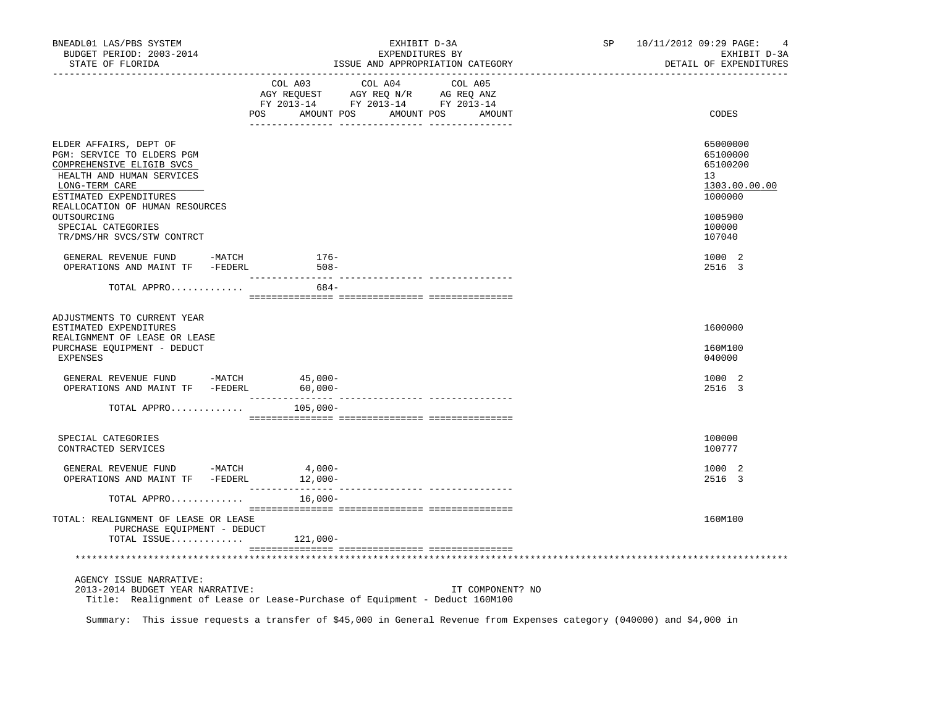| BNEADL01 LAS/PBS SYSTEM<br>BUDGET PERIOD: 2003-2014<br>STATE OF FLORIDA                                | EXHIBIT D-3A<br>EXPENDITURES BY<br>ISSUE AND APPROPRIATION CATEGORY<br>----------------------------                                                                                                                                                                               | 10/11/2012 09:29 PAGE:<br>SP and the set of the set of the set of the set of the set of the set of the set of the set of the set of the set of the set of the set of the set of the set of the set of the set of the set of the set of the set of the se<br>4<br>EXHIBIT D-3A<br>DETAIL OF EXPENDITURES |
|--------------------------------------------------------------------------------------------------------|-----------------------------------------------------------------------------------------------------------------------------------------------------------------------------------------------------------------------------------------------------------------------------------|---------------------------------------------------------------------------------------------------------------------------------------------------------------------------------------------------------------------------------------------------------------------------------------------------------|
|                                                                                                        | COL A03 COL A04 COL A05<br>$\begin{tabular}{lllllllll} \bf AGY \,\, REQUEST \,\, &\bf AGY \,\, REQ \,\, N/R \,\, &\bf AG \,\, REQ \,\, ANZ \\ \bf FY \,\, 2013-14 \,\, &\bf FY \,\, 2013-14 \,\, &\bf FY \,\, 2013-14 \end{tabular}$<br>POS<br>AMOUNT POS<br>AMOUNT POS<br>AMOUNT | CODES                                                                                                                                                                                                                                                                                                   |
| ELDER AFFAIRS, DEPT OF                                                                                 |                                                                                                                                                                                                                                                                                   | 65000000                                                                                                                                                                                                                                                                                                |
| PGM: SERVICE TO ELDERS PGM<br>COMPREHENSIVE ELIGIB SVCS<br>HEALTH AND HUMAN SERVICES<br>LONG-TERM CARE |                                                                                                                                                                                                                                                                                   | 65100000<br>65100200<br>13<br>1303.00.00.00                                                                                                                                                                                                                                                             |
| ESTIMATED EXPENDITURES<br>REALLOCATION OF HUMAN RESOURCES                                              |                                                                                                                                                                                                                                                                                   | 1000000                                                                                                                                                                                                                                                                                                 |
| OUTSOURCING<br>SPECIAL CATEGORIES<br>TR/DMS/HR SVCS/STW CONTRCT                                        |                                                                                                                                                                                                                                                                                   | 1005900<br>100000<br>107040                                                                                                                                                                                                                                                                             |
| GENERAL REVENUE FUND -MATCH<br>OPERATIONS AND MAINT TF -FEDERL                                         | 176-<br>$508 -$                                                                                                                                                                                                                                                                   | 1000 2<br>2516 3                                                                                                                                                                                                                                                                                        |
| TOTAL APPRO                                                                                            | 684-                                                                                                                                                                                                                                                                              |                                                                                                                                                                                                                                                                                                         |
| ADJUSTMENTS TO CURRENT YEAR<br>ESTIMATED EXPENDITURES<br>REALIGNMENT OF LEASE OR LEASE                 |                                                                                                                                                                                                                                                                                   | 1600000                                                                                                                                                                                                                                                                                                 |
| PURCHASE EQUIPMENT - DEDUCT<br><b>EXPENSES</b>                                                         |                                                                                                                                                                                                                                                                                   | 160M100<br>040000                                                                                                                                                                                                                                                                                       |
| GENERAL REVENUE FUND -MATCH<br>OPERATIONS AND MAINT TF -FEDERL                                         | $45,000-$<br>$60,000 -$                                                                                                                                                                                                                                                           | 1000 2<br>2516 3                                                                                                                                                                                                                                                                                        |
| TOTAL APPRO                                                                                            | $105,000-$                                                                                                                                                                                                                                                                        |                                                                                                                                                                                                                                                                                                         |
| SPECIAL CATEGORIES<br>CONTRACTED SERVICES                                                              |                                                                                                                                                                                                                                                                                   | 100000<br>100777                                                                                                                                                                                                                                                                                        |
| GENERAL REVENUE FUND -MATCH<br>OPERATIONS AND MAINT TF -FEDERL 12,000-                                 | $4,000-$                                                                                                                                                                                                                                                                          | 1000 2<br>2516 3                                                                                                                                                                                                                                                                                        |
| TOTAL APPRO                                                                                            | $16,000-$                                                                                                                                                                                                                                                                         |                                                                                                                                                                                                                                                                                                         |
| TOTAL: REALIGNMENT OF LEASE OR LEASE<br>PURCHASE EOUIPMENT - DEDUCT<br>TOTAL ISSUE $121,000-$          |                                                                                                                                                                                                                                                                                   | 160M100                                                                                                                                                                                                                                                                                                 |
|                                                                                                        |                                                                                                                                                                                                                                                                                   |                                                                                                                                                                                                                                                                                                         |
| AGENCY ISSUE NARRATIVE:<br>2013-2014 BUDGET YEAR NARRATIVE:                                            | IT COMPONENT? NO<br>Title: Realignment of Lease or Lease-Purchase of Equipment - Deduct 160M100                                                                                                                                                                                   |                                                                                                                                                                                                                                                                                                         |

Summary: This issue requests a transfer of \$45,000 in General Revenue from Expenses category (040000) and \$4,000 in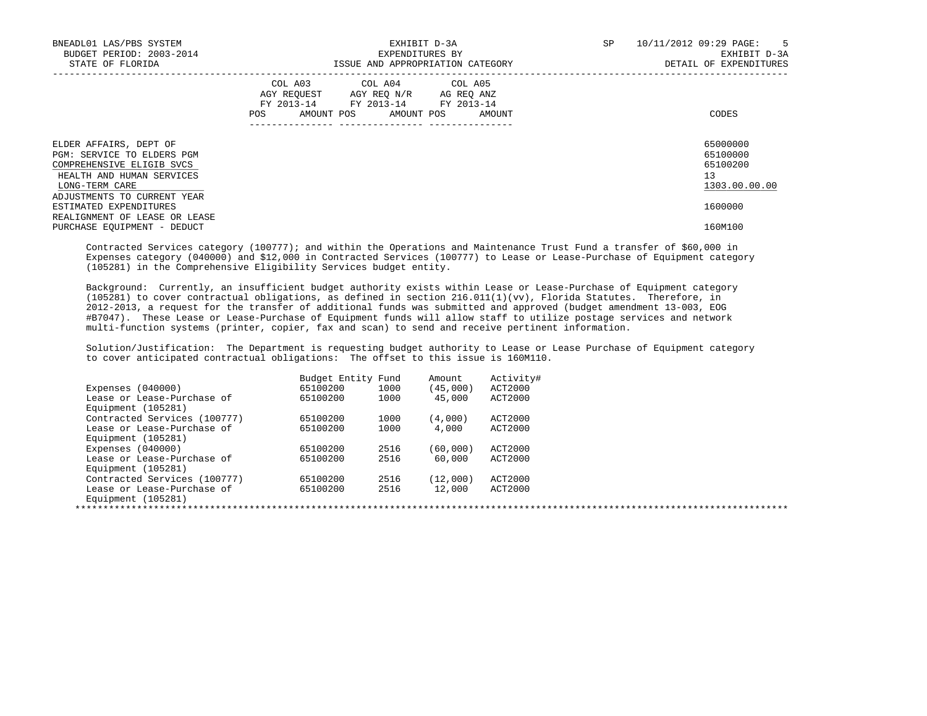| BNEADL01 LAS/PBS SYSTEM<br>BUDGET PERIOD: 2003-2014<br>STATE OF FLORIDA                                                          | EXHIBIT D-3A<br>EXPENDITURES BY<br>ISSUE AND APPROPRIATION CATEGORY                                                                      | SP<br>10/11/2012 09:29 PAGE: 5<br>EXHIBIT D-3A<br>DETAIL OF EXPENDITURES |
|----------------------------------------------------------------------------------------------------------------------------------|------------------------------------------------------------------------------------------------------------------------------------------|--------------------------------------------------------------------------|
|                                                                                                                                  | COL A03 COL A04 COL A05<br>AGY REOUEST AGY REO N/R AG REO ANZ<br>FY 2013-14 FY 2013-14 FY 2013-14<br>AMOUNT POS AMOUNT POS AMOUNT<br>POS | CODES                                                                    |
| ELDER AFFAIRS, DEPT OF<br>PGM: SERVICE TO ELDERS PGM<br>COMPREHENSIVE ELIGIB SVCS<br>HEALTH AND HUMAN SERVICES<br>LONG-TERM CARE |                                                                                                                                          | 65000000<br>65100000<br>65100200<br>13<br>1303.00.00.00                  |
| ADJUSTMENTS TO CURRENT YEAR<br>ESTIMATED EXPENDITURES<br>REALIGNMENT OF LEASE OR LEASE<br>PURCHASE EQUIPMENT - DEDUCT            |                                                                                                                                          | 1600000<br>160M100                                                       |

 Contracted Services category (100777); and within the Operations and Maintenance Trust Fund a transfer of \$60,000 in Expenses category (040000) and \$12,000 in Contracted Services (100777) to Lease or Lease-Purchase of Equipment category (105281) in the Comprehensive Eligibility Services budget entity.

 Background: Currently, an insufficient budget authority exists within Lease or Lease-Purchase of Equipment category (105281) to cover contractual obligations, as defined in section 216.011(1)(vv), Florida Statutes. Therefore, in 2012-2013, a request for the transfer of additional funds was submitted and approved (budget amendment 13-003, EOG #B7047). These Lease or Lease-Purchase of Equipment funds will allow staff to utilize postage services and network multi-function systems (printer, copier, fax and scan) to send and receive pertinent information.

 Solution/Justification: The Department is requesting budget authority to Lease or Lease Purchase of Equipment category to cover anticipated contractual obligations: The offset to this issue is 160M110.

|                              | Budget Entity Fund |      | Amount    | Activity# |
|------------------------------|--------------------|------|-----------|-----------|
| Expenses $(040000)$          | 65100200           | 1000 | (45,000)  | ACT2000   |
| Lease or Lease-Purchase of   | 65100200           | 1000 | 45,000    | ACT2000   |
| Equipment (105281)           |                    |      |           |           |
| Contracted Services (100777) | 65100200           | 1000 | (4,000)   | ACT2000   |
| Lease or Lease-Purchase of   | 65100200           | 1000 | 4,000     | ACT2000   |
| Equipment (105281)           |                    |      |           |           |
| Expenses $(040000)$          | 65100200           | 2516 | (60, 000) | ACT2000   |
| Lease or Lease-Purchase of   | 65100200           | 2516 | 60,000    | ACT2000   |
| Equipment (105281)           |                    |      |           |           |
| Contracted Services (100777) | 65100200           | 2516 | (12,000)  | ACT2000   |
| Lease or Lease-Purchase of   | 65100200           | 2516 | 12,000    | ACT2000   |
| Equipment (105281)           |                    |      |           |           |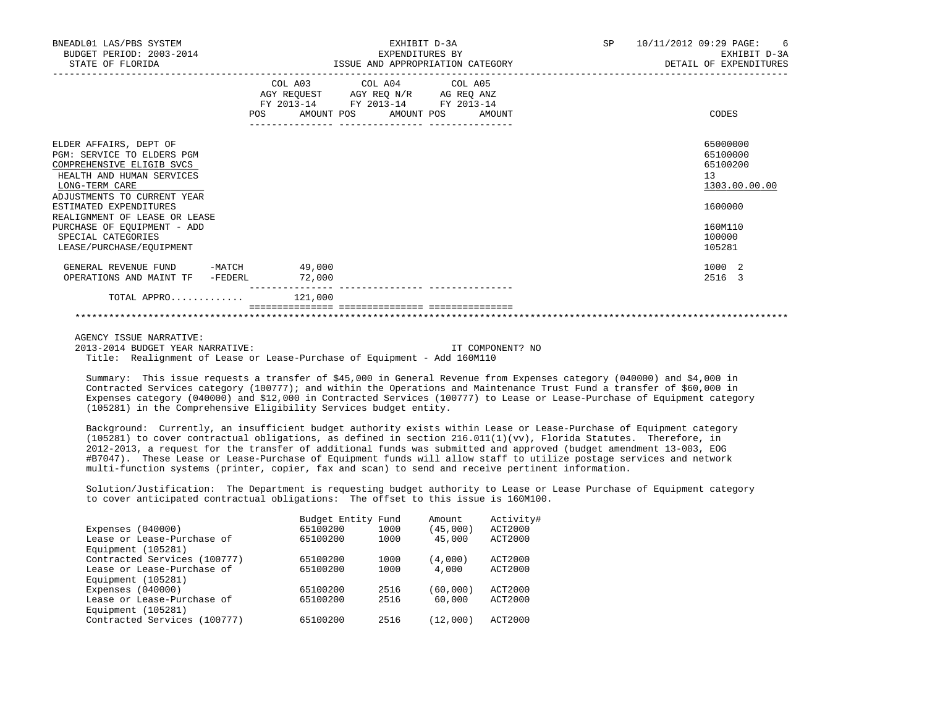| BNEADL01 LAS/PBS SYSTEM<br>BUDGET PERIOD: 2003-2014<br>STATE OF FLORIDA                                                                                                                                                                                                         | EXHIBIT D-3A<br>EXPENDITURES BY<br>ISSUE AND APPROPRIATION CATEGORY<br>-----------                                                                                                                                                                                | SP<br>10/11/2012 09:29 PAGE:<br>- 6<br>EXHIBIT D-3A<br>DETAIL OF EXPENDITURES           |
|---------------------------------------------------------------------------------------------------------------------------------------------------------------------------------------------------------------------------------------------------------------------------------|-------------------------------------------------------------------------------------------------------------------------------------------------------------------------------------------------------------------------------------------------------------------|-----------------------------------------------------------------------------------------|
|                                                                                                                                                                                                                                                                                 | COL A03 COL A04 COL A05<br>$\begin{tabular}{lllllll} AGY & \texttt{REQUEST} & \texttt{AGY} & \texttt{REG} & \texttt{N/R} & \texttt{AG} & \texttt{REG} & \texttt{ANZ} \end{tabular}$<br>FY 2013-14 FY 2013-14 FY 2013-14<br>AMOUNT POS AMOUNT POS<br>AMOUNT<br>POS | CODES                                                                                   |
| ELDER AFFAIRS, DEPT OF<br>PGM: SERVICE TO ELDERS PGM<br>COMPREHENSIVE ELIGIB SVCS<br>HEALTH AND HUMAN SERVICES<br>LONG-TERM CARE<br>ADJUSTMENTS TO CURRENT YEAR<br>ESTIMATED EXPENDITURES<br>REALIGNMENT OF LEASE OR LEASE<br>PURCHASE OF EOUIPMENT - ADD<br>SPECIAL CATEGORIES |                                                                                                                                                                                                                                                                   | 65000000<br>65100000<br>65100200<br>13<br>1303.00.00.00<br>1600000<br>160M110<br>100000 |
| LEASE/PURCHASE/EOUIPMENT<br>GENERAL REVENUE FUND -MATCH 49,000<br>OPERATIONS AND MAINT TF -FEDERL                                                                                                                                                                               | 72,000                                                                                                                                                                                                                                                            | 105281<br>1000 2<br>2516 3                                                              |
| TOTAL APPRO                                                                                                                                                                                                                                                                     | 121,000                                                                                                                                                                                                                                                           |                                                                                         |

AGENCY ISSUE NARRATIVE:

 2013-2014 BUDGET YEAR NARRATIVE: IT COMPONENT? NO Title: Realignment of Lease or Lease-Purchase of Equipment - Add 160M110

 Summary: This issue requests a transfer of \$45,000 in General Revenue from Expenses category (040000) and \$4,000 in Contracted Services category (100777); and within the Operations and Maintenance Trust Fund a transfer of \$60,000 in Expenses category (040000) and \$12,000 in Contracted Services (100777) to Lease or Lease-Purchase of Equipment category (105281) in the Comprehensive Eligibility Services budget entity.

 Background: Currently, an insufficient budget authority exists within Lease or Lease-Purchase of Equipment category (105281) to cover contractual obligations, as defined in section 216.011(1)(vv), Florida Statutes. Therefore, in 2012-2013, a request for the transfer of additional funds was submitted and approved (budget amendment 13-003, EOG #B7047). These Lease or Lease-Purchase of Equipment funds will allow staff to utilize postage services and network multi-function systems (printer, copier, fax and scan) to send and receive pertinent information.

 Solution/Justification: The Department is requesting budget authority to Lease or Lease Purchase of Equipment category to cover anticipated contractual obligations: The offset to this issue is 160M100.

|                              | Budget Entity Fund |      | Amount    | Activity# |
|------------------------------|--------------------|------|-----------|-----------|
| Expenses $(040000)$          | 65100200           | 1000 | (45,000)  | ACT2000   |
| Lease or Lease-Purchase of   | 65100200           | 1000 | 45,000    | ACT2000   |
| Equipment (105281)           |                    |      |           |           |
| Contracted Services (100777) | 65100200           | 1000 | (4,000)   | ACT2000   |
| Lease or Lease-Purchase of   | 65100200           | 1000 | 4,000     | ACT2000   |
| Equipment (105281)           |                    |      |           |           |
| Expenses $(040000)$          | 65100200           | 2516 | (60, 000) | ACT2000   |
| Lease or Lease-Purchase of   | 65100200           | 2516 | 60,000    | ACT2000   |
| Equipment (105281)           |                    |      |           |           |
| Contracted Services (100777) | 65100200           | 2516 | (12,000)  | ACT2000   |
|                              |                    |      |           |           |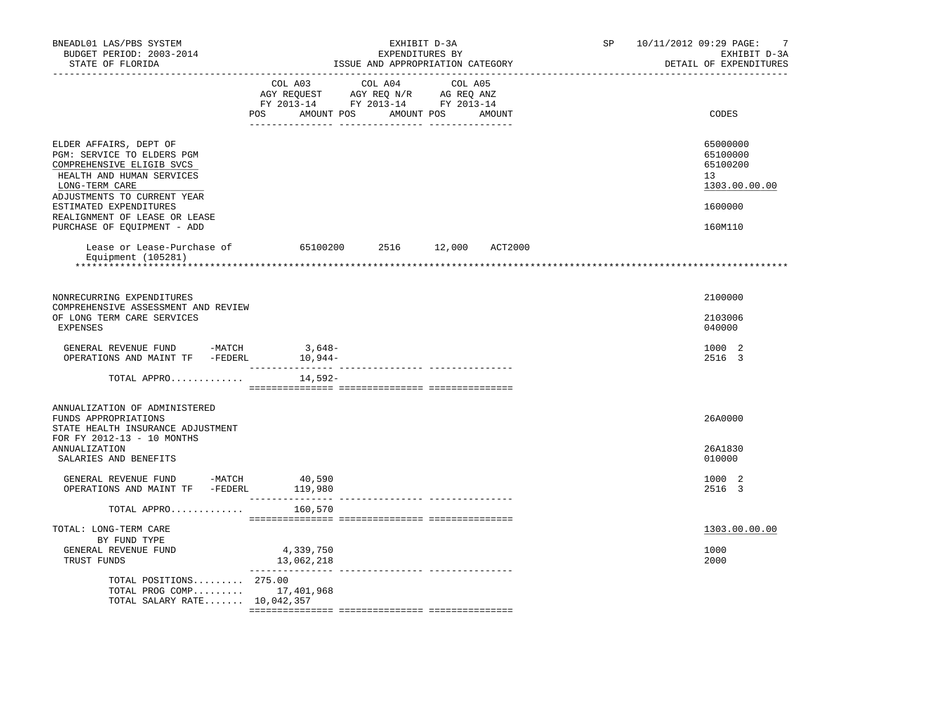| BNEADL01 LAS/PBS SYSTEM<br>BUDGET PERIOD: 2003-2014<br>STATE OF FLORIDA                                                                                                                                                                                   |                                                                                                                                                                                                | EXHIBIT D-3A<br>EXPENDITURES BY | ISSUE AND APPROPRIATION CATEGORY | SP 10/11/2012 09:29 PAGE: | 7<br>EXHIBIT D-3A<br>DETAIL OF EXPENDITURES                                   |
|-----------------------------------------------------------------------------------------------------------------------------------------------------------------------------------------------------------------------------------------------------------|------------------------------------------------------------------------------------------------------------------------------------------------------------------------------------------------|---------------------------------|----------------------------------|---------------------------|-------------------------------------------------------------------------------|
|                                                                                                                                                                                                                                                           | $\begin{tabular}{lcccc} CDL A03 & CDL A04 & CDL A05 \\ AGY REQUEST & AGY REQ N/R & AG REQ ANZ \\ FY & 2013-14 & FY & 2013-14 & FY & 2013-14 \end{tabular}$<br>POS AMOUNT POS AMOUNT POS AMOUNT |                                 |                                  |                           | CODES                                                                         |
| ELDER AFFAIRS, DEPT OF<br>PGM: SERVICE TO ELDERS PGM<br>COMPREHENSIVE ELIGIB SVCS<br>HEALTH AND HUMAN SERVICES<br>LONG-TERM CARE<br>ADJUSTMENTS TO CURRENT YEAR<br>ESTIMATED EXPENDITURES<br>REALIGNMENT OF LEASE OR LEASE<br>PURCHASE OF EOUIPMENT - ADD |                                                                                                                                                                                                |                                 |                                  |                           | 65000000<br>65100000<br>65100200<br>13<br>1303.00.00.00<br>1600000<br>160M110 |
| Lease or Lease-Purchase of 65100200 2516 12,000 ACT2000<br>Equipment (105281)<br>******************                                                                                                                                                       |                                                                                                                                                                                                |                                 |                                  |                           |                                                                               |
| NONRECURRING EXPENDITURES<br>COMPREHENSIVE ASSESSMENT AND REVIEW<br>OF LONG TERM CARE SERVICES<br>EXPENSES                                                                                                                                                |                                                                                                                                                                                                |                                 |                                  |                           | 2100000<br>2103006<br>040000                                                  |
| $\begin{tabular}{llllllll} \multicolumn{2}{llll} \texttt{GENERAL REVIEW FUND} & \multicolumn{2}{l}{-MATCH} & \multicolumn{2}{l}{3,648--} \\ \texttt{OPERATIONS AND MAINT TF} & \multicolumn{2}{l}{-FEDERL} & \multicolumn{2}{l}{10,944--} \end{tabular}$  |                                                                                                                                                                                                |                                 |                                  |                           | 1000 2<br>2516 3                                                              |
| TOTAL APPRO                                                                                                                                                                                                                                               | 14,592-                                                                                                                                                                                        |                                 |                                  |                           |                                                                               |
| ANNUALIZATION OF ADMINISTERED<br>FUNDS APPROPRIATIONS<br>STATE HEALTH INSURANCE ADJUSTMENT<br>FOR FY 2012-13 - 10 MONTHS<br>ANNUALIZATION                                                                                                                 |                                                                                                                                                                                                |                                 |                                  |                           | 26A0000<br>26A1830                                                            |
| SALARIES AND BENEFITS<br>GENERAL REVENUE FUND -MATCH<br>OPERATIONS AND MAINT TF -FEDERL 119,980                                                                                                                                                           | 40,590                                                                                                                                                                                         |                                 |                                  |                           | 010000<br>1000 2<br>2516 3                                                    |
| TOTAL APPRO                                                                                                                                                                                                                                               | 160,570                                                                                                                                                                                        |                                 |                                  |                           |                                                                               |
| TOTAL: LONG-TERM CARE<br>BY FUND TYPE                                                                                                                                                                                                                     |                                                                                                                                                                                                |                                 |                                  |                           | 1303.00.00.00                                                                 |
| GENERAL REVENUE FUND<br>TRUST FUNDS                                                                                                                                                                                                                       | 4,339,750<br>13,062,218<br>---------------                                                                                                                                                     |                                 |                                  |                           | 1000<br>2000                                                                  |
| TOTAL POSITIONS 275.00<br>TOTAL PROG COMP 17,401,968<br>TOTAL SALARY RATE 10,042,357                                                                                                                                                                      |                                                                                                                                                                                                |                                 |                                  |                           |                                                                               |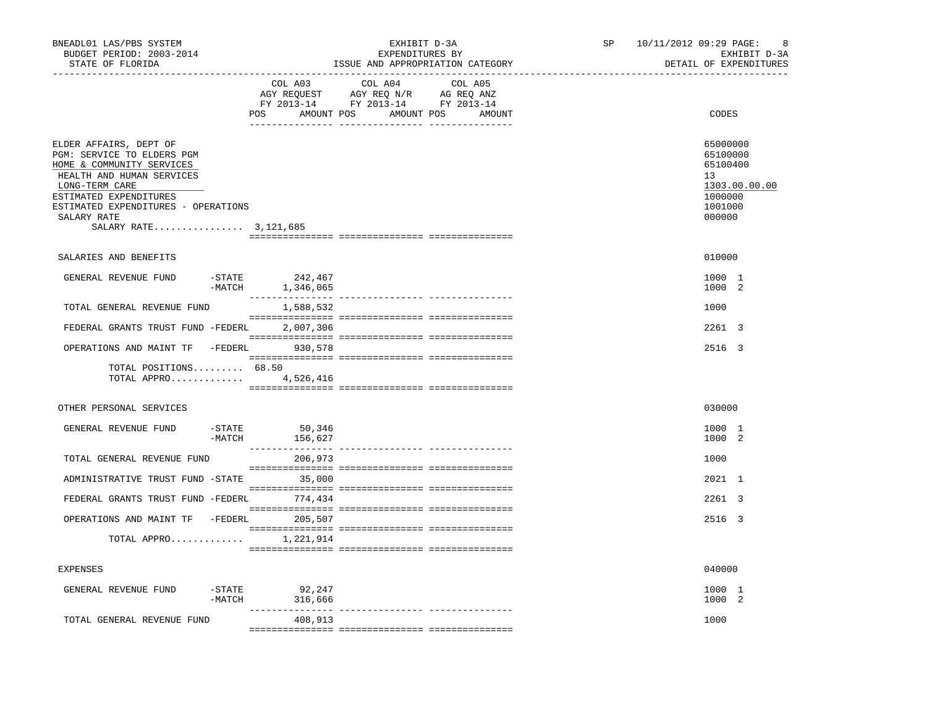| BNEADL01 LAS/PBS SYSTEM<br>BUDGET PERIOD: 2003-2014<br>STATE OF FLORIDA                                                                                                                                                                     |                      |                             | EXHIBIT D-3A<br>EXPENDITURES BY                                                                                | ISSUE AND APPROPRIATION CATEGORY | SP | 10/11/2012 09:29 PAGE:<br>8<br>EXHIBIT D-3A<br>DETAIL OF EXPENDITURES                   |
|---------------------------------------------------------------------------------------------------------------------------------------------------------------------------------------------------------------------------------------------|----------------------|-----------------------------|----------------------------------------------------------------------------------------------------------------|----------------------------------|----|-----------------------------------------------------------------------------------------|
|                                                                                                                                                                                                                                             |                      | COL A03                     | COL A04<br>AGY REQUEST AGY REQ N/R AG REQ ANZ<br>FY 2013-14 FY 2013-14 FY 2013-14<br>POS AMOUNT POS AMOUNT POS | COL A05<br>AMOUNT                |    | CODES                                                                                   |
| ELDER AFFAIRS, DEPT OF<br>PGM: SERVICE TO ELDERS PGM<br>HOME & COMMUNITY SERVICES<br>HEALTH AND HUMAN SERVICES<br>LONG-TERM CARE<br>ESTIMATED EXPENDITURES<br>ESTIMATED EXPENDITURES - OPERATIONS<br>SALARY RATE<br>SALARY RATE 3, 121, 685 |                      |                             |                                                                                                                |                                  |    | 65000000<br>65100000<br>65100400<br>13<br>1303.00.00.00<br>1000000<br>1001000<br>000000 |
|                                                                                                                                                                                                                                             |                      |                             |                                                                                                                |                                  |    |                                                                                         |
| SALARIES AND BENEFITS                                                                                                                                                                                                                       |                      |                             |                                                                                                                |                                  |    | 010000                                                                                  |
| GENERAL REVENUE FUND                                                                                                                                                                                                                        | $-STATE$<br>$-MATCH$ | 242,467<br>1,346,065        |                                                                                                                |                                  |    | 1000 1<br>1000 2                                                                        |
| TOTAL GENERAL REVENUE FUND                                                                                                                                                                                                                  |                      | 1,588,532                   |                                                                                                                |                                  |    | 1000                                                                                    |
| FEDERAL GRANTS TRUST FUND -FEDERL 2,007,306                                                                                                                                                                                                 |                      |                             |                                                                                                                |                                  |    | $2261 \quad 3$                                                                          |
| OPERATIONS AND MAINT TF -FEDERL 930,578                                                                                                                                                                                                     |                      |                             |                                                                                                                |                                  |    | 2516 3                                                                                  |
| TOTAL POSITIONS 68.50<br>TOTAL APPRO 4,526,416                                                                                                                                                                                              |                      |                             |                                                                                                                |                                  |    |                                                                                         |
| OTHER PERSONAL SERVICES                                                                                                                                                                                                                     |                      |                             |                                                                                                                |                                  |    | 030000                                                                                  |
| GENERAL REVENUE FUND                                                                                                                                                                                                                        | $-MATCH$             | $-$ STATE 50,346<br>156,627 |                                                                                                                |                                  |    | 1000 1<br>1000 2                                                                        |
| TOTAL GENERAL REVENUE FUND                                                                                                                                                                                                                  |                      | 206,973                     |                                                                                                                |                                  |    | 1000                                                                                    |
| ADMINISTRATIVE TRUST FUND -STATE 35,000                                                                                                                                                                                                     |                      |                             |                                                                                                                |                                  |    | 2021 1                                                                                  |
| FEDERAL GRANTS TRUST FUND -FEDERL 774,434                                                                                                                                                                                                   |                      |                             |                                                                                                                |                                  |    | 2261 3                                                                                  |
| OPERATIONS AND MAINT TF -FEDERL 205,507                                                                                                                                                                                                     |                      |                             |                                                                                                                |                                  |    | 2516 3                                                                                  |
| TOTAL APPRO $1,221,914$                                                                                                                                                                                                                     |                      |                             |                                                                                                                |                                  |    |                                                                                         |
|                                                                                                                                                                                                                                             |                      |                             |                                                                                                                |                                  |    |                                                                                         |
| <b>EXPENSES</b>                                                                                                                                                                                                                             |                      |                             |                                                                                                                |                                  |    | 040000                                                                                  |
| GENERAL REVENUE FUND                                                                                                                                                                                                                        | -MATCH               | -STATE 92,247<br>316,666    |                                                                                                                |                                  |    | 1000 1<br>1000 2                                                                        |
| TOTAL GENERAL REVENUE FUND                                                                                                                                                                                                                  |                      | 408,913                     |                                                                                                                |                                  |    | 1000                                                                                    |
|                                                                                                                                                                                                                                             |                      |                             |                                                                                                                |                                  |    |                                                                                         |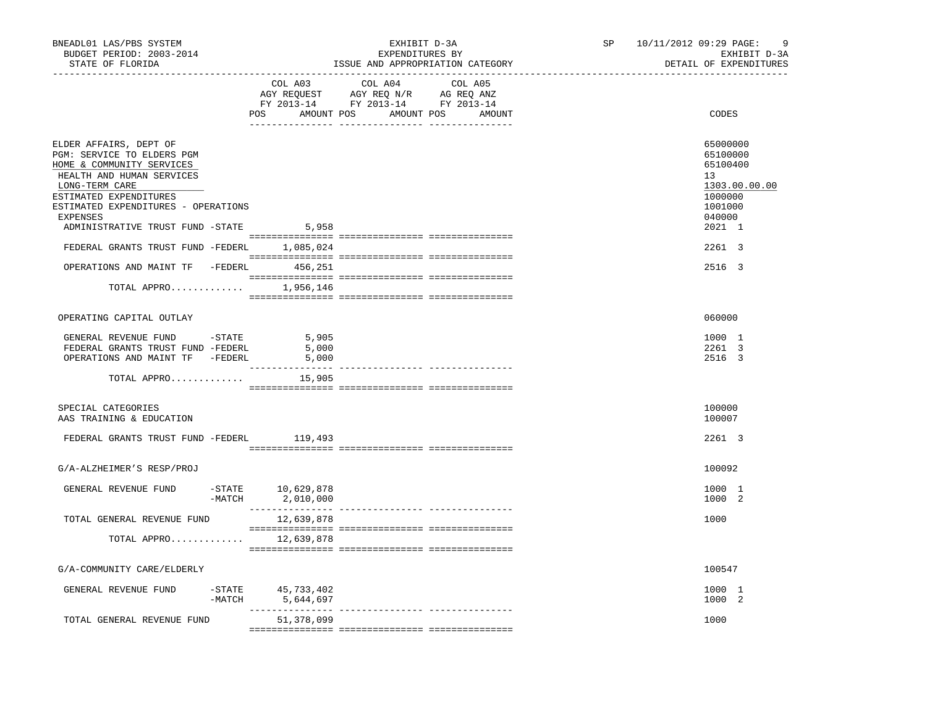| BNEADL01 LAS/PBS SYSTEM<br>BUDGET PERIOD: 2003-2014<br>STATE OF FLORIDA                                                                                                                                                                                  |          | EXHIBIT D-3A<br>EXPENDITURES BY<br>ISSUE AND APPROPRIATION CATEGORY<br>--------------------------------- |                                                                                                                       |                                 |  | -9<br>SP <sub>2</sub><br>10/11/2012 09:29 PAGE:<br>EXHIBIT D-3A<br>DETAIL OF EXPENDITURES         |
|----------------------------------------------------------------------------------------------------------------------------------------------------------------------------------------------------------------------------------------------------------|----------|----------------------------------------------------------------------------------------------------------|-----------------------------------------------------------------------------------------------------------------------|---------------------------------|--|---------------------------------------------------------------------------------------------------|
|                                                                                                                                                                                                                                                          |          | COL A03                                                                                                  | COL A04<br>AGY REQUEST AGY REQ N/R AG REQ ANZ<br>FY 2013-14 FY 2013-14 FY 2013-14<br>POS AMOUNT POS AMOUNT POS AMOUNT | COL A05                         |  | CODES                                                                                             |
| ELDER AFFAIRS, DEPT OF<br>PGM: SERVICE TO ELDERS PGM<br>HOME & COMMUNITY SERVICES<br>HEALTH AND HUMAN SERVICES<br>LONG-TERM CARE<br>ESTIMATED EXPENDITURES<br>ESTIMATED EXPENDITURES - OPERATIONS<br><b>EXPENSES</b><br>ADMINISTRATIVE TRUST FUND -STATE |          | 5,958                                                                                                    |                                                                                                                       |                                 |  | 65000000<br>65100000<br>65100400<br>13<br>1303.00.00.00<br>1000000<br>1001000<br>040000<br>2021 1 |
| FEDERAL GRANTS TRUST FUND -FEDERL 1,085,024                                                                                                                                                                                                              |          |                                                                                                          |                                                                                                                       |                                 |  | 2261 3                                                                                            |
| OPERATIONS AND MAINT TF -FEDERL 456,251<br>TOTAL APPRO $1,956,146$                                                                                                                                                                                       |          |                                                                                                          |                                                                                                                       |                                 |  | 2516 3                                                                                            |
| OPERATING CAPITAL OUTLAY                                                                                                                                                                                                                                 |          |                                                                                                          |                                                                                                                       |                                 |  | 060000                                                                                            |
| GENERAL REVENUE FUND -STATE<br>FEDERAL GRANTS TRUST FUND -FEDERL<br>OPERATIONS AND MAINT TF -FEDERL                                                                                                                                                      |          | 5,905<br>5,000<br>5,000<br>__________                                                                    |                                                                                                                       | -------------- ---------------- |  | 1000 1<br>2261 3<br>2516 3                                                                        |
| TOTAL APPRO                                                                                                                                                                                                                                              |          | 15,905                                                                                                   |                                                                                                                       |                                 |  |                                                                                                   |
| SPECIAL CATEGORIES<br>AAS TRAINING & EDUCATION                                                                                                                                                                                                           |          |                                                                                                          |                                                                                                                       |                                 |  | 100000<br>100007                                                                                  |
| FEDERAL GRANTS TRUST FUND -FEDERL 119,493                                                                                                                                                                                                                |          |                                                                                                          |                                                                                                                       |                                 |  | $2261 \quad 3$                                                                                    |
| G/A-ALZHEIMER'S RESP/PROJ                                                                                                                                                                                                                                |          |                                                                                                          |                                                                                                                       |                                 |  | 100092                                                                                            |
| GENERAL REVENUE FUND                                                                                                                                                                                                                                     |          | -STATE 10,629,878<br>-MATCH 2,010,000                                                                    |                                                                                                                       |                                 |  | 1000 1<br>1000 2                                                                                  |
| TOTAL GENERAL REVENUE FUND                                                                                                                                                                                                                               |          | 12,639,878                                                                                               |                                                                                                                       |                                 |  | 1000                                                                                              |
| TOTAL APPRO                                                                                                                                                                                                                                              |          | 12,639,878                                                                                               |                                                                                                                       |                                 |  |                                                                                                   |
| G/A-COMMUNITY CARE/ELDERLY                                                                                                                                                                                                                               |          |                                                                                                          |                                                                                                                       |                                 |  | 100547                                                                                            |
| GENERAL REVENUE FUND                                                                                                                                                                                                                                     | $-MATCH$ | -STATE 45,733,402<br>5,644,697                                                                           |                                                                                                                       |                                 |  | 1000 1<br>1000 2                                                                                  |
| TOTAL GENERAL REVENUE FUND                                                                                                                                                                                                                               |          | ----------<br>51,378,099                                                                                 |                                                                                                                       | -------------- ---------------- |  | 1000                                                                                              |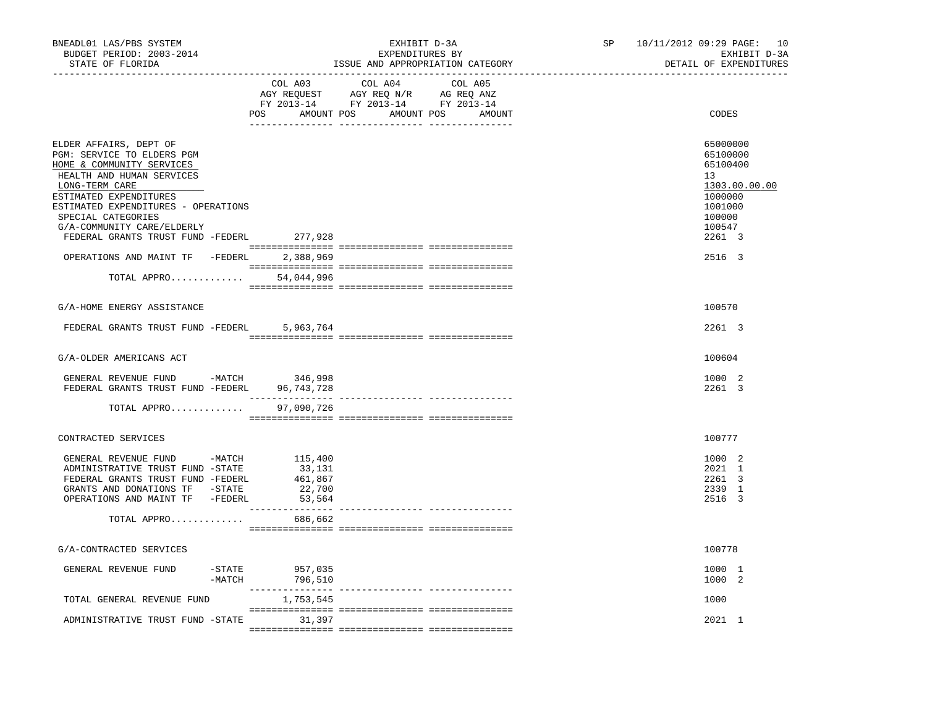| BNEADL01 LAS/PBS SYSTEM<br>BUDGET PERIOD: 2003-2014<br>STATE OF FLORIDA                                                          |                       |                                             | EXHIBIT D-3A<br>EXPENDITURES BY                                                   | ISSUE AND APPROPRIATION CATEGORY | SP | 10/11/2012 09:29 PAGE: 10<br>EXHIBIT D-3A<br>DETAIL OF EXPENDITURES |
|----------------------------------------------------------------------------------------------------------------------------------|-----------------------|---------------------------------------------|-----------------------------------------------------------------------------------|----------------------------------|----|---------------------------------------------------------------------|
|                                                                                                                                  |                       | COL A03<br>POS AMOUNT POS AMOUNT POS AMOUNT | COL A04<br>AGY REQUEST AGY REQ N/R AG REQ ANZ<br>FY 2013-14 FY 2013-14 FY 2013-14 | COL A05                          |    | CODES                                                               |
| ELDER AFFAIRS, DEPT OF<br>PGM: SERVICE TO ELDERS PGM<br>HOME & COMMUNITY SERVICES<br>HEALTH AND HUMAN SERVICES<br>LONG-TERM CARE |                       |                                             |                                                                                   |                                  |    | 65000000<br>65100000<br>65100400<br>13<br>1303.00.00.00             |
| ESTIMATED EXPENDITURES<br>ESTIMATED EXPENDITURES - OPERATIONS<br>SPECIAL CATEGORIES<br>G/A-COMMUNITY CARE/ELDERLY                |                       |                                             |                                                                                   |                                  |    | 1000000<br>1001000<br>100000<br>100547                              |
| FEDERAL GRANTS TRUST FUND -FEDERL 277,928                                                                                        |                       |                                             |                                                                                   |                                  |    | 2261 3                                                              |
| OPERATIONS AND MAINT TF -FEDERL                                                                                                  |                       | 2,388,969                                   |                                                                                   |                                  |    | 2516 3                                                              |
| TOTAL APPRO                                                                                                                      |                       | 54,044,996                                  |                                                                                   |                                  |    |                                                                     |
| G/A-HOME ENERGY ASSISTANCE                                                                                                       |                       |                                             |                                                                                   |                                  |    | 100570                                                              |
| FEDERAL GRANTS TRUST FUND -FEDERL                                                                                                |                       | 5,963,764                                   |                                                                                   |                                  |    | 2261 3                                                              |
| G/A-OLDER AMERICANS ACT                                                                                                          |                       |                                             |                                                                                   |                                  |    | 100604                                                              |
| GENERAL REVENUE FUND -MATCH<br>FEDERAL GRANTS TRUST FUND -FEDERL 96,743,728                                                      |                       | 346,998                                     |                                                                                   |                                  |    | 1000 2<br>2261 3                                                    |
| TOTAL APPRO                                                                                                                      |                       | 97,090,726                                  |                                                                                   |                                  |    |                                                                     |
| CONTRACTED SERVICES                                                                                                              |                       |                                             |                                                                                   |                                  |    | 100777                                                              |
|                                                                                                                                  |                       |                                             |                                                                                   |                                  |    |                                                                     |
| GENERAL REVENUE FUND -MATCH 115,400<br>ADMINISTRATIVE TRUST FUND -STATE                                                          |                       | 33,131<br>461,867                           |                                                                                   |                                  |    | 1000 2<br>2021 1                                                    |
| FEDERAL GRANTS TRUST FUND -FEDERL<br>GRANTS AND DONATIONS TF -STATE                                                              |                       | 22,700                                      |                                                                                   |                                  |    | 2261 3<br>2339 1                                                    |
| OPERATIONS AND MAINT TF -FEDERL                                                                                                  |                       | 53,564                                      |                                                                                   |                                  |    | 2516 3                                                              |
| TOTAL APPRO                                                                                                                      |                       | 686,662                                     |                                                                                   |                                  |    |                                                                     |
| G/A-CONTRACTED SERVICES                                                                                                          |                       |                                             |                                                                                   |                                  |    | 100778                                                              |
|                                                                                                                                  |                       |                                             |                                                                                   |                                  |    |                                                                     |
| GENERAL REVENUE FUND                                                                                                             | $-$ STATE<br>$-MATCH$ | 957,035<br>796,510                          |                                                                                   |                                  |    | 1000 1<br>1000 2                                                    |
| TOTAL GENERAL REVENUE FUND                                                                                                       |                       | 1,753,545                                   |                                                                                   |                                  |    | 1000                                                                |
| ADMINISTRATIVE TRUST FUND -STATE 31,397                                                                                          |                       |                                             |                                                                                   |                                  |    | 2021 1                                                              |
|                                                                                                                                  |                       |                                             |                                                                                   |                                  |    |                                                                     |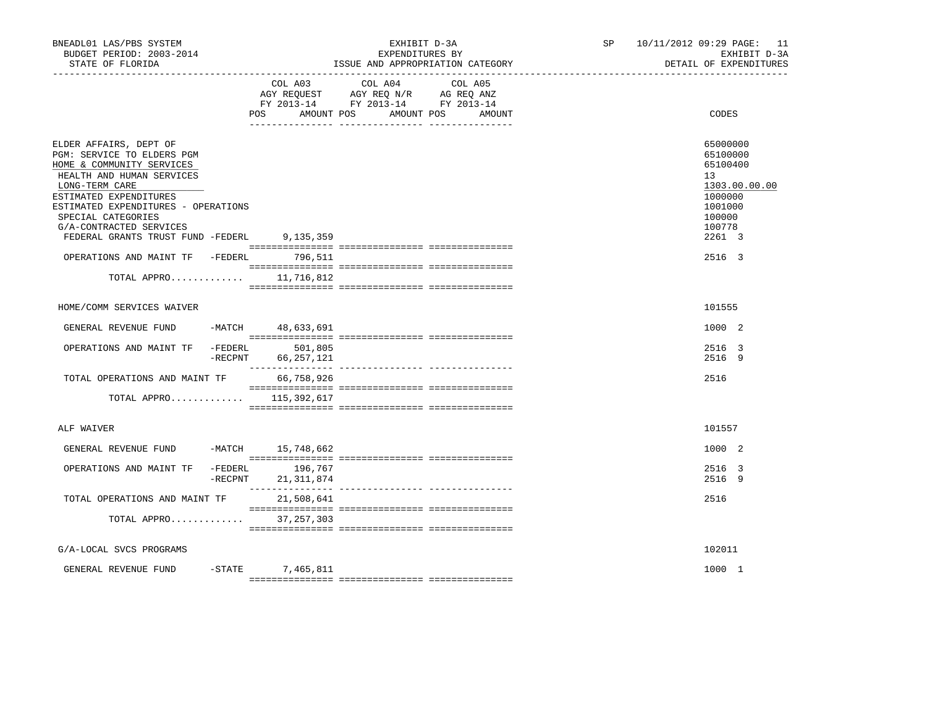| BNEADL01 LAS/PBS SYSTEM<br>BUDGET PERIOD: 2003-2014<br>STATE OF FLORIDA                                                                                                                                                                                                                                                                      | EXHIBIT D-3A<br>EXPENDITURES BY<br>ISSUE AND APPROPRIATION CATEGORY |                         | SP                                                                                                                                                                                                                                           | 10/11/2012 09:29 PAGE: 11<br>EXHIBIT D-3A<br>DETAIL OF EXPENDITURES |  |                                                                                                                       |
|----------------------------------------------------------------------------------------------------------------------------------------------------------------------------------------------------------------------------------------------------------------------------------------------------------------------------------------------|---------------------------------------------------------------------|-------------------------|----------------------------------------------------------------------------------------------------------------------------------------------------------------------------------------------------------------------------------------------|---------------------------------------------------------------------|--|-----------------------------------------------------------------------------------------------------------------------|
|                                                                                                                                                                                                                                                                                                                                              |                                                                     | COL A03<br>POS          | COL A04<br>$\begin{tabular}{lllllll} \bf AGY \,\,\, REQUEST \,\, & \bf AGY \,\, REQ \,\, N/R & \bf AG \,\, REQ \,\, ANZ \\ \bf FY \,\, 2013-14 & \bf FY \,\, 2013-14 & \bf FY \,\, 2013-14 \\ \end{tabular}$<br>AMOUNT POS AMOUNT POS AMOUNT | COL A05                                                             |  | CODES                                                                                                                 |
| ELDER AFFAIRS, DEPT OF<br>PGM: SERVICE TO ELDERS PGM<br>HOME & COMMUNITY SERVICES<br>HEALTH AND HUMAN SERVICES<br>LONG-TERM CARE<br>ESTIMATED EXPENDITURES<br>ESTIMATED EXPENDITURES - OPERATIONS<br>SPECIAL CATEGORIES<br>G/A-CONTRACTED SERVICES<br>FEDERAL GRANTS TRUST FUND -FEDERL 9,135,359<br>OPERATIONS AND MAINT TF -FEDERL 796,511 |                                                                     |                         |                                                                                                                                                                                                                                              |                                                                     |  | 65000000<br>65100000<br>65100400<br>13<br>1303.00.00.00<br>1000000<br>1001000<br>100000<br>100778<br>2261 3<br>2516 3 |
| TOTAL APPRO $11,716,812$                                                                                                                                                                                                                                                                                                                     |                                                                     |                         |                                                                                                                                                                                                                                              |                                                                     |  |                                                                                                                       |
| HOME/COMM SERVICES WAIVER                                                                                                                                                                                                                                                                                                                    |                                                                     |                         |                                                                                                                                                                                                                                              |                                                                     |  | 101555                                                                                                                |
| GENERAL REVENUE FUND -MATCH 48,633,691                                                                                                                                                                                                                                                                                                       |                                                                     |                         |                                                                                                                                                                                                                                              |                                                                     |  | 1000 2                                                                                                                |
| OPERATIONS AND MAINT TF -FEDERL                                                                                                                                                                                                                                                                                                              | $-$ RECPNT                                                          | 501,805<br>66, 257, 121 |                                                                                                                                                                                                                                              |                                                                     |  | 2516 3<br>2516 9                                                                                                      |
| TOTAL OPERATIONS AND MAINT TF                                                                                                                                                                                                                                                                                                                |                                                                     | 66,758,926              |                                                                                                                                                                                                                                              |                                                                     |  | 2516                                                                                                                  |
| TOTAL APPRO $115,392,617$                                                                                                                                                                                                                                                                                                                    |                                                                     |                         |                                                                                                                                                                                                                                              |                                                                     |  |                                                                                                                       |
| ALF WAIVER                                                                                                                                                                                                                                                                                                                                   |                                                                     |                         |                                                                                                                                                                                                                                              |                                                                     |  | 101557                                                                                                                |
| GENERAL REVENUE FUND                                                                                                                                                                                                                                                                                                                         |                                                                     | -MATCH 15,748,662       |                                                                                                                                                                                                                                              |                                                                     |  | 1000 2                                                                                                                |
| OPERATIONS AND MAINT TF -FEDERL 196,767                                                                                                                                                                                                                                                                                                      | $-$ RECPNT                                                          | 21, 311, 874            |                                                                                                                                                                                                                                              |                                                                     |  | 2516 3<br>2516 9                                                                                                      |
| TOTAL OPERATIONS AND MAINT TF 21,508,641                                                                                                                                                                                                                                                                                                     |                                                                     |                         |                                                                                                                                                                                                                                              |                                                                     |  | 2516                                                                                                                  |
| TOTAL APPRO 37,257,303                                                                                                                                                                                                                                                                                                                       |                                                                     |                         |                                                                                                                                                                                                                                              |                                                                     |  |                                                                                                                       |
| G/A-LOCAL SVCS PROGRAMS                                                                                                                                                                                                                                                                                                                      |                                                                     |                         |                                                                                                                                                                                                                                              |                                                                     |  | 102011                                                                                                                |
| GENERAL REVENUE FUND                                                                                                                                                                                                                                                                                                                         | $-$ STATE                                                           | 7,465,811               |                                                                                                                                                                                                                                              |                                                                     |  | 1000 1                                                                                                                |
|                                                                                                                                                                                                                                                                                                                                              |                                                                     |                         |                                                                                                                                                                                                                                              |                                                                     |  |                                                                                                                       |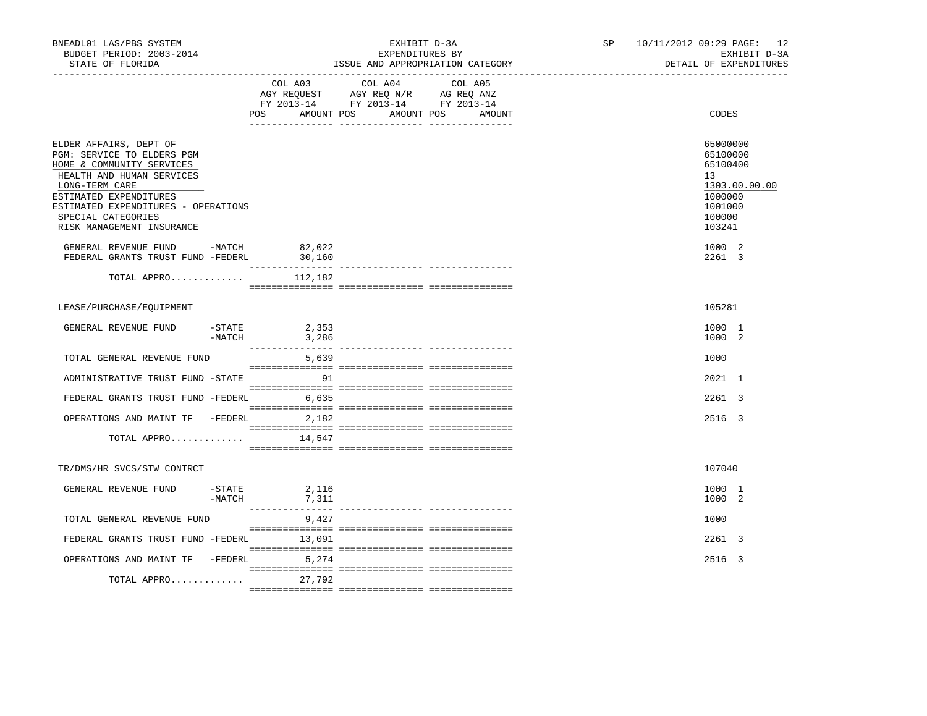| BNEADL01 LAS/PBS SYSTEM<br>BUDGET PERIOD: 2003-2014<br>STATE OF FLORIDA                                                                                                                                                                              |          |                           | EXHIBIT D-3A<br>EXPENDITURES BY<br>ISSUE AND APPROPRIATION CATEGORY                                                                   | SP and the set of the set of the set of the set of the set of the set of the set of the set of the set of the set of the set of the set of the set of the set of the set of the set of the set of the set of the set of the se | 10/11/2012 09:29 PAGE: 12<br>EXHIBIT D-3A<br>DETAIL OF EXPENDITURES                               |
|------------------------------------------------------------------------------------------------------------------------------------------------------------------------------------------------------------------------------------------------------|----------|---------------------------|---------------------------------------------------------------------------------------------------------------------------------------|--------------------------------------------------------------------------------------------------------------------------------------------------------------------------------------------------------------------------------|---------------------------------------------------------------------------------------------------|
|                                                                                                                                                                                                                                                      |          |                           | COL A03 COL A04 COL A05<br>AGY REQUEST AGY REQ N/R AG REQ ANZ<br>FY 2013-14 FY 2013-14 FY 2013-14<br>POS AMOUNT POS AMOUNT POS AMOUNT |                                                                                                                                                                                                                                | CODES                                                                                             |
| ELDER AFFAIRS, DEPT OF<br>PGM: SERVICE TO ELDERS PGM<br>HOME & COMMUNITY SERVICES<br>HEALTH AND HUMAN SERVICES<br>LONG-TERM CARE<br>ESTIMATED EXPENDITURES<br>ESTIMATED EXPENDITURES - OPERATIONS<br>SPECIAL CATEGORIES<br>RISK MANAGEMENT INSURANCE |          |                           |                                                                                                                                       |                                                                                                                                                                                                                                | 65000000<br>65100000<br>65100400<br>13<br>1303.00.00.00<br>1000000<br>1001000<br>100000<br>103241 |
| GENERAL REVENUE FUND -MATCH 82,022<br>FEDERAL GRANTS TRUST FUND -FEDERL                                                                                                                                                                              |          | 30,160                    |                                                                                                                                       |                                                                                                                                                                                                                                | 1000 2<br>2261 3                                                                                  |
| TOTAL APPRO $112,182$                                                                                                                                                                                                                                |          |                           |                                                                                                                                       |                                                                                                                                                                                                                                |                                                                                                   |
| LEASE/PURCHASE/EQUIPMENT                                                                                                                                                                                                                             |          |                           |                                                                                                                                       |                                                                                                                                                                                                                                | 105281                                                                                            |
| GENERAL REVENUE FUND $-$ STATE 2,353<br>-MATCH 3,286                                                                                                                                                                                                 |          |                           |                                                                                                                                       |                                                                                                                                                                                                                                | 1000 1<br>1000 2                                                                                  |
| TOTAL GENERAL REVENUE FUND                                                                                                                                                                                                                           |          | 5,639                     |                                                                                                                                       |                                                                                                                                                                                                                                | 1000                                                                                              |
| ADMINISTRATIVE TRUST FUND -STATE 91                                                                                                                                                                                                                  |          |                           |                                                                                                                                       |                                                                                                                                                                                                                                | 2021 1                                                                                            |
| FEDERAL GRANTS TRUST FUND -FEDERL 6,635                                                                                                                                                                                                              |          |                           |                                                                                                                                       |                                                                                                                                                                                                                                | 2261 3                                                                                            |
| OPERATIONS AND MAINT TF -FEDERL 2,182                                                                                                                                                                                                                |          |                           |                                                                                                                                       |                                                                                                                                                                                                                                | 2516 3                                                                                            |
| TOTAL APPRO $14,547$                                                                                                                                                                                                                                 |          |                           |                                                                                                                                       |                                                                                                                                                                                                                                |                                                                                                   |
| TR/DMS/HR SVCS/STW CONTRCT                                                                                                                                                                                                                           |          |                           |                                                                                                                                       |                                                                                                                                                                                                                                | 107040                                                                                            |
| GENERAL REVENUE FUND                                                                                                                                                                                                                                 | $-MATCH$ | $-$ STATE 2, 116<br>7,311 |                                                                                                                                       |                                                                                                                                                                                                                                | 1000 1<br>1000 2                                                                                  |
| TOTAL GENERAL REVENUE FUND                                                                                                                                                                                                                           |          | 9,427                     |                                                                                                                                       |                                                                                                                                                                                                                                | 1000                                                                                              |
| FEDERAL GRANTS TRUST FUND -FEDERL 13,091                                                                                                                                                                                                             |          |                           |                                                                                                                                       |                                                                                                                                                                                                                                | 2261 3                                                                                            |
| OPERATIONS AND MAINT TF -FEDERL 5,274                                                                                                                                                                                                                |          |                           |                                                                                                                                       |                                                                                                                                                                                                                                | 2516 3                                                                                            |
| TOTAL APPRO                                                                                                                                                                                                                                          |          | 27,792                    |                                                                                                                                       |                                                                                                                                                                                                                                |                                                                                                   |
|                                                                                                                                                                                                                                                      |          |                           |                                                                                                                                       |                                                                                                                                                                                                                                |                                                                                                   |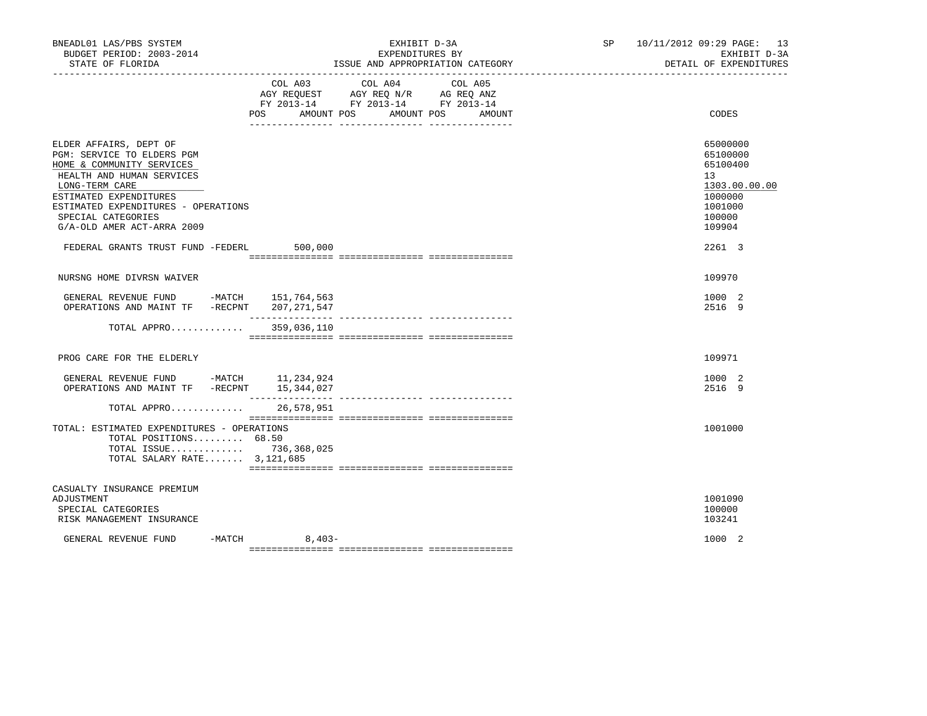| BNEADL01 LAS/PBS SYSTEM<br>BUDGET PERIOD: 2003-2014                                                                                                                                                                                                   |                                     | EXHIBIT D-3A<br>EXPENDITURES BY                                                                                      | SP 10/11/2012 09:29 PAGE: 13<br>EXHIBIT D-3A                                                                   |
|-------------------------------------------------------------------------------------------------------------------------------------------------------------------------------------------------------------------------------------------------------|-------------------------------------|----------------------------------------------------------------------------------------------------------------------|----------------------------------------------------------------------------------------------------------------|
| STATE OF FLORIDA                                                                                                                                                                                                                                      |                                     | ISSUE AND APPROPRIATION CATEGORY                                                                                     | DETAIL OF EXPENDITURES                                                                                         |
|                                                                                                                                                                                                                                                       | COL A03<br><b>POS</b><br>AMOUNT POS | COL A04<br>COL A05<br>AGY REQUEST AGY REQ N/R AG REQ ANZ<br>FY 2013-14 FY 2013-14 FY 2013-14<br>AMOUNT POS<br>AMOUNT | CODES                                                                                                          |
| ELDER AFFAIRS, DEPT OF<br>PGM: SERVICE TO ELDERS PGM<br>HOME & COMMUNITY SERVICES<br>HEALTH AND HUMAN SERVICES<br>LONG-TERM CARE<br>ESTIMATED EXPENDITURES<br>ESTIMATED EXPENDITURES - OPERATIONS<br>SPECIAL CATEGORIES<br>G/A-OLD AMER ACT-ARRA 2009 |                                     |                                                                                                                      | 65000000<br>65100000<br>65100400<br>13 <sup>°</sup><br>1303.00.00.00<br>1000000<br>1001000<br>100000<br>109904 |
| FEDERAL GRANTS TRUST FUND -FEDERL 500,000                                                                                                                                                                                                             |                                     |                                                                                                                      | 2261 3                                                                                                         |
| NURSNG HOME DIVRSN WAIVER                                                                                                                                                                                                                             |                                     |                                                                                                                      | 109970                                                                                                         |
| GENERAL REVENUE FUND -MATCH 151,764,563<br>OPERATIONS AND MAINT TF -RECPNT 207,271,547                                                                                                                                                                |                                     |                                                                                                                      | 1000 2<br>2516 9                                                                                               |
| TOTAL APPRO                                                                                                                                                                                                                                           | 359,036,110                         |                                                                                                                      |                                                                                                                |
| PROG CARE FOR THE ELDERLY                                                                                                                                                                                                                             |                                     |                                                                                                                      | 109971                                                                                                         |
| GENERAL REVENUE FUND -MATCH 11,234,924<br>OPERATIONS AND MAINT TF -RECPNT 15,344,027                                                                                                                                                                  |                                     |                                                                                                                      | 1000 2<br>2516 9                                                                                               |
| TOTAL APPRO<br>TOTAL: ESTIMATED EXPENDITURES - OPERATIONS<br>TOTAL POSITIONS 68.50<br>TOTAL ISSUE 736,368,025<br>TOTAL SALARY RATE 3,121,685                                                                                                          | 26,578,951                          |                                                                                                                      | 1001000                                                                                                        |
| CASUALTY INSURANCE PREMIUM<br>ADJUSTMENT<br>SPECIAL CATEGORIES<br>RISK MANAGEMENT INSURANCE                                                                                                                                                           |                                     |                                                                                                                      | 1001090<br>100000<br>103241                                                                                    |
| GENERAL REVENUE FUND                                                                                                                                                                                                                                  | $-MATCH$ 8,403-                     |                                                                                                                      | 1000 2                                                                                                         |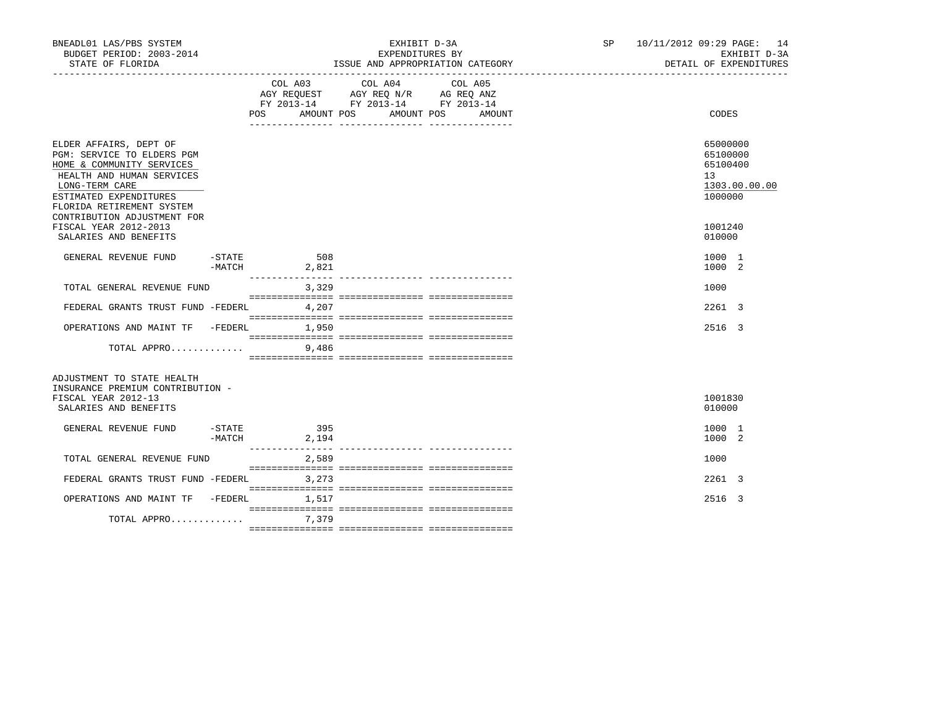| BNEADL01 LAS/PBS SYSTEM<br>BUDGET PERIOD: 2003-2014<br>STATE OF FLORIDA                                                                                                                                                |                    |                                                                                                                                                                                                                                                                   | EXHIBIT D-3A<br>EXPENDITURES BY<br>ISSUE AND APPROPRIATION CATEGORY | SP 10/11/2012 09:29 PAGE: 14<br>EXHIBIT D-3A<br>DETAIL OF EXPENDITURES |
|------------------------------------------------------------------------------------------------------------------------------------------------------------------------------------------------------------------------|--------------------|-------------------------------------------------------------------------------------------------------------------------------------------------------------------------------------------------------------------------------------------------------------------|---------------------------------------------------------------------|------------------------------------------------------------------------|
|                                                                                                                                                                                                                        |                    | COL A03 COL A04<br>COL A05<br>$\begin{tabular}{lllllll} AGY & \texttt{REQUEST} & \texttt{AGY} & \texttt{REG} & \texttt{N/R} & \texttt{AG} & \texttt{REG} & \texttt{ANZ} \end{tabular}$<br>FY 2013-14 FY 2013-14 FY 2013-14<br>POS AMOUNT POS AMOUNT POS<br>AMOUNT | CODES                                                               |                                                                        |
| ELDER AFFAIRS, DEPT OF<br>PGM: SERVICE TO ELDERS PGM<br>HOME & COMMUNITY SERVICES<br>HEALTH AND HUMAN SERVICES<br>LONG-TERM CARE<br>ESTIMATED EXPENDITURES<br>FLORIDA RETIREMENT SYSTEM<br>CONTRIBUTION ADJUSTMENT FOR |                    |                                                                                                                                                                                                                                                                   |                                                                     | 65000000<br>65100000<br>65100400<br>13<br>1303.00.00.00<br>1000000     |
| FISCAL YEAR 2012-2013<br>SALARIES AND BENEFITS                                                                                                                                                                         |                    |                                                                                                                                                                                                                                                                   |                                                                     | 1001240<br>010000                                                      |
| GENERAL REVENUE FUND                                                                                                                                                                                                   | $-STATE$<br>-MATCH | 508<br>2,821                                                                                                                                                                                                                                                      |                                                                     | 1000 1<br>1000 2                                                       |
| TOTAL GENERAL REVENUE FUND                                                                                                                                                                                             |                    | 3,329                                                                                                                                                                                                                                                             |                                                                     | 1000                                                                   |
| FEDERAL GRANTS TRUST FUND -FEDERL 4,207                                                                                                                                                                                |                    |                                                                                                                                                                                                                                                                   |                                                                     | 2261 3                                                                 |
| OPERATIONS AND MAINT TF -FEDERL                                                                                                                                                                                        |                    | 1,950                                                                                                                                                                                                                                                             |                                                                     | 2516 3                                                                 |
| TOTAL APPRO                                                                                                                                                                                                            |                    | 9,486                                                                                                                                                                                                                                                             |                                                                     |                                                                        |
| ADJUSTMENT TO STATE HEALTH<br>INSURANCE PREMIUM CONTRIBUTION -<br>FISCAL YEAR 2012-13<br>SALARIES AND BENEFITS                                                                                                         |                    |                                                                                                                                                                                                                                                                   |                                                                     | 1001830<br>010000                                                      |
| GENERAL REVENUE FUND                                                                                                                                                                                                   | -MATCH             | $-STATE$ 395<br>2,194                                                                                                                                                                                                                                             |                                                                     | 1000 1<br>1000 2                                                       |
| TOTAL GENERAL REVENUE FUND                                                                                                                                                                                             |                    | 2,589                                                                                                                                                                                                                                                             |                                                                     | 1000                                                                   |
| FEDERAL GRANTS TRUST FUND -FEDERL                                                                                                                                                                                      |                    | 3,273                                                                                                                                                                                                                                                             |                                                                     | 2261 3                                                                 |
| OPERATIONS AND MAINT TF -FEDERL                                                                                                                                                                                        |                    | 1,517                                                                                                                                                                                                                                                             |                                                                     | 2516 3                                                                 |
| TOTAL APPRO                                                                                                                                                                                                            |                    | 7,379                                                                                                                                                                                                                                                             |                                                                     |                                                                        |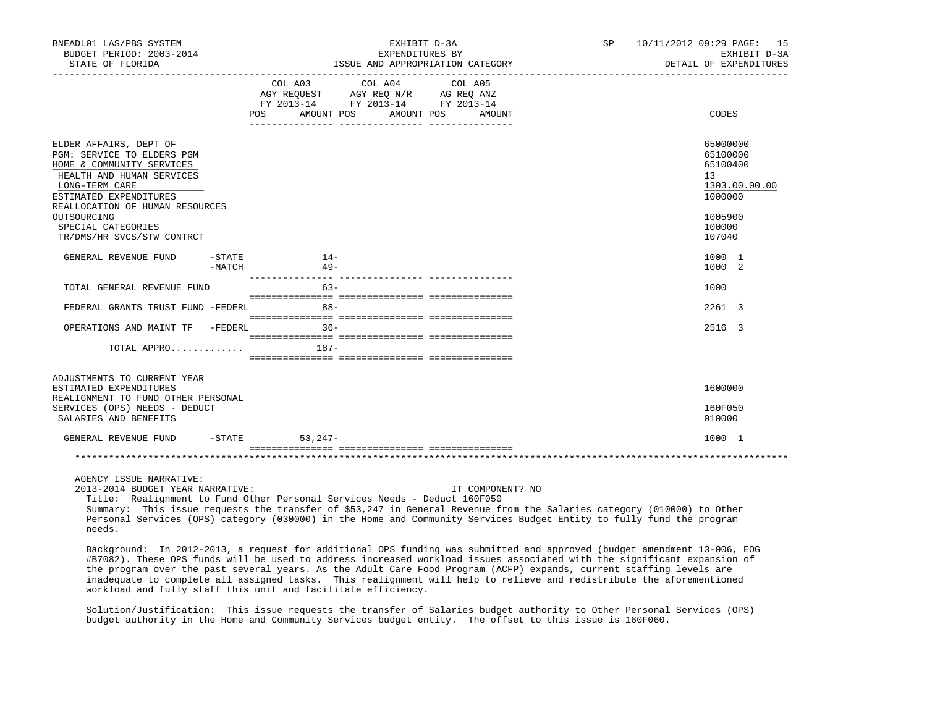| BNEADL01 LAS/PBS SYSTEM<br>BUDGET PERIOD: 2003-2014<br>STATE OF FLORIDA                                                                                                                                                                                          |                     |                                                                                                                                   | EXHIBIT D-3A<br>EXPENDITURES BY<br>ISSUE AND APPROPRIATION CATEGORY | SP 10/11/2012 09:29 PAGE: 15<br>EXHIBIT D-3A<br>DETAIL OF EXPENDITURES                            |
|------------------------------------------------------------------------------------------------------------------------------------------------------------------------------------------------------------------------------------------------------------------|---------------------|-----------------------------------------------------------------------------------------------------------------------------------|---------------------------------------------------------------------|---------------------------------------------------------------------------------------------------|
|                                                                                                                                                                                                                                                                  |                     | COL A03 COL A04 COL A05<br>AGY REQUEST AGY REQ N/R AG REQ ANZ<br>FY 2013-14 FY 2013-14 FY 2013-14<br>AMOUNT POS AMOUNT POS<br>POS | AMOUNT                                                              | CODES                                                                                             |
| ELDER AFFAIRS, DEPT OF<br>PGM: SERVICE TO ELDERS PGM<br>HOME & COMMUNITY SERVICES<br>HEALTH AND HUMAN SERVICES<br>LONG-TERM CARE<br>ESTIMATED EXPENDITURES<br>REALLOCATION OF HUMAN RESOURCES<br>OUTSOURCING<br>SPECIAL CATEGORIES<br>TR/DMS/HR SVCS/STW CONTRCT |                     |                                                                                                                                   |                                                                     | 65000000<br>65100000<br>65100400<br>13<br>1303.00.00.00<br>1000000<br>1005900<br>100000<br>107040 |
| GENERAL REVENUE FUND                                                                                                                                                                                                                                             | $-$ STATE<br>-MATCH | $14-$<br>$49 -$                                                                                                                   |                                                                     | 1000 1<br>1000 2                                                                                  |
| TOTAL GENERAL REVENUE FUND                                                                                                                                                                                                                                       |                     | $63 -$                                                                                                                            |                                                                     | 1000                                                                                              |
| FEDERAL GRANTS TRUST FUND -FEDERL                                                                                                                                                                                                                                |                     | $88 -$                                                                                                                            |                                                                     | 2261 3                                                                                            |
| OPERATIONS AND MAINT TF -FEDERL                                                                                                                                                                                                                                  |                     | $36 -$                                                                                                                            |                                                                     | 2516 3                                                                                            |
| TOTAL APPRO                                                                                                                                                                                                                                                      |                     | $187 -$                                                                                                                           |                                                                     |                                                                                                   |
| ADJUSTMENTS TO CURRENT YEAR<br>ESTIMATED EXPENDITURES<br>REALIGNMENT TO FUND OTHER PERSONAL<br>SERVICES (OPS) NEEDS - DEDUCT<br>SALARIES AND BENEFITS                                                                                                            |                     |                                                                                                                                   |                                                                     | 1600000<br>160F050<br>010000                                                                      |
| GENERAL REVENUE FUND -STATE 53,247-                                                                                                                                                                                                                              |                     |                                                                                                                                   |                                                                     | 1000 1                                                                                            |
|                                                                                                                                                                                                                                                                  |                     |                                                                                                                                   |                                                                     |                                                                                                   |
| AGENCY ISSUE NARRATIVE:<br>2013-2014 BUDGET YEAR NARRATIVE:                                                                                                                                                                                                      |                     | Title: Realignment to Fund Other Personal Services Needs - Deduct 160F050                                                         | IT COMPONENT? NO                                                    |                                                                                                   |

 Summary: This issue requests the transfer of \$53,247 in General Revenue from the Salaries category (010000) to Other Personal Services (OPS) category (030000) in the Home and Community Services Budget Entity to fully fund the program needs.

 Background: In 2012-2013, a request for additional OPS funding was submitted and approved (budget amendment 13-006, EOG #B7082). These OPS funds will be used to address increased workload issues associated with the significant expansion of the program over the past several years. As the Adult Care Food Program (ACFP) expands, current staffing levels are inadequate to complete all assigned tasks. This realignment will help to relieve and redistribute the aforementioned workload and fully staff this unit and facilitate efficiency.

 Solution/Justification: This issue requests the transfer of Salaries budget authority to Other Personal Services (OPS) budget authority in the Home and Community Services budget entity. The offset to this issue is 160F060.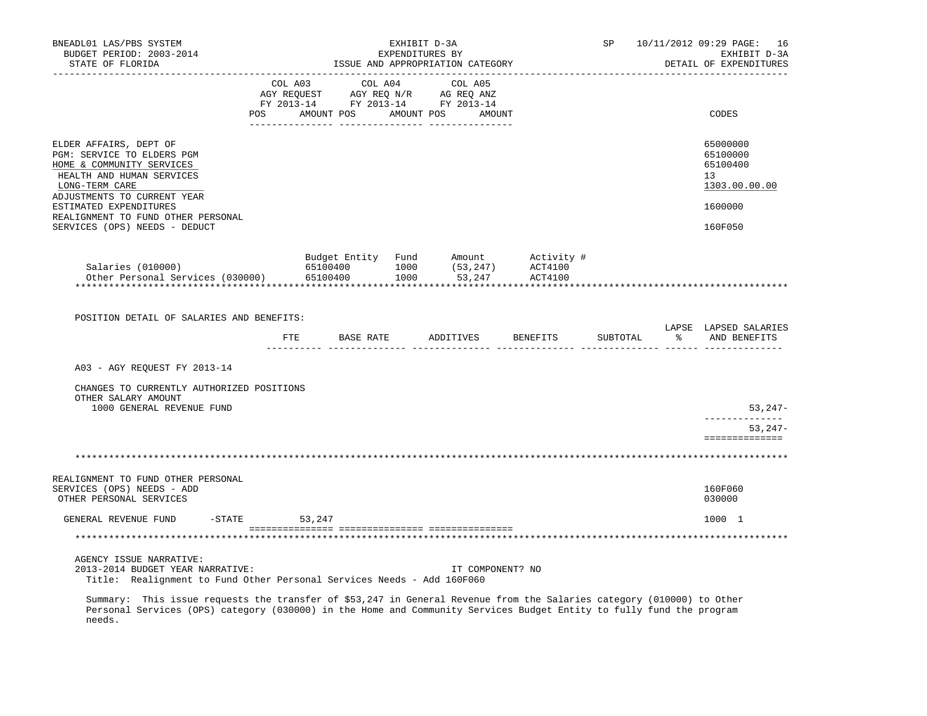| BNEADL01 LAS/PBS SYSTEM<br>BUDGET PERIOD: 2003-2014<br>STATE OF FLORIDA                                                               | EXHIBIT D-3A<br>EXPENDITURES BY<br>ISSUE AND APPROPRIATION CATEGORY |        |               |  |                                                                                                                                                                                                |  | SP                                                                                                     | 10/11/2012 09:29 PAGE: 16<br>EXHIBIT D-3A<br>DETAIL OF EXPENDITURES |                                                         |
|---------------------------------------------------------------------------------------------------------------------------------------|---------------------------------------------------------------------|--------|---------------|--|------------------------------------------------------------------------------------------------------------------------------------------------------------------------------------------------|--|--------------------------------------------------------------------------------------------------------|---------------------------------------------------------------------|---------------------------------------------------------|
|                                                                                                                                       |                                                                     |        |               |  | $\begin{tabular}{lcccc} COL A03 & COL A04 & COL A05 \\ AGY REQUEST & AGY REQ N/R & AG REQ ANZ \\ FY & 2013-14 & FY & 2013-14 & FY & 2013-14 \end{tabular}$<br>POS AMOUNT POS AMOUNT POS AMOUNT |  |                                                                                                        |                                                                     | CODES                                                   |
|                                                                                                                                       |                                                                     |        |               |  |                                                                                                                                                                                                |  |                                                                                                        |                                                                     |                                                         |
| ELDER AFFAIRS, DEPT OF<br>PGM: SERVICE TO ELDERS PGM<br>HOME & COMMUNITY SERVICES<br>HEALTH AND HUMAN SERVICES<br>LONG-TERM CARE      |                                                                     |        |               |  |                                                                                                                                                                                                |  |                                                                                                        |                                                                     | 65000000<br>65100000<br>65100400<br>13<br>1303.00.00.00 |
| ADJUSTMENTS TO CURRENT YEAR<br>ESTIMATED EXPENDITURES<br>REALIGNMENT TO FUND OTHER PERSONAL<br>SERVICES (OPS) NEEDS - DEDUCT          |                                                                     |        |               |  |                                                                                                                                                                                                |  |                                                                                                        |                                                                     | 1600000<br>160F050                                      |
|                                                                                                                                       |                                                                     |        |               |  |                                                                                                                                                                                                |  |                                                                                                        |                                                                     |                                                         |
| Salaries (010000)<br>Other Personal Services (030000) 65100400                                                                        |                                                                     |        |               |  |                                                                                                                                                                                                |  | Budget Entity Fund Amount Activity #<br>65100400 1000 (53,247) ACT4100<br>65100400 1000 53,247 ACT4100 |                                                                     |                                                         |
|                                                                                                                                       |                                                                     |        |               |  |                                                                                                                                                                                                |  |                                                                                                        |                                                                     |                                                         |
|                                                                                                                                       |                                                                     |        |               |  |                                                                                                                                                                                                |  |                                                                                                        |                                                                     |                                                         |
| POSITION DETAIL OF SALARIES AND BENEFITS:                                                                                             |                                                                     |        | FTE BASE RATE |  |                                                                                                                                                                                                |  | ADDITIVES BENEFITS                                                                                     |                                                                     | LAPSE LAPSED SALARIES<br>SUBTOTAL % AND BENEFITS        |
| A03 - AGY REQUEST FY 2013-14                                                                                                          |                                                                     |        |               |  |                                                                                                                                                                                                |  |                                                                                                        |                                                                     |                                                         |
| CHANGES TO CURRENTLY AUTHORIZED POSITIONS<br>OTHER SALARY AMOUNT                                                                      |                                                                     |        |               |  |                                                                                                                                                                                                |  |                                                                                                        |                                                                     |                                                         |
| 1000 GENERAL REVENUE FUND                                                                                                             |                                                                     |        |               |  |                                                                                                                                                                                                |  |                                                                                                        |                                                                     | 53,247-<br>______________                               |
|                                                                                                                                       |                                                                     |        |               |  |                                                                                                                                                                                                |  |                                                                                                        |                                                                     | $53,247-$<br>==============                             |
|                                                                                                                                       |                                                                     |        |               |  |                                                                                                                                                                                                |  |                                                                                                        |                                                                     |                                                         |
| REALIGNMENT TO FUND OTHER PERSONAL                                                                                                    |                                                                     |        |               |  |                                                                                                                                                                                                |  |                                                                                                        |                                                                     |                                                         |
| SERVICES (OPS) NEEDS - ADD<br>OTHER PERSONAL SERVICES                                                                                 |                                                                     |        |               |  |                                                                                                                                                                                                |  |                                                                                                        |                                                                     | 160F060<br>030000                                       |
| GENERAL REVENUE FUND                                                                                                                  | $-STATE$                                                            | 53,247 |               |  |                                                                                                                                                                                                |  |                                                                                                        |                                                                     | 1000 1                                                  |
|                                                                                                                                       |                                                                     |        |               |  |                                                                                                                                                                                                |  |                                                                                                        |                                                                     |                                                         |
| AGENCY ISSUE NARRATIVE:<br>2013-2014 BUDGET YEAR NARRATIVE:<br>Title: Realignment to Fund Other Personal Services Needs - Add 160F060 |                                                                     |        |               |  | IT COMPONENT? NO                                                                                                                                                                               |  |                                                                                                        |                                                                     |                                                         |
| Summary: This issue requests the transfer of \$53,247 in General Revenue from the Salaries category (010000) to Other                 |                                                                     |        |               |  |                                                                                                                                                                                                |  |                                                                                                        |                                                                     |                                                         |

 Personal Services (OPS) category (030000) in the Home and Community Services Budget Entity to fully fund the program needs.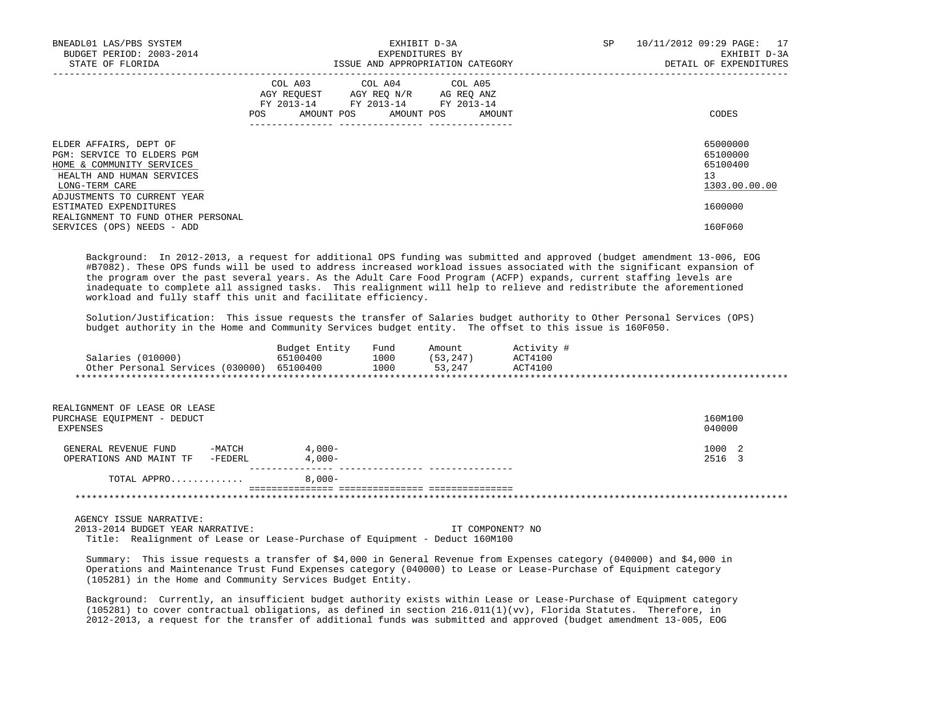| BNEADL01 LAS/PBS SYSTEM<br>BUDGET PERIOD: 2003-2014<br>STATE OF FLORIDA                                                          |                                                                                                                | EXHIBIT D-3A<br>EXPENDITURES BY<br>ISSUE AND APPROPRIATION CATEGORY                                                               | SP | 10/11/2012 09:29 PAGE: 17<br>EXHIBIT D-3A<br>DETAIL OF EXPENDITURES |
|----------------------------------------------------------------------------------------------------------------------------------|----------------------------------------------------------------------------------------------------------------|-----------------------------------------------------------------------------------------------------------------------------------|----|---------------------------------------------------------------------|
|                                                                                                                                  | POS FOR THE POST OF THE STATE STATE STATE STATE STATE STATE STATE STATE STATE STATE STATE STATE STATE STATE ST | COL A03 COL A04 COL A05<br>AGY REQUEST AGY REO N/R AG REO ANZ<br>FY 2013-14 FY 2013-14 FY 2013-14<br>AMOUNT POS AMOUNT POS AMOUNT |    | CODES                                                               |
| ELDER AFFAIRS, DEPT OF<br>PGM: SERVICE TO ELDERS PGM<br>HOME & COMMUNITY SERVICES<br>HEALTH AND HUMAN SERVICES<br>LONG-TERM CARE |                                                                                                                |                                                                                                                                   |    | 65000000<br>65100000<br>65100400<br>13<br>1303.00.00.00             |
| ADJUSTMENTS TO CURRENT YEAR<br>ESTIMATED EXPENDITURES                                                                            |                                                                                                                |                                                                                                                                   |    | 1600000                                                             |
| REALIGNMENT TO FUND OTHER PERSONAL<br>SERVICES (OPS) NEEDS - ADD                                                                 |                                                                                                                |                                                                                                                                   |    | 160F060                                                             |

 Background: In 2012-2013, a request for additional OPS funding was submitted and approved (budget amendment 13-006, EOG #B7082). These OPS funds will be used to address increased workload issues associated with the significant expansion of the program over the past several years. As the Adult Care Food Program (ACFP) expands, current staffing levels are inadequate to complete all assigned tasks. This realignment will help to relieve and redistribute the aforementioned workload and fully staff this unit and facilitate efficiency.

 Solution/Justification: This issue requests the transfer of Salaries budget authority to Other Personal Services (OPS) budget authority in the Home and Community Services budget entity. The offset to this issue is 160F050.

|                                  | Budget Entity | Fund | Amount    | Activity # |  |
|----------------------------------|---------------|------|-----------|------------|--|
| Salaries (010000)                | 65100400      | 1000 | (53, 247) | ACT4100    |  |
| Other Personal Services (030000) | 65100400      | 1000 | 53,247    | ACT4100    |  |
|                                  |               |      |           |            |  |

| REALIGNMENT OF LEASE OR LEASE<br>PURCHASE EQUIPMENT - DEDUCT<br>EXPENSES |                       | 160M100<br>040000 |
|--------------------------------------------------------------------------|-----------------------|-------------------|
| -MATCH<br>GENERAL REVENUE FUND<br>-FEDERL<br>OPERATIONS AND MAINT TF     | $4,000-$<br>$4.000 -$ | 1000 2<br>2516 3  |
| TOTAL APPRO                                                              | $8.000 -$             |                   |
|                                                                          |                       |                   |

AGENCY ISSUE NARRATIVE:

 2013-2014 BUDGET YEAR NARRATIVE: IT COMPONENT? NO Title: Realignment of Lease or Lease-Purchase of Equipment - Deduct 160M100

 Summary: This issue requests a transfer of \$4,000 in General Revenue from Expenses category (040000) and \$4,000 in Operations and Maintenance Trust Fund Expenses category (040000) to Lease or Lease-Purchase of Equipment category (105281) in the Home and Community Services Budget Entity.

 Background: Currently, an insufficient budget authority exists within Lease or Lease-Purchase of Equipment category (105281) to cover contractual obligations, as defined in section 216.011(1)(vv), Florida Statutes. Therefore, in 2012-2013, a request for the transfer of additional funds was submitted and approved (budget amendment 13-005, EOG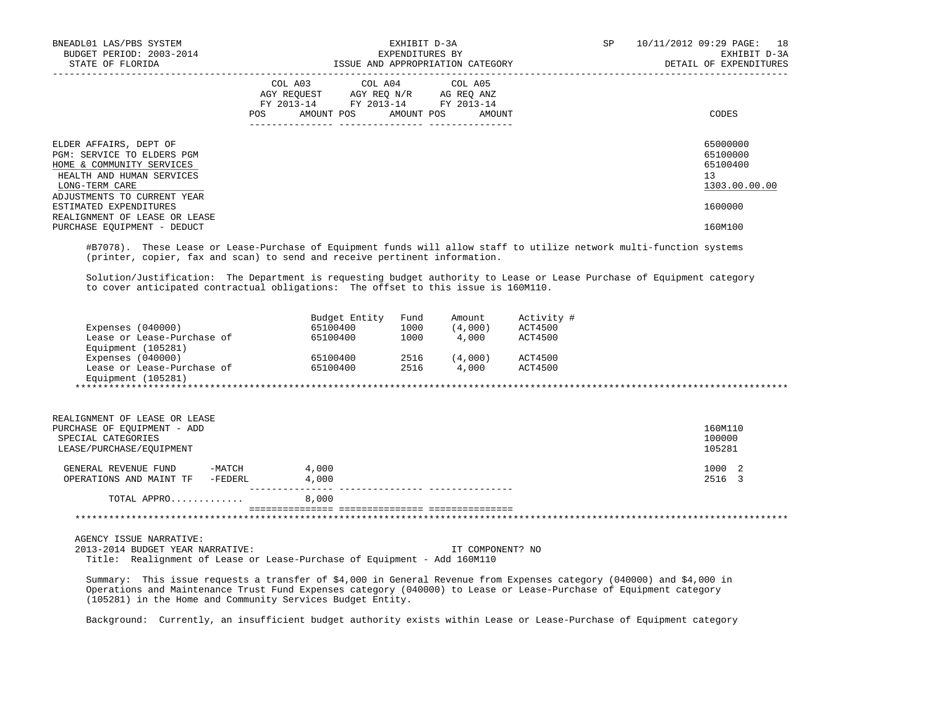| BNEADL01 LAS/PBS SYSTEM<br>BUDGET PERIOD: 2003-2014<br>STATE OF FLORIDA                                                          | EXHIBIT D-3A<br>EXPENDITURES BY<br>ISSUE AND APPROPRIATION CATEGORY                                                                         | SP<br>10/11/2012 09:29 PAGE: 18<br>EXHIBIT D-3A<br>DETAIL OF EXPENDITURES |
|----------------------------------------------------------------------------------------------------------------------------------|---------------------------------------------------------------------------------------------------------------------------------------------|---------------------------------------------------------------------------|
|                                                                                                                                  | COL A03 COL A04 COL A05<br>AGY REQUEST AGY REQ N/R AG REQ ANZ<br>FY 2013-14 FY 2013-14 FY 2013-14<br>AMOUNT POS AMOUNT POS<br>POS<br>AMOUNT | CODES                                                                     |
| ELDER AFFAIRS, DEPT OF<br>PGM: SERVICE TO ELDERS PGM<br>HOME & COMMUNITY SERVICES<br>HEALTH AND HUMAN SERVICES<br>LONG-TERM CARE |                                                                                                                                             | 65000000<br>65100000<br>65100400<br>13<br>1303.00.00.00                   |
| ADJUSTMENTS TO CURRENT YEAR<br>ESTIMATED EXPENDITURES<br>REALIGNMENT OF LEASE OR LEASE<br>PURCHASE EQUIPMENT - DEDUCT            |                                                                                                                                             | 1600000<br>160M100                                                        |

 #B7078). These Lease or Lease-Purchase of Equipment funds will allow staff to utilize network multi-function systems (printer, copier, fax and scan) to send and receive pertinent information.

 Solution/Justification: The Department is requesting budget authority to Lease or Lease Purchase of Equipment category to cover anticipated contractual obligations: The offset to this issue is 160M110.

|                            | Budget Entity | Fund | Amount  | Activity # |
|----------------------------|---------------|------|---------|------------|
| Expenses $(040000)$        | 65100400      | 1000 | (4,000) | ACT4500    |
| Lease or Lease-Purchase of | 65100400      | 1000 | 4,000   | ACT4500    |
| Equipment (105281)         |               |      |         |            |
| Expenses $(040000)$        | 65100400      | 2516 | (4,000) | ACT4500    |
| Lease or Lease-Purchase of | 65100400      | 2516 | 4,000   | ACT4500    |
| Equipment (105281)         |               |      |         |            |

| REALIGNMENT OF LEASE OR LEASE      |       |         |
|------------------------------------|-------|---------|
| PURCHASE OF EOUIPMENT - ADD        |       | 160M110 |
| SPECIAL CATEGORIES                 |       | 100000  |
| LEASE/PURCHASE/EOUIPMENT           |       | 105281  |
| -MATCH<br>GENERAL REVENUE FUND     | 4,000 | 1000 2  |
| OPERATIONS AND MAINT TF<br>-FEDERL | 4,000 | 2516 3  |
| TOTAL APPRO                        | 8,000 |         |
|                                    |       |         |

AGENCY ISSUE NARRATIVE:

 2013-2014 BUDGET YEAR NARRATIVE: IT COMPONENT? NO Title: Realignment of Lease or Lease-Purchase of Equipment - Add 160M110

 Summary: This issue requests a transfer of \$4,000 in General Revenue from Expenses category (040000) and \$4,000 in Operations and Maintenance Trust Fund Expenses category (040000) to Lease or Lease-Purchase of Equipment category (105281) in the Home and Community Services Budget Entity.

Background: Currently, an insufficient budget authority exists within Lease or Lease-Purchase of Equipment category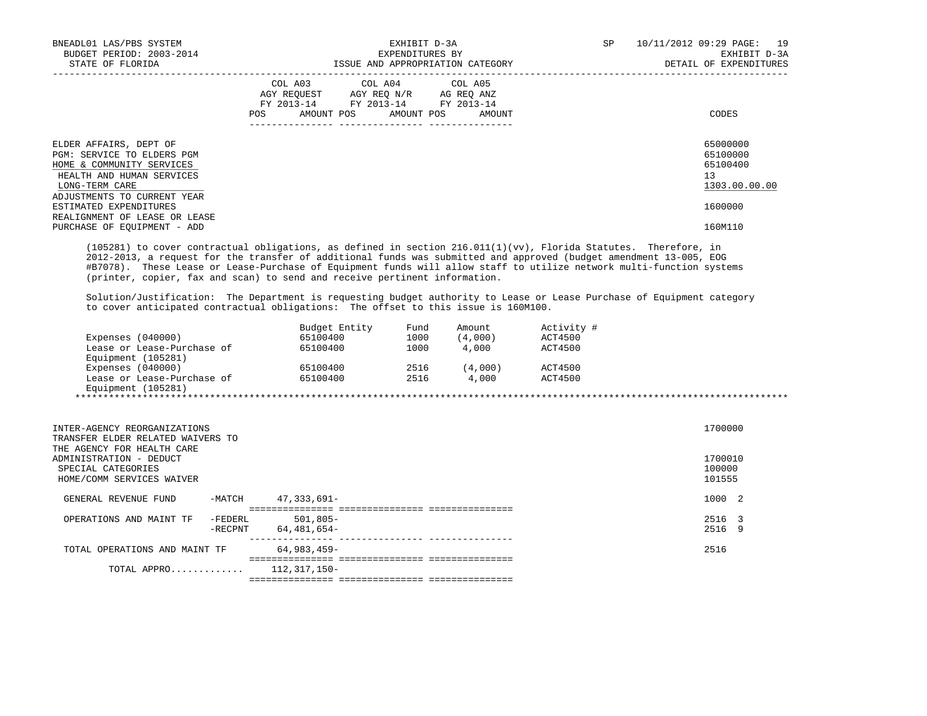| BNEADL01 LAS/PBS SYSTEM<br>BUDGET PERIOD: 2003-2014<br>STATE OF FLORIDA                                                          |                                                                                                                                                                                                                     | EXHIBIT D-3A<br>EXPENDITURES BY<br>ISSUE AND APPROPRIATION CATEGORY | SP | 10/11/2012 09:29 PAGE: 19<br>EXHIBIT D-3A<br>DETAIL OF EXPENDITURES |
|----------------------------------------------------------------------------------------------------------------------------------|---------------------------------------------------------------------------------------------------------------------------------------------------------------------------------------------------------------------|---------------------------------------------------------------------|----|---------------------------------------------------------------------|
|                                                                                                                                  | COL A03 COL A04 COL A05<br>AGY REOUEST AGY REO N/R AG REO ANZ<br>FY 2013-14 FY 2013-14 FY 2013-14<br>POS FOR THE POST OF THE POST OF THE POST OF THE POST OF THE POST OF THE POST OF THE POST OF THE POST OF THE PO | AMOUNT POS AMOUNT POS AMOUNT                                        |    | CODES                                                               |
| ELDER AFFAIRS, DEPT OF<br>PGM: SERVICE TO ELDERS PGM<br>HOME & COMMUNITY SERVICES<br>HEALTH AND HUMAN SERVICES<br>LONG-TERM CARE |                                                                                                                                                                                                                     |                                                                     |    | 65000000<br>65100000<br>65100400<br>13<br>1303.00.00.00             |
| ADJUSTMENTS TO CURRENT YEAR<br>ESTIMATED EXPENDITURES<br>REALIGNMENT OF LEASE OR LEASE<br>PURCHASE OF EOUIPMENT - ADD            |                                                                                                                                                                                                                     |                                                                     |    | 1600000<br>160M110                                                  |

 (105281) to cover contractual obligations, as defined in section 216.011(1)(vv), Florida Statutes. Therefore, in 2012-2013, a request for the transfer of additional funds was submitted and approved (budget amendment 13-005, EOG #B7078). These Lease or Lease-Purchase of Equipment funds will allow staff to utilize network multi-function systems (printer, copier, fax and scan) to send and receive pertinent information.

 Solution/Justification: The Department is requesting budget authority to Lease or Lease Purchase of Equipment category to cover anticipated contractual obligations: The offset to this issue is 160M100.

|                            | Budget Entity | Fund | Amount  | Activity # |  |
|----------------------------|---------------|------|---------|------------|--|
| Expenses $(040000)$        | 65100400      | 1000 | (4,000) | ACT4500    |  |
| Lease or Lease-Purchase of | 65100400      | 1000 | 4,000   | ACT4500    |  |
| Equipment (105281)         |               |      |         |            |  |
| Expenses $(040000)$        | 65100400      | 2516 | (4,000) | ACT4500    |  |
| Lease or Lease-Purchase of | 65100400      | 2516 | 4,000   | ACT4500    |  |
| Equipment (105281)         |               |      |         |            |  |

| INTER-AGENCY REORGANIZATIONS<br>TRANSFER ELDER RELATED WAIVERS TO<br>THE AGENCY FOR HEALTH CARE |                    |                            |  | 1700000           |  |
|-------------------------------------------------------------------------------------------------|--------------------|----------------------------|--|-------------------|--|
| ADMINISTRATION - DEDUCT<br>SPECIAL CATEGORIES                                                   |                    |                            |  | 1700010<br>100000 |  |
| HOME/COMM SERVICES WAIVER                                                                       |                    |                            |  | 101555            |  |
| GENERAL REVENUE FUND                                                                            | -MATCH             | $47,333,691 -$             |  | 1000 2            |  |
| OPERATIONS AND MAINT TF                                                                         | -FEDERL<br>-RECPNT | $501.805 -$<br>64,481,654- |  | 2516 3<br>2516 9  |  |
| TOTAL OPERATIONS AND MAINT TF                                                                   |                    | 64,983,459-                |  | 2516              |  |
| TOTAL APPRO                                                                                     |                    | 112,317,150-               |  |                   |  |
|                                                                                                 |                    |                            |  |                   |  |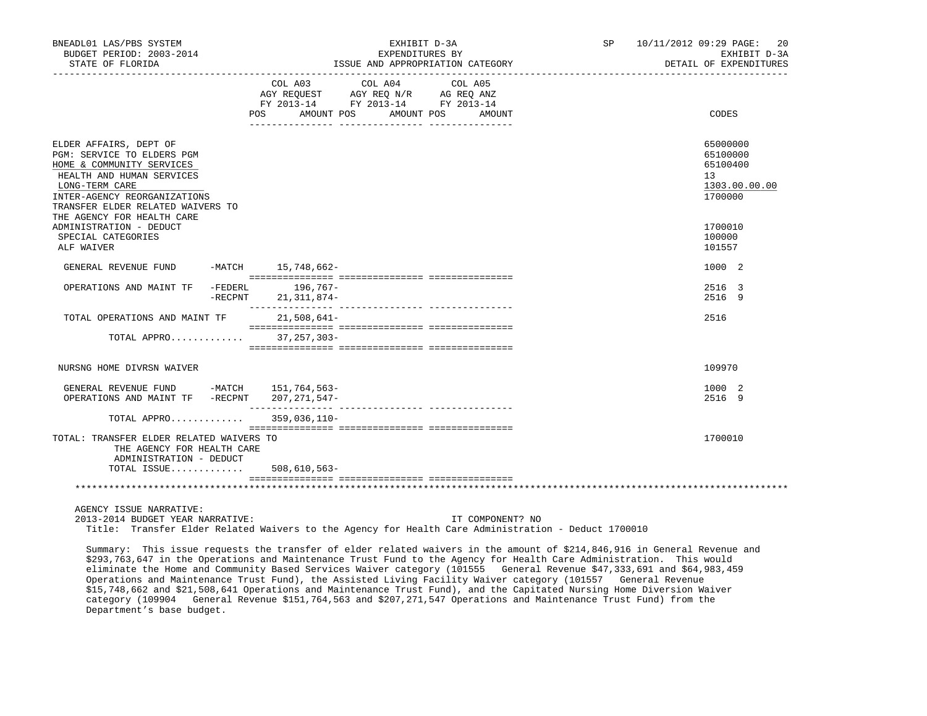| BNEADL01 LAS/PBS SYSTEM<br>BUDGET PERIOD: 2003-2014<br>STATE OF FLORIDA                                                                                                                                                             | EXHIBIT D-3A<br>EXPENDITURES BY<br>ISSUE AND APPROPRIATION CATEGORY                                                                                  | SP 10/11/2012 09:29 PAGE: 20<br>EXHIBIT D-3A<br>DETAIL OF EXPENDITURES |
|-------------------------------------------------------------------------------------------------------------------------------------------------------------------------------------------------------------------------------------|------------------------------------------------------------------------------------------------------------------------------------------------------|------------------------------------------------------------------------|
|                                                                                                                                                                                                                                     | COL A03<br>COL A04<br>COL A05<br>AGY REQUEST AGY REQ N/R AG REQ ANZ<br>FY 2013-14 FY 2013-14 FY 2013-14<br>AMOUNT POS<br>POS DO<br>AMOUNT POS AMOUNT | CODES                                                                  |
| ELDER AFFAIRS, DEPT OF<br>PGM: SERVICE TO ELDERS PGM<br>HOME & COMMUNITY SERVICES<br>HEALTH AND HUMAN SERVICES<br>LONG-TERM CARE<br>INTER-AGENCY REORGANIZATIONS<br>TRANSFER ELDER RELATED WAIVERS TO<br>THE AGENCY FOR HEALTH CARE |                                                                                                                                                      | 65000000<br>65100000<br>65100400<br>13<br>1303.00.00.00<br>1700000     |
| ADMINISTRATION - DEDUCT<br>SPECIAL CATEGORIES<br>ALF WAIVER                                                                                                                                                                         |                                                                                                                                                      | 1700010<br>100000<br>101557                                            |
| GENERAL REVENUE FUND -MATCH 15,748,662-                                                                                                                                                                                             |                                                                                                                                                      | 1000 2                                                                 |
| -FEDERL<br>OPERATIONS AND MAINT TF<br>$-$ RECPNT                                                                                                                                                                                    | $196,767-$<br>21, 311, 874-                                                                                                                          | 2516 3<br>2516 9                                                       |
| TOTAL OPERATIONS AND MAINT TF                                                                                                                                                                                                       | $21,508,641-$                                                                                                                                        | 2516                                                                   |
| TOTAL APPRO                                                                                                                                                                                                                         | $37, 257, 303 -$                                                                                                                                     |                                                                        |
| NURSNG HOME DIVRSN WAIVER                                                                                                                                                                                                           |                                                                                                                                                      | 109970                                                                 |
| GENERAL REVENUE FUND -MATCH 151,764,563-<br>OPERATIONS AND MAINT TF -RECPNT 207, 271, 547-                                                                                                                                          |                                                                                                                                                      | 1000 2<br>2516 9                                                       |
| TOTAL APPRO                                                                                                                                                                                                                         | 359,036,110-                                                                                                                                         |                                                                        |
| TOTAL: TRANSFER ELDER RELATED WAIVERS TO<br>THE AGENCY FOR HEALTH CARE<br>ADMINISTRATION - DEDUCT                                                                                                                                   |                                                                                                                                                      | 1700010                                                                |
| TOTAL ISSUE                                                                                                                                                                                                                         | $508,610,563-$                                                                                                                                       |                                                                        |
|                                                                                                                                                                                                                                     |                                                                                                                                                      |                                                                        |
| AGENCY ISSUE NARRATIVE:<br>2013-2014 BUDGET YEAR NARRATIVE:                                                                                                                                                                         | IT COMPONENT? NO<br>Title: Transfer Elder Related Waivers to the Agency for Health Care Administration - Deduct 1700010                              |                                                                        |

 Summary: This issue requests the transfer of elder related waivers in the amount of \$214,846,916 in General Revenue and \$293,763,647 in the Operations and Maintenance Trust Fund to the Agency for Health Care Administration. This would eliminate the Home and Community Based Services Waiver category (101555 General Revenue \$47,333,691 and \$64,983,459 Operations and Maintenance Trust Fund), the Assisted Living Facility Waiver category (101557 General Revenue \$15,748,662 and \$21,508,641 Operations and Maintenance Trust Fund), and the Capitated Nursing Home Diversion Waiver category (109904 General Revenue \$151,764,563 and \$207,271,547 Operations and Maintenance Trust Fund) from the Department's base budget.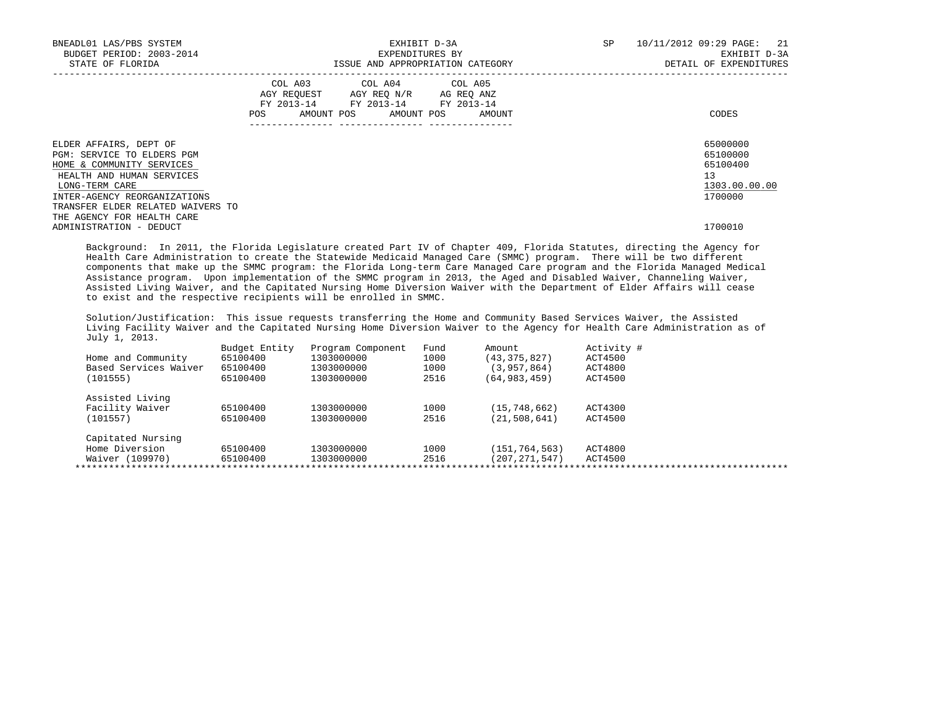| BNEADL01 LAS/PBS SYSTEM<br>BUDGET PERIOD: 2003-2014<br>STATE OF FLORIDA                                                          |     | EXHIBIT D-3A<br>EXPENDITURES BY<br>ISSUE AND APPROPRIATION CATEGORY |                                                                                                                                   |  |  | SP | 10/11/2012 09:29 PAGE: 21<br>EXHIBIT D-3A<br>DETAIL OF EXPENDITURES |                                                         |
|----------------------------------------------------------------------------------------------------------------------------------|-----|---------------------------------------------------------------------|-----------------------------------------------------------------------------------------------------------------------------------|--|--|----|---------------------------------------------------------------------|---------------------------------------------------------|
|                                                                                                                                  | POS |                                                                     | COL A03 COL A04 COL A05<br>AGY REQUEST AGY REO N/R AG REO ANZ<br>FY 2013-14 FY 2013-14 FY 2013-14<br>AMOUNT POS AMOUNT POS AMOUNT |  |  |    |                                                                     | CODES                                                   |
| ELDER AFFAIRS, DEPT OF<br>PGM: SERVICE TO ELDERS PGM<br>HOME & COMMUNITY SERVICES<br>HEALTH AND HUMAN SERVICES<br>LONG-TERM CARE |     |                                                                     |                                                                                                                                   |  |  |    |                                                                     | 65000000<br>65100000<br>65100400<br>13<br>1303.00.00.00 |
| INTER-AGENCY REORGANIZATIONS<br>TRANSFER ELDER RELATED WAIVERS TO<br>THE AGENCY FOR HEALTH CARE<br>ADMINISTRATION - DEDUCT       |     |                                                                     |                                                                                                                                   |  |  |    |                                                                     | 1700000<br>1700010                                      |

 Background: In 2011, the Florida Legislature created Part IV of Chapter 409, Florida Statutes, directing the Agency for Health Care Administration to create the Statewide Medicaid Managed Care (SMMC) program. There will be two different components that make up the SMMC program: the Florida Long-term Care Managed Care program and the Florida Managed Medical Assistance program. Upon implementation of the SMMC program in 2013, the Aged and Disabled Waiver, Channeling Waiver, Assisted Living Waiver, and the Capitated Nursing Home Diversion Waiver with the Department of Elder Affairs will cease to exist and the respective recipients will be enrolled in SMMC.

 Solution/Justification: This issue requests transferring the Home and Community Based Services Waiver, the Assisted Living Facility Waiver and the Capitated Nursing Home Diversion Waiver to the Agency for Health Care Administration as of July 1, 2013.

|                       | Budget Entity | Program Component | Fund | Amount          | Activity # |
|-----------------------|---------------|-------------------|------|-----------------|------------|
| Home and Community    | 65100400      | 1303000000        | 1000 | (43, 375, 827)  | ACT4500    |
| Based Services Waiver | 65100400      | 1303000000        | 1000 | (3, 957, 864)   | ACT4800    |
| (101555)              | 65100400      | 1303000000        | 2516 | (64, 983, 459)  | ACT4500    |
| Assisted Living       |               |                   |      |                 |            |
| Facility Waiver       | 65100400      | 1303000000        | 1000 | (15, 748, 662)  | ACT4300    |
| (101557)              | 65100400      | 1303000000        | 2516 | (21, 508, 641)  | ACT4500    |
| Capitated Nursing     |               |                   |      |                 |            |
| Home Diversion        | 65100400      | 1303000000        | 1000 | (151, 764, 563) | ACT4800    |
| Waiver (109970)       | 65100400      | 1303000000        | 2516 | (207, 271, 547) | ACT4500    |
|                       |               |                   |      |                 |            |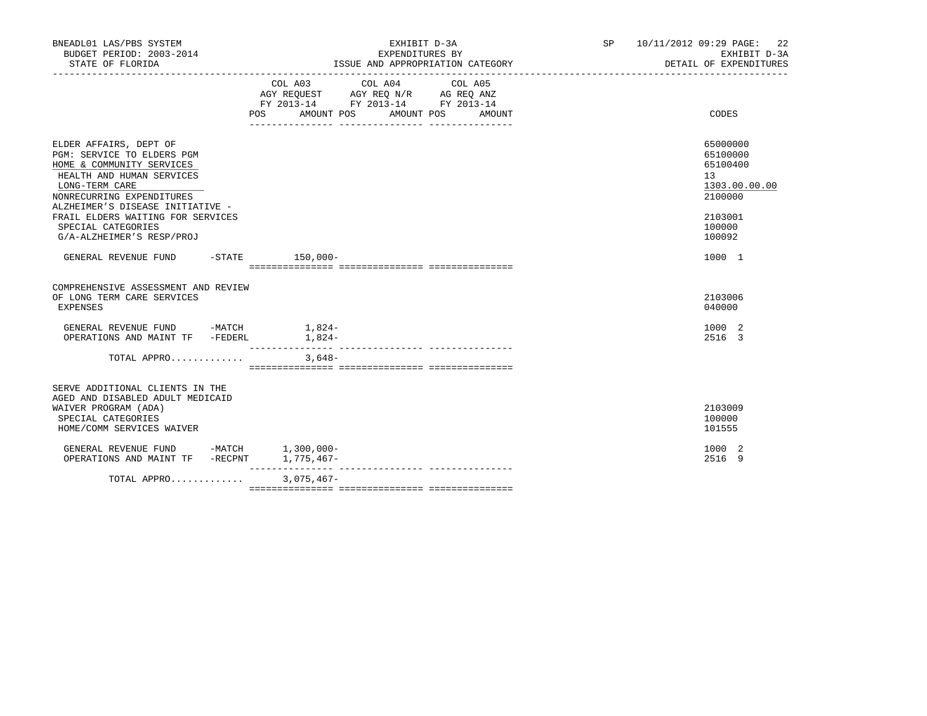| BNEADL01 LAS/PBS SYSTEM<br>BUDGET PERIOD: 2003-2014<br>STATE OF FLORIDA                                                                                                                                                                                                                   | EXHIBIT D-3A<br>EXPENDITURES BY<br>ISSUE AND APPROPRIATION CATEGORY                                                                                      | SP 10/11/2012 09:29 PAGE: 22<br>EXHIBIT D-3A<br>DETAIL OF EXPENDITURES                            |
|-------------------------------------------------------------------------------------------------------------------------------------------------------------------------------------------------------------------------------------------------------------------------------------------|----------------------------------------------------------------------------------------------------------------------------------------------------------|---------------------------------------------------------------------------------------------------|
|                                                                                                                                                                                                                                                                                           | COL A03 COL A04<br>COL A05<br>AGY REQUEST AGY REQ N/R AG REQ ANZ<br>FY 2013-14 FY 2013-14 FY 2013-14<br><b>POS</b><br>AMOUNT POS<br>AMOUNT POS<br>AMOUNT | CODES                                                                                             |
| ELDER AFFAIRS, DEPT OF<br>PGM: SERVICE TO ELDERS PGM<br>HOME & COMMUNITY SERVICES<br>HEALTH AND HUMAN SERVICES<br>LONG-TERM CARE<br>NONRECURRING EXPENDITURES<br>ALZHEIMER'S DISEASE INITIATIVE -<br>FRAIL ELDERS WAITING FOR SERVICES<br>SPECIAL CATEGORIES<br>G/A-ALZHEIMER'S RESP/PROJ |                                                                                                                                                          | 65000000<br>65100000<br>65100400<br>13<br>1303.00.00.00<br>2100000<br>2103001<br>100000<br>100092 |
| GENERAL REVENUE FUND                                                                                                                                                                                                                                                                      | -STATE 150,000-                                                                                                                                          | 1000 1                                                                                            |
| COMPREHENSIVE ASSESSMENT AND REVIEW<br>OF LONG TERM CARE SERVICES<br><b>EXPENSES</b>                                                                                                                                                                                                      |                                                                                                                                                          | 2103006<br>040000                                                                                 |
| GENERAL REVENUE FUND -MATCH<br>OPERATIONS AND MAINT TF -FEDERL                                                                                                                                                                                                                            | $1,824-$<br>$1,824-$                                                                                                                                     | 1000 2<br>2516 3                                                                                  |
| TOTAL APPRO                                                                                                                                                                                                                                                                               | $3,648-$                                                                                                                                                 |                                                                                                   |
| SERVE ADDITIONAL CLIENTS IN THE<br>AGED AND DISABLED ADULT MEDICAID<br>WAIVER PROGRAM (ADA)<br>SPECIAL CATEGORIES<br>HOME/COMM SERVICES WAIVER                                                                                                                                            |                                                                                                                                                          | 2103009<br>100000<br>101555                                                                       |
| GENERAL REVENUE FUND -MATCH 1,300,000-<br>OPERATIONS AND MAINT TF -RECPNT 1,775,467-                                                                                                                                                                                                      |                                                                                                                                                          | 1000 2<br>2516 9                                                                                  |
| TOTAL APPRO                                                                                                                                                                                                                                                                               | $3,075,467-$                                                                                                                                             |                                                                                                   |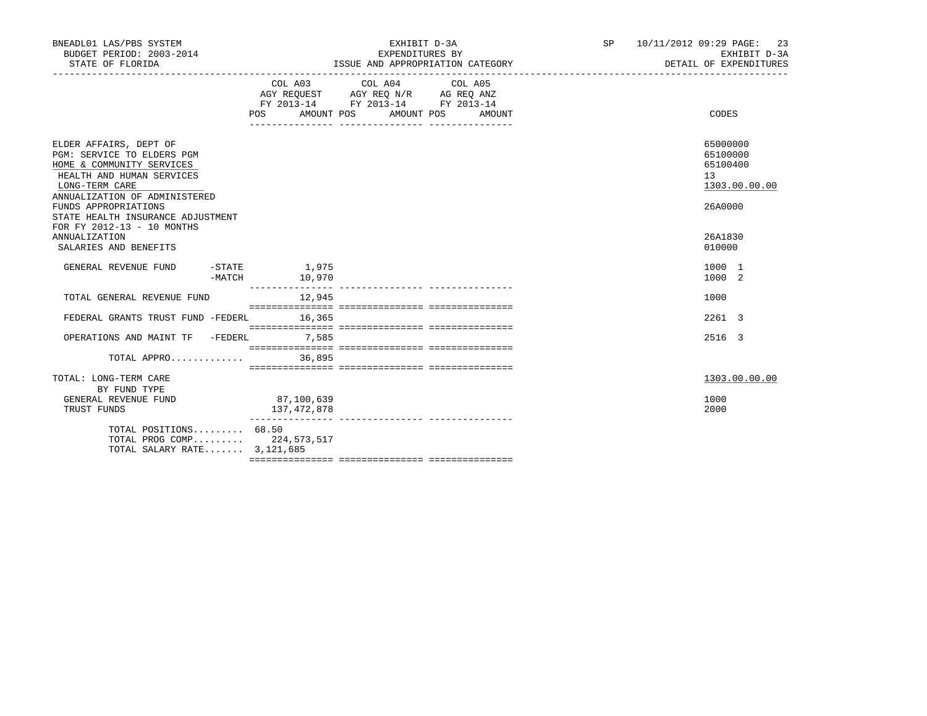| BNEADL01 LAS/PBS SYSTEM<br>BUDGET PERIOD: 2003-2014<br>STATE OF FLORIDA                                                                                           |                                       | EXHIBIT D-3A<br>EXPENDITURES BY<br>ISSUE AND APPROPRIATION CATEGORY                                                                   | SP 10/11/2012 09:29 PAGE: 23<br>EXHIBIT D-3A<br>DETAIL OF EXPENDITURES |
|-------------------------------------------------------------------------------------------------------------------------------------------------------------------|---------------------------------------|---------------------------------------------------------------------------------------------------------------------------------------|------------------------------------------------------------------------|
|                                                                                                                                                                   |                                       | COL A03 COL A04 COL A05<br>AGY REQUEST AGY REQ N/R AG REQ ANZ<br>FY 2013-14 FY 2013-14 FY 2013-14<br>POS AMOUNT POS AMOUNT POS AMOUNT | CODES                                                                  |
| ELDER AFFAIRS, DEPT OF<br>PGM: SERVICE TO ELDERS PGM<br>HOME & COMMUNITY SERVICES<br>HEALTH AND HUMAN SERVICES<br>LONG-TERM CARE<br>ANNUALIZATION OF ADMINISTERED |                                       |                                                                                                                                       | 65000000<br>65100000<br>65100400<br>13<br>1303.00.00.00                |
| FUNDS APPROPRIATIONS<br>STATE HEALTH INSURANCE ADJUSTMENT<br>FOR FY 2012-13 - 10 MONTHS<br><b>ANNUALIZATION</b><br>SALARIES AND BENEFITS                          |                                       |                                                                                                                                       | 26A0000<br>26A1830<br>010000                                           |
| GENERAL REVENUE FUND                                                                                                                                              | $-$ STATE $1,975$<br>-MATCH<br>10,970 |                                                                                                                                       | 1000 1<br>1000 2                                                       |
| TOTAL GENERAL REVENUE FUND                                                                                                                                        | 12,945                                |                                                                                                                                       | 1000                                                                   |
| FEDERAL GRANTS TRUST FUND -FEDERL 16,365                                                                                                                          |                                       |                                                                                                                                       | 2261 3                                                                 |
| OPERATIONS AND MAINT TF -FEDERL 7,585                                                                                                                             |                                       |                                                                                                                                       | 2516 3                                                                 |
|                                                                                                                                                                   |                                       |                                                                                                                                       |                                                                        |
| TOTAL: LONG-TERM CARE<br>BY FUND TYPE<br>GENERAL REVENUE FUND                                                                                                     | 87,100,639                            |                                                                                                                                       | 1303.00.00.00<br>1000                                                  |
| TRUST FUNDS                                                                                                                                                       | 137,472,878                           |                                                                                                                                       | 2000                                                                   |
| TOTAL POSITIONS 68.50<br>TOTAL PROG COMP 224,573,517<br>TOTAL SALARY RATE 3, 121, 685                                                                             |                                       |                                                                                                                                       |                                                                        |
|                                                                                                                                                                   |                                       |                                                                                                                                       |                                                                        |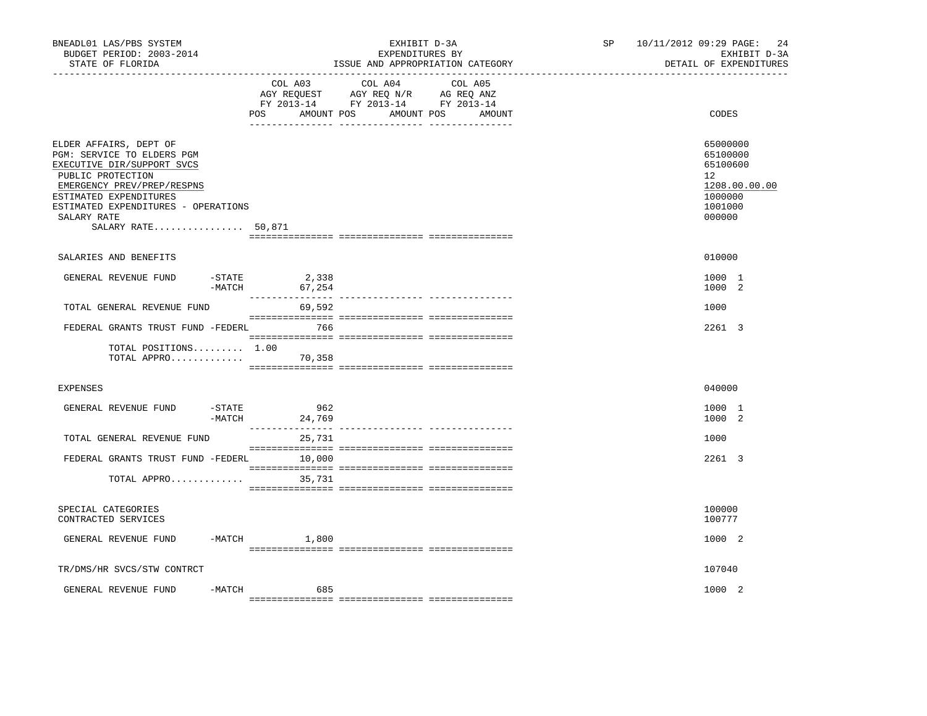| BNEADL01 LAS/PBS SYSTEM<br>BUDGET PERIOD: 2003-2014<br>STATE OF FLORIDA                                                                                                                                                                     |                                      | EXHIBIT D-3A<br>EXPENDITURES BY<br>ISSUE AND APPROPRIATION CATEGORY                                                               | <b>SP</b> | 10/11/2012 09:29 PAGE:<br>24<br>EXHIBIT D-3A<br>DETAIL OF EXPENDITURES                  |
|---------------------------------------------------------------------------------------------------------------------------------------------------------------------------------------------------------------------------------------------|--------------------------------------|-----------------------------------------------------------------------------------------------------------------------------------|-----------|-----------------------------------------------------------------------------------------|
|                                                                                                                                                                                                                                             | POS                                  | COL A03 COL A04 COL A05<br>AGY REQUEST AGY REQ N/R AG REQ ANZ<br>FY 2013-14 FY 2013-14 FY 2013-14<br>AMOUNT POS AMOUNT POS AMOUNT |           | CODES                                                                                   |
| ELDER AFFAIRS, DEPT OF<br>PGM: SERVICE TO ELDERS PGM<br>EXECUTIVE DIR/SUPPORT SVCS<br>PUBLIC PROTECTION<br>EMERGENCY PREV/PREP/RESPNS<br>ESTIMATED EXPENDITURES<br>ESTIMATED EXPENDITURES - OPERATIONS<br>SALARY RATE<br>SALARY RATE 50,871 |                                      |                                                                                                                                   |           | 65000000<br>65100000<br>65100600<br>12<br>1208.00.00.00<br>1000000<br>1001000<br>000000 |
| SALARIES AND BENEFITS                                                                                                                                                                                                                       |                                      |                                                                                                                                   |           | 010000                                                                                  |
| GENERAL REVENUE FUND                                                                                                                                                                                                                        | $-STATE$ 2,338<br>$-MATCH$<br>67,254 |                                                                                                                                   |           | 1000 1<br>1000 2                                                                        |
| TOTAL GENERAL REVENUE FUND                                                                                                                                                                                                                  | 69,592                               |                                                                                                                                   |           | 1000                                                                                    |
| FEDERAL GRANTS TRUST FUND -FEDERL 766<br>TOTAL POSITIONS 1.00<br>TOTAL APPRO 70,358                                                                                                                                                         |                                      |                                                                                                                                   |           | 2261 3                                                                                  |
| <b>EXPENSES</b>                                                                                                                                                                                                                             |                                      |                                                                                                                                   |           | 040000                                                                                  |
| GENERAL REVENUE FUND                                                                                                                                                                                                                        | 962<br>$-$ STATE<br>-MATCH<br>24,769 |                                                                                                                                   |           | 1000 1<br>1000 2                                                                        |
| TOTAL GENERAL REVENUE FUND                                                                                                                                                                                                                  | 25,731                               |                                                                                                                                   |           | 1000                                                                                    |
| FEDERAL GRANTS TRUST FUND -FEDERL 10,000                                                                                                                                                                                                    |                                      |                                                                                                                                   |           | 2261 3                                                                                  |
| TOTAL APPRO                                                                                                                                                                                                                                 | 35,731                               |                                                                                                                                   |           |                                                                                         |
| SPECIAL CATEGORIES<br>CONTRACTED SERVICES                                                                                                                                                                                                   |                                      |                                                                                                                                   |           | 100000<br>100777                                                                        |
| GENERAL REVENUE FUND                                                                                                                                                                                                                        | $-MATCH$ 1,800                       |                                                                                                                                   |           | 1000 2                                                                                  |
| TR/DMS/HR SVCS/STW CONTRCT                                                                                                                                                                                                                  |                                      |                                                                                                                                   |           | 107040                                                                                  |
| GENERAL REVENUE FUND                                                                                                                                                                                                                        | -MATCH<br>685                        |                                                                                                                                   |           | 1000 2                                                                                  |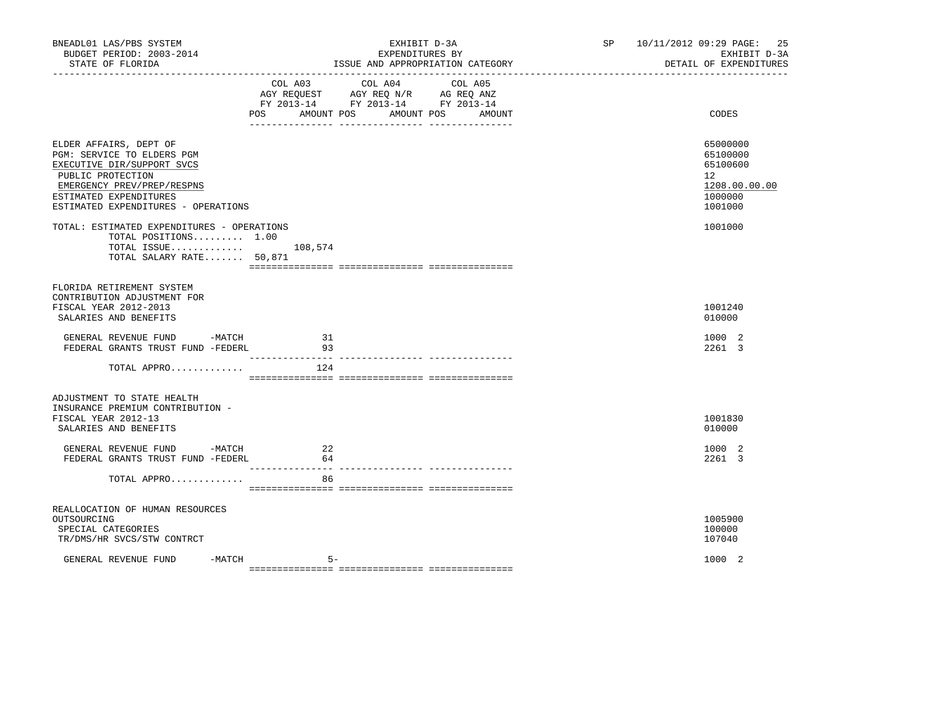| BNEADL01 LAS/PBS SYSTEM<br>BUDGET PERIOD: 2003-2014<br>STATE OF FLORIDA                                                                                                                                |                           | EXHIBIT D-3A<br>EXPENDITURES BY<br>ISSUE AND APPROPRIATION CATEGORY                               | SP <sub>2</sub> | 10/11/2012 09:29 PAGE: 25<br>EXHIBIT D-3A<br>DETAIL OF EXPENDITURES |                                                                               |
|--------------------------------------------------------------------------------------------------------------------------------------------------------------------------------------------------------|---------------------------|---------------------------------------------------------------------------------------------------|-----------------|---------------------------------------------------------------------|-------------------------------------------------------------------------------|
|                                                                                                                                                                                                        | POS AMOUNT POS AMOUNT POS | COL A03 COL A04 COL A05<br>AGY REQUEST AGY REQ N/R AG REQ ANZ<br>FY 2013-14 FY 2013-14 FY 2013-14 | AMOUNT          |                                                                     | CODES                                                                         |
| ELDER AFFAIRS, DEPT OF<br>PGM: SERVICE TO ELDERS PGM<br>EXECUTIVE DIR/SUPPORT SVCS<br>PUBLIC PROTECTION<br>EMERGENCY PREV/PREP/RESPNS<br>ESTIMATED EXPENDITURES<br>ESTIMATED EXPENDITURES - OPERATIONS |                           |                                                                                                   |                 |                                                                     | 65000000<br>65100000<br>65100600<br>12<br>1208.00.00.00<br>1000000<br>1001000 |
| TOTAL: ESTIMATED EXPENDITURES - OPERATIONS<br>TOTAL POSITIONS 1.00<br>TOTAL ISSUE 108,574<br>TOTAL SALARY RATE 50,871                                                                                  |                           |                                                                                                   |                 |                                                                     | 1001000                                                                       |
| FLORIDA RETIREMENT SYSTEM<br>CONTRIBUTION ADJUSTMENT FOR<br>FISCAL YEAR 2012-2013<br>SALARIES AND BENEFITS                                                                                             |                           |                                                                                                   |                 |                                                                     | 1001240<br>010000                                                             |
| GENERAL REVENUE FUND -MATCH<br>FEDERAL GRANTS TRUST FUND -FEDERL                                                                                                                                       | 31<br>93                  |                                                                                                   |                 |                                                                     | 1000 2<br>2261 3                                                              |
| TOTAL APPRO                                                                                                                                                                                            | 124                       |                                                                                                   |                 |                                                                     |                                                                               |
| ADJUSTMENT TO STATE HEALTH<br>INSURANCE PREMIUM CONTRIBUTION -<br>FISCAL YEAR 2012-13<br>SALARIES AND BENEFITS                                                                                         |                           |                                                                                                   |                 |                                                                     | 1001830<br>010000                                                             |
| GENERAL REVENUE FUND<br>$-MATCH$<br>FEDERAL GRANTS TRUST FUND -FEDERL                                                                                                                                  | 22<br>64                  |                                                                                                   |                 |                                                                     | 1000 2<br>2261 3                                                              |
| TOTAL APPRO                                                                                                                                                                                            | 86                        |                                                                                                   |                 |                                                                     |                                                                               |
| REALLOCATION OF HUMAN RESOURCES<br>OUTSOURCING<br>SPECIAL CATEGORIES<br>TR/DMS/HR SVCS/STW CONTRCT                                                                                                     |                           |                                                                                                   |                 |                                                                     | 1005900<br>100000<br>107040                                                   |
| GENERAL REVENUE FUND                                                                                                                                                                                   | $-MATCH$<br>$5 -$         |                                                                                                   |                 |                                                                     | 1000 2                                                                        |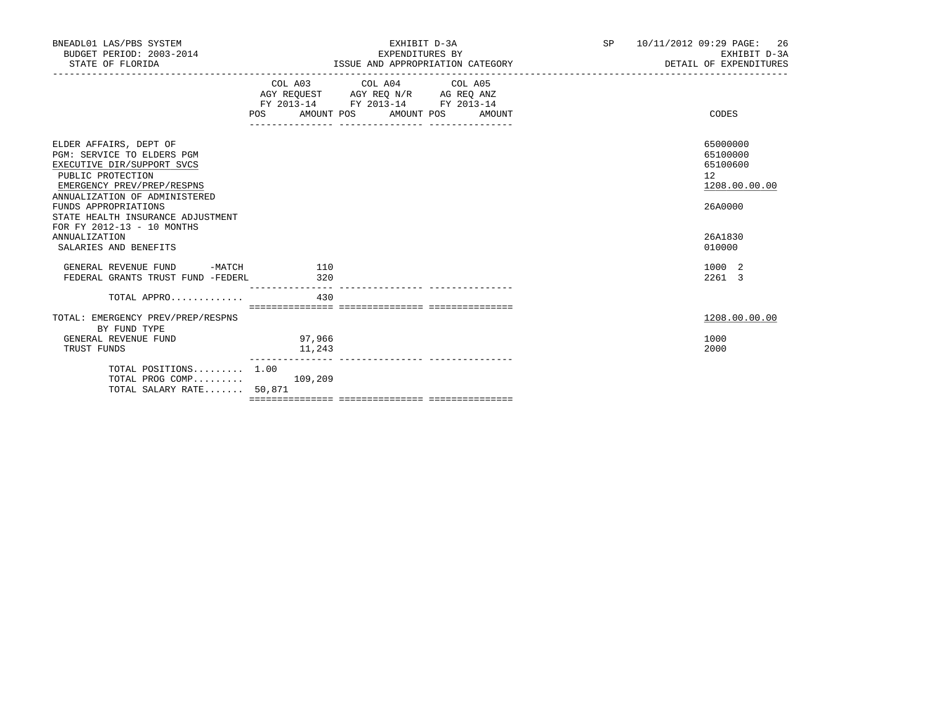| BNEADL01 LAS/PBS SYSTEM<br>BUDGET PERIOD: 2003-2014<br>STATE OF FLORIDA                                                                                                                                                                                                                                            |                  | EXHIBIT D-3A<br>EXPENDITURES BY<br>ISSUE AND APPROPRIATION CATEGORY                                                                   | SP | 10/11/2012 09:29 PAGE: 26<br>EXHIBIT D-3A<br>DETAIL OF EXPENDITURES |                                                                                         |
|--------------------------------------------------------------------------------------------------------------------------------------------------------------------------------------------------------------------------------------------------------------------------------------------------------------------|------------------|---------------------------------------------------------------------------------------------------------------------------------------|----|---------------------------------------------------------------------|-----------------------------------------------------------------------------------------|
|                                                                                                                                                                                                                                                                                                                    |                  | COL A03 COL A04 COL A05<br>AGY REQUEST AGY REQ N/R AG REQ ANZ<br>FY 2013-14 FY 2013-14 FY 2013-14<br>POS AMOUNT POS AMOUNT POS AMOUNT |    |                                                                     | CODES                                                                                   |
| ELDER AFFAIRS, DEPT OF<br>PGM: SERVICE TO ELDERS PGM<br>EXECUTIVE DIR/SUPPORT SVCS<br>PUBLIC PROTECTION<br>EMERGENCY PREV/PREP/RESPNS<br>ANNUALIZATION OF ADMINISTERED<br>FUNDS APPROPRIATIONS<br>STATE HEALTH INSURANCE ADJUSTMENT<br>FOR FY 2012-13 - 10 MONTHS<br><b>ANNUALIZATION</b><br>SALARIES AND BENEFITS |                  |                                                                                                                                       |    |                                                                     | 65000000<br>65100000<br>65100600<br>12<br>1208.00.00.00<br>26A0000<br>26A1830<br>010000 |
| GENERAL REVENUE FUND -MATCH<br>FEDERAL GRANTS TRUST FUND -FEDERL                                                                                                                                                                                                                                                   | 110<br>320       |                                                                                                                                       |    |                                                                     | 1000 2<br>2261 3                                                                        |
| TOTAL APPRO<br>TOTAL: EMERGENCY PREV/PREP/RESPNS                                                                                                                                                                                                                                                                   | 430              |                                                                                                                                       |    |                                                                     | 1208.00.00.00                                                                           |
| BY FUND TYPE<br>GENERAL REVENUE FUND<br>TRUST FUNDS                                                                                                                                                                                                                                                                | 97,966<br>11,243 |                                                                                                                                       |    |                                                                     | 1000<br>2000                                                                            |
| TOTAL POSITIONS 1.00<br>TOTAL PROG COMP $109,209$<br>TOTAL SALARY RATE 50,871                                                                                                                                                                                                                                      |                  |                                                                                                                                       |    |                                                                     |                                                                                         |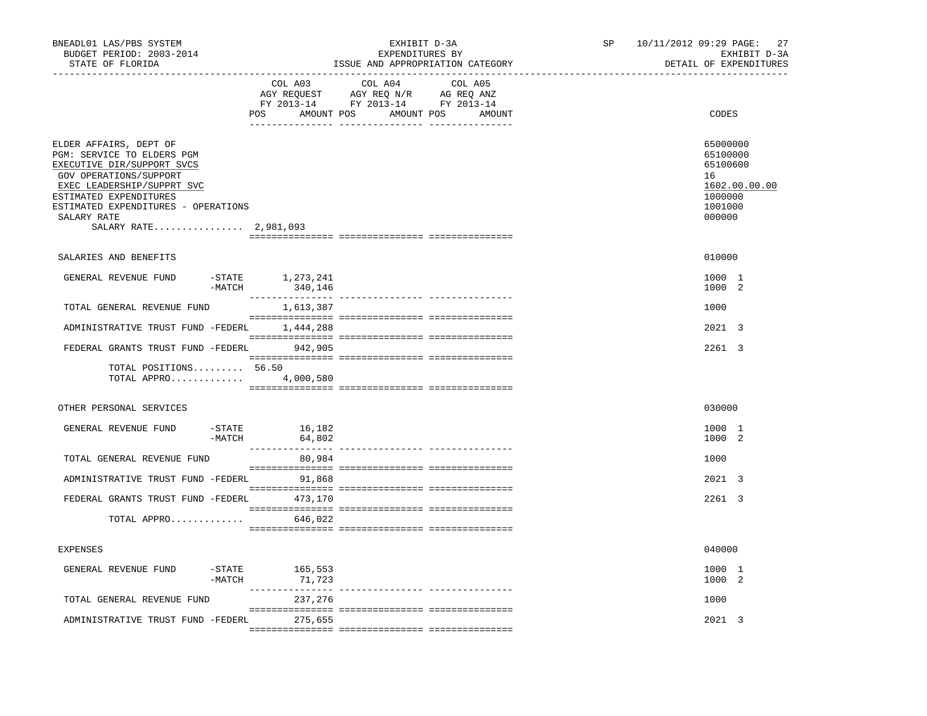| BNEADL01 LAS/PBS SYSTEM<br>BUDGET PERIOD: 2003-2014<br>STATE OF FLORIDA                                                                                                                                                                             | ---------------------------------    | EXHIBIT D-3A<br>EXPENDITURES BY<br>ISSUE AND APPROPRIATION CATEGORY                                                                                                                                                                                                | SP <sub>2</sub><br>-------------------------------- | 10/11/2012 09:29 PAGE:<br>27<br>EXHIBIT D-3A<br>DETAIL OF EXPENDITURES |                                                                                         |
|-----------------------------------------------------------------------------------------------------------------------------------------------------------------------------------------------------------------------------------------------------|--------------------------------------|--------------------------------------------------------------------------------------------------------------------------------------------------------------------------------------------------------------------------------------------------------------------|-----------------------------------------------------|------------------------------------------------------------------------|-----------------------------------------------------------------------------------------|
|                                                                                                                                                                                                                                                     | COL A03                              | COL A04<br>$\begin{tabular}{lllllllll} \bf{AGY} & \bf{REQUEST} & \bf{AGY} & \bf{REQ} & \bf{IN/R} & \bf{AG} & \bf{REQ} & \bf{ANZ} \\ \bf{FY} & \bf{2013-14} & \bf{FY} & \bf{2013-14} & \bf{FY} & \bf{2013-14} \\ \end{tabular}$<br>POS AMOUNT POS AMOUNT POS AMOUNT | COL A05                                             |                                                                        | CODES                                                                                   |
| ELDER AFFAIRS, DEPT OF<br>PGM: SERVICE TO ELDERS PGM<br>EXECUTIVE DIR/SUPPORT SVCS<br>GOV OPERATIONS/SUPPORT<br>EXEC LEADERSHIP/SUPPRT SVC<br>ESTIMATED EXPENDITURES<br>ESTIMATED EXPENDITURES - OPERATIONS<br>SALARY RATE<br>SALARY RATE 2,981,093 |                                      |                                                                                                                                                                                                                                                                    |                                                     |                                                                        | 65000000<br>65100000<br>65100600<br>16<br>1602.00.00.00<br>1000000<br>1001000<br>000000 |
| SALARIES AND BENEFITS                                                                                                                                                                                                                               |                                      |                                                                                                                                                                                                                                                                    |                                                     |                                                                        | 010000                                                                                  |
| GENERAL REVENUE FUND                                                                                                                                                                                                                                | -STATE 1,273,241<br>$-MATCH$ 340,146 |                                                                                                                                                                                                                                                                    |                                                     |                                                                        | 1000 1<br>1000 2                                                                        |
| TOTAL GENERAL REVENUE FUND                                                                                                                                                                                                                          | 1,613,387                            |                                                                                                                                                                                                                                                                    |                                                     |                                                                        | 1000                                                                                    |
| ADMINISTRATIVE TRUST FUND -FEDERL 1,444,288                                                                                                                                                                                                         |                                      |                                                                                                                                                                                                                                                                    |                                                     |                                                                        | $2021 \quad 3$                                                                          |
| FEDERAL GRANTS TRUST FUND -FEDERL 942,905                                                                                                                                                                                                           |                                      |                                                                                                                                                                                                                                                                    |                                                     |                                                                        | $2261 \quad 3$                                                                          |
| TOTAL POSITIONS 56.50<br>TOTAL APPRO 4,000,580                                                                                                                                                                                                      |                                      |                                                                                                                                                                                                                                                                    |                                                     |                                                                        |                                                                                         |
| OTHER PERSONAL SERVICES                                                                                                                                                                                                                             |                                      |                                                                                                                                                                                                                                                                    |                                                     |                                                                        | 030000                                                                                  |
| $-$ STATE<br>GENERAL REVENUE FUND<br>$-MATCH$                                                                                                                                                                                                       | 16,182<br>64,802                     |                                                                                                                                                                                                                                                                    |                                                     |                                                                        | 1000 1<br>1000 2                                                                        |
| TOTAL GENERAL REVENUE FUND                                                                                                                                                                                                                          | 80,984                               |                                                                                                                                                                                                                                                                    |                                                     |                                                                        | 1000                                                                                    |
| ADMINISTRATIVE TRUST FUND -FEDERL 91,868                                                                                                                                                                                                            |                                      |                                                                                                                                                                                                                                                                    |                                                     |                                                                        | 2021 3                                                                                  |
| FEDERAL GRANTS TRUST FUND -FEDERL 473,170                                                                                                                                                                                                           |                                      |                                                                                                                                                                                                                                                                    |                                                     |                                                                        | 2261 3                                                                                  |
| TOTAL APPRO                                                                                                                                                                                                                                         | 646,022                              |                                                                                                                                                                                                                                                                    |                                                     |                                                                        |                                                                                         |
| <b>EXPENSES</b>                                                                                                                                                                                                                                     |                                      |                                                                                                                                                                                                                                                                    |                                                     |                                                                        | 040000                                                                                  |
| $-$ STATE<br>GENERAL REVENUE FUND<br>$-MATCH$                                                                                                                                                                                                       | 165,553<br>71,723                    |                                                                                                                                                                                                                                                                    |                                                     |                                                                        | 1000 1<br>1000 2                                                                        |
| TOTAL GENERAL REVENUE FUND                                                                                                                                                                                                                          | 237,276                              |                                                                                                                                                                                                                                                                    |                                                     |                                                                        | 1000                                                                                    |
| ADMINISTRATIVE TRUST FUND -FEDERL                                                                                                                                                                                                                   | 275,655                              |                                                                                                                                                                                                                                                                    |                                                     |                                                                        | 2021 3                                                                                  |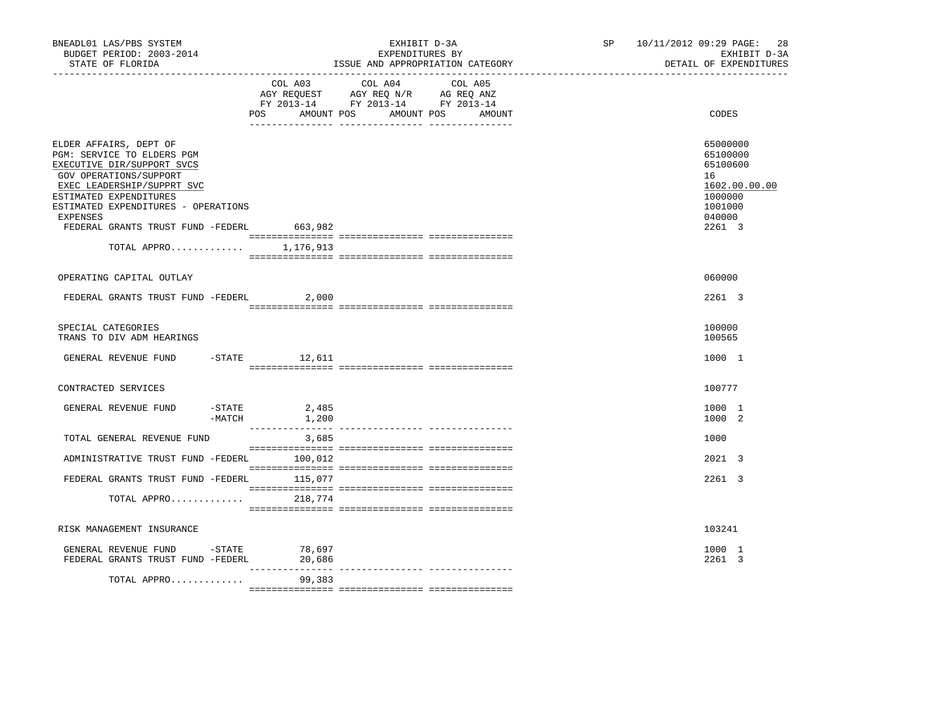| COL A03 COL A04<br>COL A05<br>AGY REQUEST AGY REQ N/R AG REQ ANZ<br>FY 2013-14 FY 2013-14 FY 2013-14<br>AMOUNT POS<br>AMOUNT POS<br>CODES<br>POS<br>AMOUNT<br>65000000<br>ELDER AFFAIRS, DEPT OF<br>PGM: SERVICE TO ELDERS PGM<br>65100000<br>EXECUTIVE DIR/SUPPORT SVCS<br>65100600<br>GOV OPERATIONS/SUPPORT<br>16<br>EXEC LEADERSHIP/SUPPRT SVC<br>1602.00.00.00<br>ESTIMATED EXPENDITURES<br>1000000<br>ESTIMATED EXPENDITURES - OPERATIONS<br>1001000<br><b>EXPENSES</b><br>040000<br>FEDERAL GRANTS TRUST FUND -FEDERL<br>663,982<br>2261 3<br>TOTAL APPRO 1,176,913<br>060000<br>OPERATING CAPITAL OUTLAY<br>FEDERAL GRANTS TRUST FUND -FEDERL<br>2261 3<br>2,000<br>SPECIAL CATEGORIES<br>100000<br>TRANS TO DIV ADM HEARINGS<br>100565<br>$-$ STATE 12,611<br>1000 1<br>GENERAL REVENUE FUND<br>CONTRACTED SERVICES<br>100777<br>$-$ STATE<br>GENERAL REVENUE FUND<br>2,485<br>1000 1<br>$-MATCH$<br>1,200<br>1000 2<br>TOTAL GENERAL REVENUE FUND<br>3,685<br>1000<br>ADMINISTRATIVE TRUST FUND -FEDERL 100,012<br>$2021 \quad 3$<br>FEDERAL GRANTS TRUST FUND -FEDERL 115,077<br>2261 3<br>TOTAL APPRO<br>218,774<br>RISK MANAGEMENT INSURANCE<br>103241<br>GENERAL REVENUE FUND -STATE<br>78,697<br>1000 1<br>FEDERAL GRANTS TRUST FUND -FEDERL<br>20,686<br>2261 3<br>____________<br>__ ________________ _______________<br>TOTAL APPRO<br>99,383 | BNEADL01 LAS/PBS SYSTEM<br>BUDGET PERIOD: 2003-2014<br>STATE OF FLORIDA | EXHIBIT D-3A<br>EXPENDITURES BY<br>ISSUE AND APPROPRIATION CATEGORY | SP <sub>2</sub> | 10/11/2012 09:29 PAGE: 28<br>EXHIBIT D-3A<br>DETAIL OF EXPENDITURES |
|-----------------------------------------------------------------------------------------------------------------------------------------------------------------------------------------------------------------------------------------------------------------------------------------------------------------------------------------------------------------------------------------------------------------------------------------------------------------------------------------------------------------------------------------------------------------------------------------------------------------------------------------------------------------------------------------------------------------------------------------------------------------------------------------------------------------------------------------------------------------------------------------------------------------------------------------------------------------------------------------------------------------------------------------------------------------------------------------------------------------------------------------------------------------------------------------------------------------------------------------------------------------------------------------------------------------------------------------------------------------|-------------------------------------------------------------------------|---------------------------------------------------------------------|-----------------|---------------------------------------------------------------------|
|                                                                                                                                                                                                                                                                                                                                                                                                                                                                                                                                                                                                                                                                                                                                                                                                                                                                                                                                                                                                                                                                                                                                                                                                                                                                                                                                                                 |                                                                         |                                                                     |                 |                                                                     |
|                                                                                                                                                                                                                                                                                                                                                                                                                                                                                                                                                                                                                                                                                                                                                                                                                                                                                                                                                                                                                                                                                                                                                                                                                                                                                                                                                                 |                                                                         |                                                                     |                 |                                                                     |
|                                                                                                                                                                                                                                                                                                                                                                                                                                                                                                                                                                                                                                                                                                                                                                                                                                                                                                                                                                                                                                                                                                                                                                                                                                                                                                                                                                 |                                                                         |                                                                     |                 |                                                                     |
|                                                                                                                                                                                                                                                                                                                                                                                                                                                                                                                                                                                                                                                                                                                                                                                                                                                                                                                                                                                                                                                                                                                                                                                                                                                                                                                                                                 |                                                                         |                                                                     |                 |                                                                     |
|                                                                                                                                                                                                                                                                                                                                                                                                                                                                                                                                                                                                                                                                                                                                                                                                                                                                                                                                                                                                                                                                                                                                                                                                                                                                                                                                                                 |                                                                         |                                                                     |                 |                                                                     |
|                                                                                                                                                                                                                                                                                                                                                                                                                                                                                                                                                                                                                                                                                                                                                                                                                                                                                                                                                                                                                                                                                                                                                                                                                                                                                                                                                                 |                                                                         |                                                                     |                 |                                                                     |
|                                                                                                                                                                                                                                                                                                                                                                                                                                                                                                                                                                                                                                                                                                                                                                                                                                                                                                                                                                                                                                                                                                                                                                                                                                                                                                                                                                 |                                                                         |                                                                     |                 |                                                                     |
|                                                                                                                                                                                                                                                                                                                                                                                                                                                                                                                                                                                                                                                                                                                                                                                                                                                                                                                                                                                                                                                                                                                                                                                                                                                                                                                                                                 |                                                                         |                                                                     |                 |                                                                     |
|                                                                                                                                                                                                                                                                                                                                                                                                                                                                                                                                                                                                                                                                                                                                                                                                                                                                                                                                                                                                                                                                                                                                                                                                                                                                                                                                                                 |                                                                         |                                                                     |                 |                                                                     |
|                                                                                                                                                                                                                                                                                                                                                                                                                                                                                                                                                                                                                                                                                                                                                                                                                                                                                                                                                                                                                                                                                                                                                                                                                                                                                                                                                                 |                                                                         |                                                                     |                 |                                                                     |
|                                                                                                                                                                                                                                                                                                                                                                                                                                                                                                                                                                                                                                                                                                                                                                                                                                                                                                                                                                                                                                                                                                                                                                                                                                                                                                                                                                 |                                                                         |                                                                     |                 |                                                                     |
|                                                                                                                                                                                                                                                                                                                                                                                                                                                                                                                                                                                                                                                                                                                                                                                                                                                                                                                                                                                                                                                                                                                                                                                                                                                                                                                                                                 |                                                                         |                                                                     |                 |                                                                     |
|                                                                                                                                                                                                                                                                                                                                                                                                                                                                                                                                                                                                                                                                                                                                                                                                                                                                                                                                                                                                                                                                                                                                                                                                                                                                                                                                                                 |                                                                         |                                                                     |                 |                                                                     |
|                                                                                                                                                                                                                                                                                                                                                                                                                                                                                                                                                                                                                                                                                                                                                                                                                                                                                                                                                                                                                                                                                                                                                                                                                                                                                                                                                                 |                                                                         |                                                                     |                 |                                                                     |
|                                                                                                                                                                                                                                                                                                                                                                                                                                                                                                                                                                                                                                                                                                                                                                                                                                                                                                                                                                                                                                                                                                                                                                                                                                                                                                                                                                 |                                                                         |                                                                     |                 |                                                                     |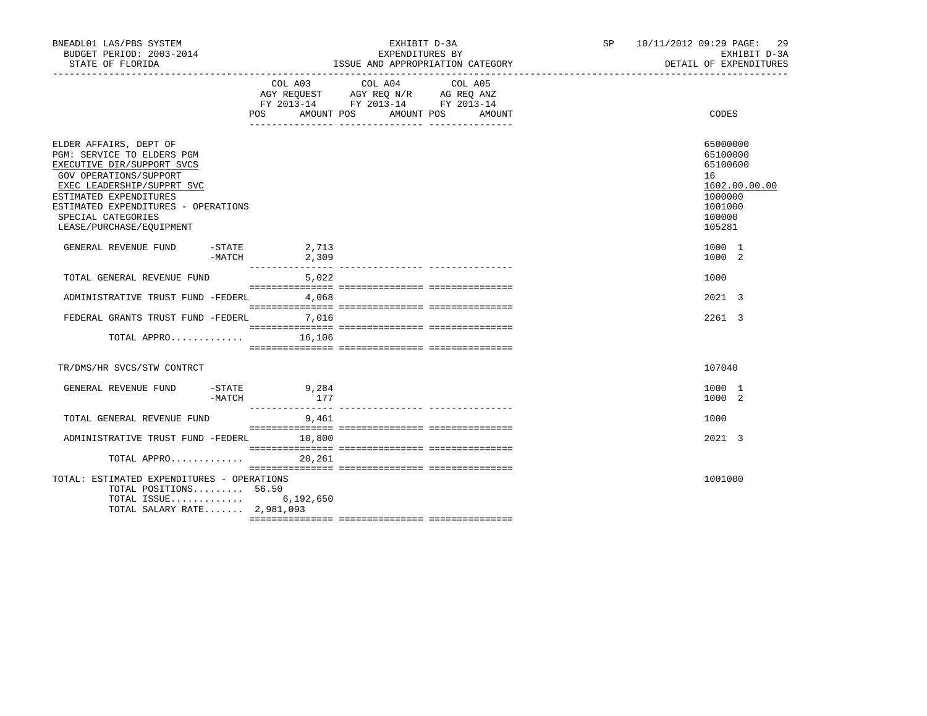| BNEADL01 LAS/PBS SYSTEM<br>BUDGET PERIOD: 2003-2014<br>STATE OF FLORIDA                                                                                                                                                                                       |        |                                                                                                            |        | ISSUE AND APPROPRIATION CATEGORY | EXHIBIT D-3A<br>EXPENDITURES BY |         |  | SP 10/11/2012 09:29 PAGE: 29 |                                                                                  | EXHIBIT D-3A<br>DETAIL OF EXPENDITURES |
|---------------------------------------------------------------------------------------------------------------------------------------------------------------------------------------------------------------------------------------------------------------|--------|------------------------------------------------------------------------------------------------------------|--------|----------------------------------|---------------------------------|---------|--|------------------------------|----------------------------------------------------------------------------------|----------------------------------------|
|                                                                                                                                                                                                                                                               |        | AGY REQUEST AGY REQ N/R AG REQ ANZ<br>FY 2013-14 FY 2013-14 FY 2013-14<br>POS AMOUNT POS AMOUNT POS AMOUNT |        | COL A03 COL A04                  |                                 | COL A05 |  |                              | CODES                                                                            |                                        |
| ELDER AFFAIRS, DEPT OF<br>PGM: SERVICE TO ELDERS PGM<br>EXECUTIVE DIR/SUPPORT SVCS<br>GOV OPERATIONS/SUPPORT<br>EXEC LEADERSHIP/SUPPRT SVC<br>ESTIMATED EXPENDITURES<br>ESTIMATED EXPENDITURES - OPERATIONS<br>SPECIAL CATEGORIES<br>LEASE/PURCHASE/EQUIPMENT |        |                                                                                                            |        |                                  |                                 |         |  |                              | 65000000<br>65100000<br>65100600<br>16<br>1000000<br>1001000<br>100000<br>105281 | 1602.00.00.00                          |
| GENERAL REVENUE FUND                                                                                                                                                                                                                                          |        | $-$ STATE 2,713<br>$-MATCH$ 2,309                                                                          |        |                                  |                                 |         |  |                              | 1000 1<br>1000 2                                                                 |                                        |
| TOTAL GENERAL REVENUE FUND                                                                                                                                                                                                                                    |        |                                                                                                            | 5,022  |                                  |                                 |         |  |                              | 1000                                                                             |                                        |
| ADMINISTRATIVE TRUST FUND -FEDERL 4,068                                                                                                                                                                                                                       |        |                                                                                                            |        |                                  |                                 |         |  |                              | 2021 3                                                                           |                                        |
| FEDERAL GRANTS TRUST FUND -FEDERL 7,016                                                                                                                                                                                                                       |        |                                                                                                            |        |                                  |                                 |         |  |                              | 2261 3                                                                           |                                        |
| TOTAL APPRO $16,106$                                                                                                                                                                                                                                          |        |                                                                                                            |        |                                  |                                 |         |  |                              |                                                                                  |                                        |
| TR/DMS/HR SVCS/STW CONTRCT                                                                                                                                                                                                                                    |        |                                                                                                            |        |                                  |                                 |         |  |                              | 107040                                                                           |                                        |
| GENERAL REVENUE FUND -STATE 9,284                                                                                                                                                                                                                             | -MATCH |                                                                                                            | 177    |                                  |                                 |         |  |                              | 1000 1<br>1000 2                                                                 |                                        |
| TOTAL GENERAL REVENUE FUND                                                                                                                                                                                                                                    |        | 9,461                                                                                                      |        |                                  |                                 |         |  |                              | 1000                                                                             |                                        |
| ADMINISTRATIVE TRUST FUND -FEDERL 10,800                                                                                                                                                                                                                      |        |                                                                                                            |        |                                  |                                 |         |  |                              | 2021 3                                                                           |                                        |
| TOTAL APPRO                                                                                                                                                                                                                                                   |        |                                                                                                            | 20,261 |                                  |                                 |         |  |                              |                                                                                  |                                        |
| TOTAL: ESTIMATED EXPENDITURES - OPERATIONS<br>TOTAL POSITIONS 56.50<br>TOTAL ISSUE<br>TOTAL SALARY RATE 2,981,093                                                                                                                                             |        | 6,192,650                                                                                                  |        |                                  |                                 |         |  |                              | 1001000                                                                          |                                        |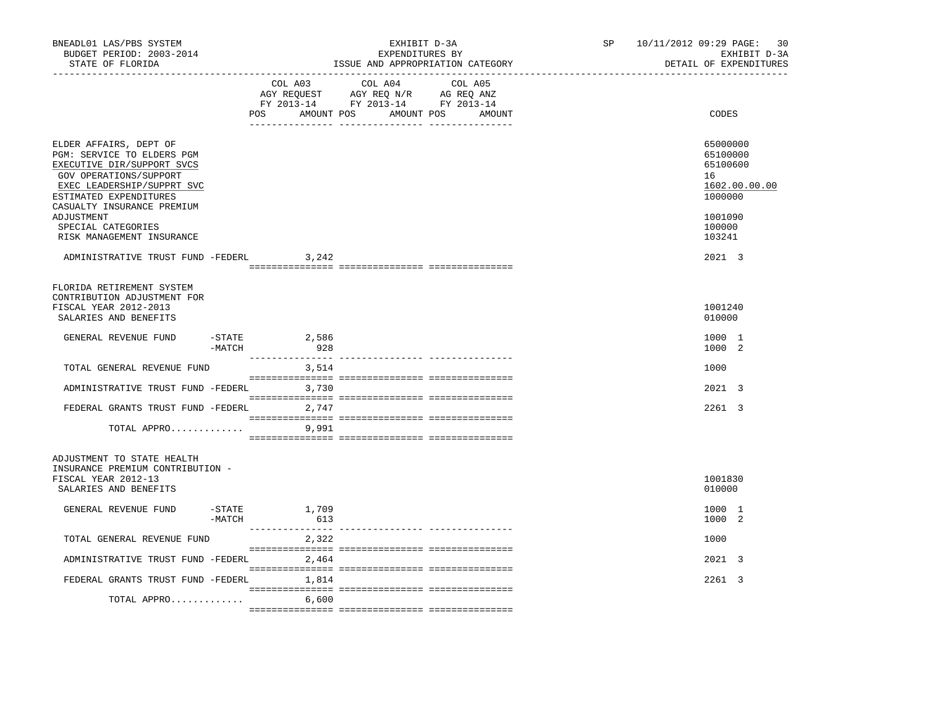| BNEADL01 LAS/PBS SYSTEM<br>BUDGET PERIOD: 2003-2014<br>STATE OF FLORIDA                                                                                                                                          |                           | EXHIBIT D-3A<br>EXPENDITURES BY<br>ISSUE AND APPROPRIATION CATEGORY                                                                   | SP and the set of the set of the set of the set of the set of the set of the set of the set of the set of the set of the set of the set of the set of the set of the set of the set of the set of the set of the set of the se | 10/11/2012 09:29 PAGE: 30<br>EXHIBIT D-3A<br>DETAIL OF EXPENDITURES           |
|------------------------------------------------------------------------------------------------------------------------------------------------------------------------------------------------------------------|---------------------------|---------------------------------------------------------------------------------------------------------------------------------------|--------------------------------------------------------------------------------------------------------------------------------------------------------------------------------------------------------------------------------|-------------------------------------------------------------------------------|
|                                                                                                                                                                                                                  |                           | COL A03 COL A04 COL A05<br>AGY REQUEST AGY REQ N/R AG REQ ANZ<br>FY 2013-14 FY 2013-14 FY 2013-14<br>POS AMOUNT POS AMOUNT POS AMOUNT |                                                                                                                                                                                                                                | CODES                                                                         |
| ELDER AFFAIRS, DEPT OF<br>PGM: SERVICE TO ELDERS PGM<br>EXECUTIVE DIR/SUPPORT SVCS<br>GOV OPERATIONS/SUPPORT<br>EXEC LEADERSHIP/SUPPRT SVC<br>ESTIMATED EXPENDITURES<br>CASUALTY INSURANCE PREMIUM<br>ADJUSTMENT |                           |                                                                                                                                       |                                                                                                                                                                                                                                | 65000000<br>65100000<br>65100600<br>16<br>1602.00.00.00<br>1000000<br>1001090 |
| SPECIAL CATEGORIES<br>RISK MANAGEMENT INSURANCE                                                                                                                                                                  |                           |                                                                                                                                       |                                                                                                                                                                                                                                | 100000<br>103241                                                              |
| ADMINISTRATIVE TRUST FUND -FEDERL 3,242                                                                                                                                                                          |                           |                                                                                                                                       |                                                                                                                                                                                                                                | 2021 3                                                                        |
| FLORIDA RETIREMENT SYSTEM<br>CONTRIBUTION ADJUSTMENT FOR<br>FISCAL YEAR 2012-2013<br>SALARIES AND BENEFITS                                                                                                       |                           |                                                                                                                                       |                                                                                                                                                                                                                                | 1001240<br>010000                                                             |
| GENERAL REVENUE FUND<br>-MATCH                                                                                                                                                                                   | $-STATE$<br>2,586<br>928  |                                                                                                                                       |                                                                                                                                                                                                                                | 1000 1<br>1000 2                                                              |
| TOTAL GENERAL REVENUE FUND                                                                                                                                                                                       | ________________<br>3,514 | __________________________________                                                                                                    |                                                                                                                                                                                                                                | 1000                                                                          |
| ADMINISTRATIVE TRUST FUND -FEDERL 3,730                                                                                                                                                                          |                           |                                                                                                                                       |                                                                                                                                                                                                                                | 2021 3                                                                        |
| FEDERAL GRANTS TRUST FUND -FEDERL 2,747                                                                                                                                                                          |                           |                                                                                                                                       |                                                                                                                                                                                                                                | 2261 3                                                                        |
| TOTAL APPRO                                                                                                                                                                                                      | 9,991                     |                                                                                                                                       |                                                                                                                                                                                                                                |                                                                               |
| ADJUSTMENT TO STATE HEALTH<br>INSURANCE PREMIUM CONTRIBUTION -<br>FISCAL YEAR 2012-13<br>SALARIES AND BENEFITS                                                                                                   |                           |                                                                                                                                       |                                                                                                                                                                                                                                | 1001830<br>010000                                                             |
| GENERAL REVENUE FUND<br>$-MATCH$                                                                                                                                                                                 | $-$ STATE $1,709$<br>613  |                                                                                                                                       |                                                                                                                                                                                                                                | 1000 1<br>1000 2                                                              |
| TOTAL GENERAL REVENUE FUND                                                                                                                                                                                       | _______________<br>2,322  |                                                                                                                                       |                                                                                                                                                                                                                                | 1000                                                                          |
| ADMINISTRATIVE TRUST FUND -FEDERL                                                                                                                                                                                | 2,464                     |                                                                                                                                       |                                                                                                                                                                                                                                | 2021 3                                                                        |
| FEDERAL GRANTS TRUST FUND -FEDERL 1,814                                                                                                                                                                          |                           |                                                                                                                                       |                                                                                                                                                                                                                                | 2261 3                                                                        |
| TOTAL APPRO                                                                                                                                                                                                      | 6,600                     |                                                                                                                                       |                                                                                                                                                                                                                                |                                                                               |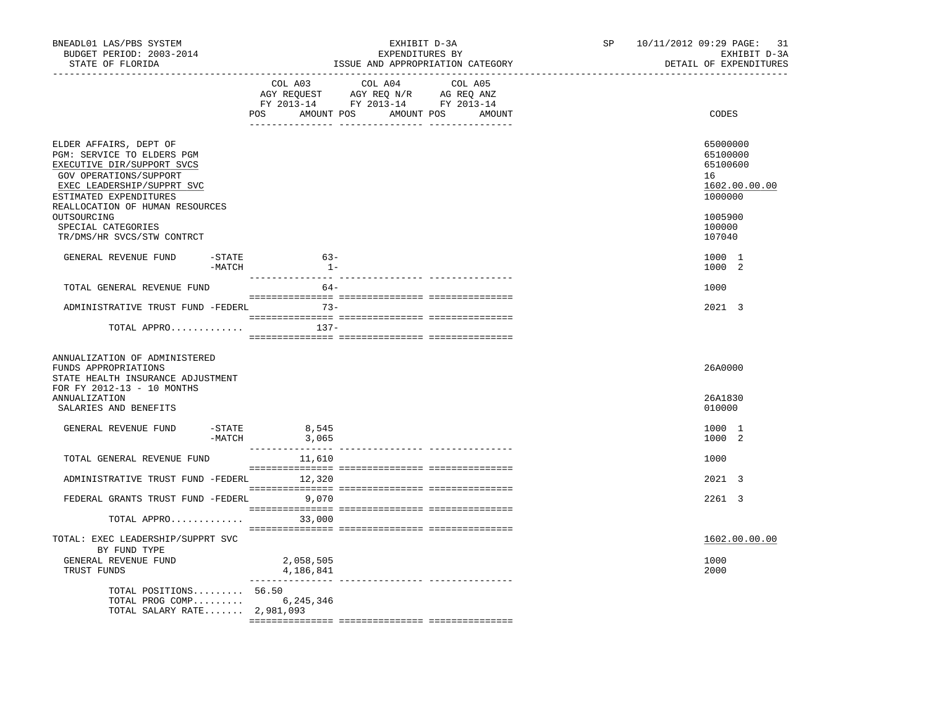| BNEADL01 LAS/PBS SYSTEM<br>BUDGET PERIOD: 2003-2014<br>STATE OF FLORIDA<br>----------------- <i>-</i>                                                                                                   | EXHIBIT D-3A<br>EXPENDITURES BY<br>ISSUE AND APPROPRIATION CATEGORY                                                                      | 10/11/2012 09:29 PAGE: 31<br>SP<br>EXHIBIT D-3A<br>DETAIL OF EXPENDITURES |
|---------------------------------------------------------------------------------------------------------------------------------------------------------------------------------------------------------|------------------------------------------------------------------------------------------------------------------------------------------|---------------------------------------------------------------------------|
|                                                                                                                                                                                                         | COL A03<br>COL A04 COL A05<br>AGY REQUEST AGY REQ N/R AG REQ ANZ<br>FY 2013-14 FY 2013-14 FY 2013-14<br>POS AMOUNT POS AMOUNT POS AMOUNT | CODES                                                                     |
| ELDER AFFAIRS, DEPT OF<br>PGM: SERVICE TO ELDERS PGM<br>EXECUTIVE DIR/SUPPORT SVCS<br>GOV OPERATIONS/SUPPORT<br>EXEC LEADERSHIP/SUPPRT SVC<br>ESTIMATED EXPENDITURES<br>REALLOCATION OF HUMAN RESOURCES |                                                                                                                                          | 65000000<br>65100000<br>65100600<br>16<br>1602.00.00.00<br>1000000        |
| OUTSOURCING<br>SPECIAL CATEGORIES<br>TR/DMS/HR SVCS/STW CONTRCT                                                                                                                                         |                                                                                                                                          | 1005900<br>100000<br>107040                                               |
| GENERAL REVENUE FUND<br>-STATE<br>-MATCH                                                                                                                                                                | $63-$<br>$1 -$                                                                                                                           | 1000 1<br>1000 2                                                          |
| TOTAL GENERAL REVENUE FUND                                                                                                                                                                              | $64-$                                                                                                                                    | 1000                                                                      |
| ADMINISTRATIVE TRUST FUND -FEDERL                                                                                                                                                                       | $73-$                                                                                                                                    | 2021 3                                                                    |
| TOTAL APPRO                                                                                                                                                                                             | 137-                                                                                                                                     |                                                                           |
| ANNUALIZATION OF ADMINISTERED<br>FUNDS APPROPRIATIONS<br>STATE HEALTH INSURANCE ADJUSTMENT<br>FOR FY 2012-13 - 10 MONTHS                                                                                |                                                                                                                                          | 26A0000                                                                   |
| ANNUALIZATION<br>SALARIES AND BENEFITS                                                                                                                                                                  |                                                                                                                                          | 26A1830<br>010000                                                         |
| GENERAL REVENUE FUND<br>$-MATCH$                                                                                                                                                                        | $-STATE$ 8,545<br>3,065                                                                                                                  | 1000 1<br>1000 2                                                          |
| TOTAL GENERAL REVENUE FUND                                                                                                                                                                              | 11,610                                                                                                                                   | 1000                                                                      |
| ADMINISTRATIVE TRUST FUND -FEDERL 12,320                                                                                                                                                                |                                                                                                                                          | 2021 3                                                                    |
| FEDERAL GRANTS TRUST FUND -FEDERL 9,070                                                                                                                                                                 |                                                                                                                                          | 2261 3                                                                    |
| TOTAL APPRO 33,000                                                                                                                                                                                      |                                                                                                                                          |                                                                           |
| TOTAL: EXEC LEADERSHIP/SUPPRT SVC<br>BY FUND TYPE                                                                                                                                                       |                                                                                                                                          | 1602.00.00.00                                                             |
| GENERAL REVENUE FUND<br>TRUST FUNDS                                                                                                                                                                     | 2,058,505<br>4,186,841                                                                                                                   | 1000<br>2000                                                              |
| TOTAL POSITIONS 56.50<br>TOTAL PROG COMP<br>TOTAL SALARY RATE 2,981,093                                                                                                                                 | 6,245,346                                                                                                                                |                                                                           |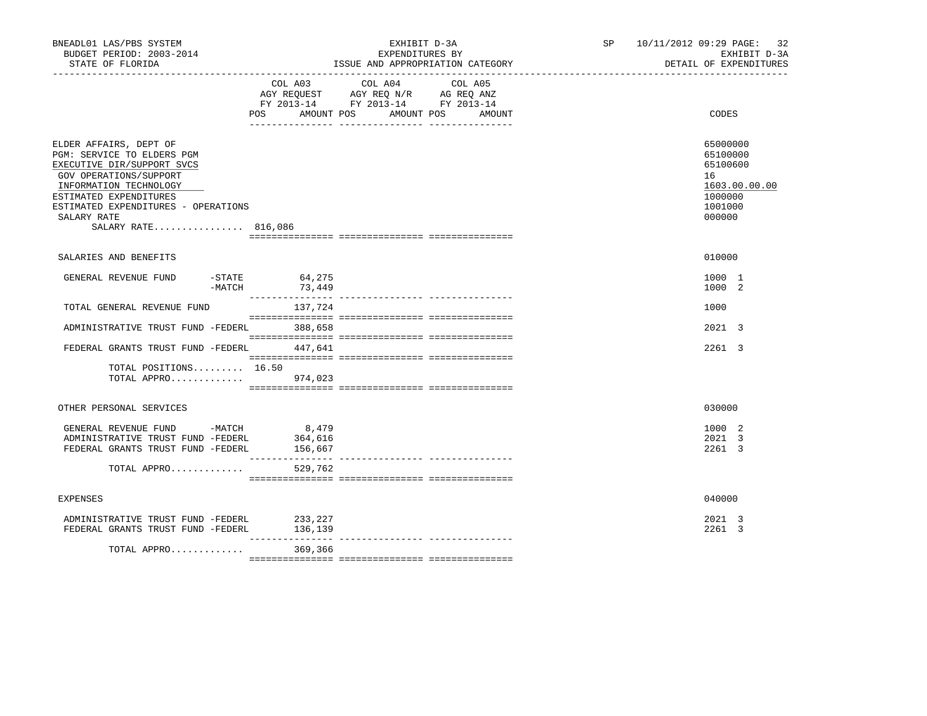| BNEADL01 LAS/PBS SYSTEM<br>BUDGET PERIOD: 2003-2014<br>STATE OF FLORIDA                                                                                                                                                                       |                                  | EXHIBIT D-3A<br>EXPENDITURES BY<br>ISSUE AND APPROPRIATION CATEGORY                                                                      | SP 10/11/2012 09:29 PAGE: 32<br>EXHIBIT D-3A<br>DETAIL OF EXPENDITURES                  |
|-----------------------------------------------------------------------------------------------------------------------------------------------------------------------------------------------------------------------------------------------|----------------------------------|------------------------------------------------------------------------------------------------------------------------------------------|-----------------------------------------------------------------------------------------|
|                                                                                                                                                                                                                                               |                                  | COL A03 COL A04 COL A05<br>AGY REQUEST AGY REQ N/R AG REQ ANZ<br>FY 2013-14 FY 2013-14 FY 2013-14<br>POS AMOUNT POS AMOUNT POS<br>AMOUNT | CODES                                                                                   |
| ELDER AFFAIRS, DEPT OF<br>PGM: SERVICE TO ELDERS PGM<br>EXECUTIVE DIR/SUPPORT SVCS<br>GOV OPERATIONS/SUPPORT<br>INFORMATION TECHNOLOGY<br>ESTIMATED EXPENDITURES<br>ESTIMATED EXPENDITURES - OPERATIONS<br>SALARY RATE<br>SALARY RATE 816,086 |                                  |                                                                                                                                          | 65000000<br>65100000<br>65100600<br>16<br>1603.00.00.00<br>1000000<br>1001000<br>000000 |
| SALARIES AND BENEFITS                                                                                                                                                                                                                         |                                  |                                                                                                                                          | 010000                                                                                  |
| GENERAL REVENUE FUND<br>$-STATE$<br>$-MATCH$                                                                                                                                                                                                  | 64,275<br>73,449                 |                                                                                                                                          | 1000 1<br>1000 2                                                                        |
| TOTAL GENERAL REVENUE FUND                                                                                                                                                                                                                    | 137,724                          |                                                                                                                                          | 1000                                                                                    |
| ADMINISTRATIVE TRUST FUND -FEDERL                                                                                                                                                                                                             | 388,658                          |                                                                                                                                          | 2021 3                                                                                  |
| FEDERAL GRANTS TRUST FUND -FEDERL 447,641                                                                                                                                                                                                     |                                  |                                                                                                                                          | 2261 3                                                                                  |
| TOTAL POSITIONS $16.50$<br>TOTAL APPRO 974,023                                                                                                                                                                                                |                                  |                                                                                                                                          |                                                                                         |
| OTHER PERSONAL SERVICES                                                                                                                                                                                                                       |                                  |                                                                                                                                          | 030000                                                                                  |
| GENERAL REVENUE FUND -MATCH<br>ADMINISTRATIVE TRUST FUND -FEDERL<br>FEDERAL GRANTS TRUST FUND -FEDERL                                                                                                                                         | 8,479<br>364,616<br>156,667      |                                                                                                                                          | 1000 2<br>2021 3<br>2261 3                                                              |
| TOTAL APPRO                                                                                                                                                                                                                                   | 529,762                          |                                                                                                                                          |                                                                                         |
| <b>EXPENSES</b>                                                                                                                                                                                                                               |                                  |                                                                                                                                          | 040000                                                                                  |
| ADMINISTRATIVE TRUST FUND -FEDERL<br>FEDERAL GRANTS TRUST FUND -FEDERL                                                                                                                                                                        | 233, 227<br>136,139<br>_________ |                                                                                                                                          | 2021 3<br>2261 3                                                                        |
| TOTAL APPRO                                                                                                                                                                                                                                   | 369,366                          |                                                                                                                                          |                                                                                         |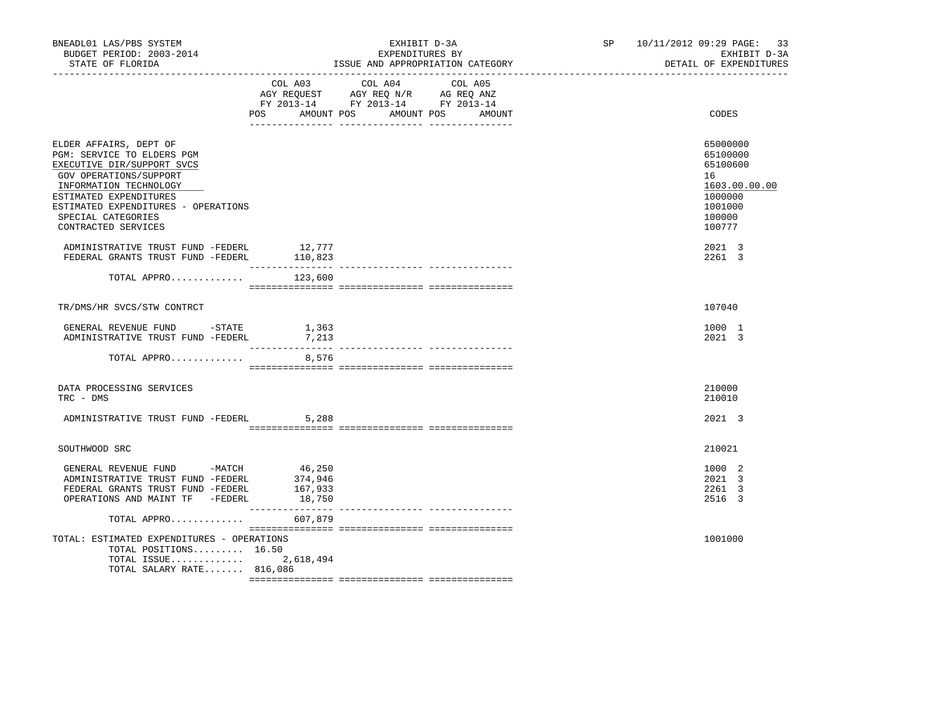| BNEADL01 LAS/PBS SYSTEM<br>BUDGET PERIOD: 2003-2014<br>STATE OF FLORIDA                                                                                                                                                                              |                                        | EXHIBIT D-3A<br>EXPENDITURES BY<br>ISSUE AND APPROPRIATION CATEGORY                                                                      | SP 10/11/2012 09:29 PAGE: 33<br>EXHIBIT D-3A<br>DETAIL OF EXPENDITURES                            |
|------------------------------------------------------------------------------------------------------------------------------------------------------------------------------------------------------------------------------------------------------|----------------------------------------|------------------------------------------------------------------------------------------------------------------------------------------|---------------------------------------------------------------------------------------------------|
|                                                                                                                                                                                                                                                      |                                        | COL A03 COL A04 COL A05<br>AGY REQUEST AGY REQ N/R AG REQ ANZ<br>FY 2013-14 FY 2013-14 FY 2013-14<br>POS AMOUNT POS AMOUNT POS<br>AMOUNT | CODES                                                                                             |
| ELDER AFFAIRS, DEPT OF<br>PGM: SERVICE TO ELDERS PGM<br>EXECUTIVE DIR/SUPPORT SVCS<br>GOV OPERATIONS/SUPPORT<br>INFORMATION TECHNOLOGY<br>ESTIMATED EXPENDITURES<br>ESTIMATED EXPENDITURES - OPERATIONS<br>SPECIAL CATEGORIES<br>CONTRACTED SERVICES |                                        |                                                                                                                                          | 65000000<br>65100000<br>65100600<br>16<br>1603.00.00.00<br>1000000<br>1001000<br>100000<br>100777 |
| ADMINISTRATIVE TRUST FUND -FEDERL 12,777<br>FEDERAL GRANTS TRUST FUND -FEDERL                                                                                                                                                                        | 110,823                                |                                                                                                                                          | 2021 3<br>2261 3                                                                                  |
| TOTAL APPRO $123,600$                                                                                                                                                                                                                                |                                        |                                                                                                                                          |                                                                                                   |
| TR/DMS/HR SVCS/STW CONTRCT                                                                                                                                                                                                                           |                                        |                                                                                                                                          | 107040                                                                                            |
| GENERAL REVENUE FUND -STATE 1,363<br>ADMINISTRATIVE TRUST FUND -FEDERL 7,213                                                                                                                                                                         |                                        |                                                                                                                                          | 1000 1<br>2021 3                                                                                  |
| TOTAL APPRO                                                                                                                                                                                                                                          | 8,576                                  |                                                                                                                                          |                                                                                                   |
| DATA PROCESSING SERVICES<br>TRC - DMS                                                                                                                                                                                                                |                                        |                                                                                                                                          | 210000<br>210010                                                                                  |
| ADMINISTRATIVE TRUST FUND -FEDERL 5,288                                                                                                                                                                                                              |                                        |                                                                                                                                          | 2021 3                                                                                            |
| SOUTHWOOD SRC                                                                                                                                                                                                                                        |                                        |                                                                                                                                          | 210021                                                                                            |
| GENERAL REVENUE FUND -MATCH<br>ADMINISTRATIVE TRUST FUND -FEDERL<br>FEDERAL GRANTS TRUST FUND -FEDERL<br>OPERATIONS AND MAINT TF -FEDERL                                                                                                             | 46,250<br>374,946<br>167,933<br>18,750 |                                                                                                                                          | 1000 2<br>2021 3<br>2261 3<br>2516 3                                                              |
| TOTAL APPRO<br>TOTAL: ESTIMATED EXPENDITURES - OPERATIONS<br>TOTAL POSITIONS 16.50<br>TOTAL ISSUE<br>TOTAL SALARY RATE 816,086                                                                                                                       | 607,879<br>2,618,494                   |                                                                                                                                          | 1001000                                                                                           |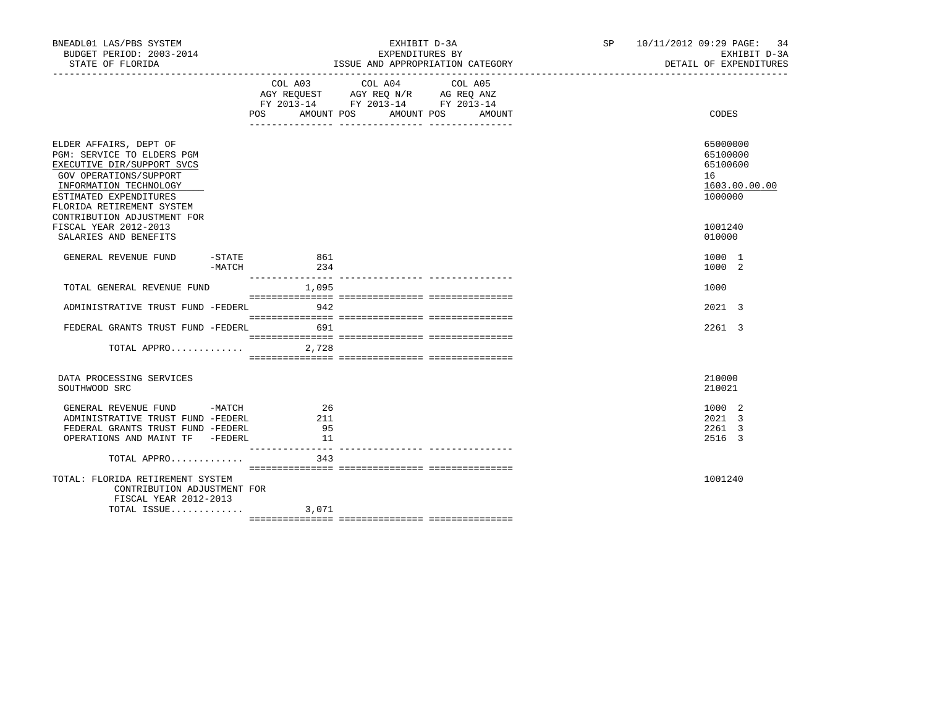| BNEADL01 LAS/PBS SYSTEM<br>BUDGET PERIOD: 2003-2014<br>STATE OF FLORIDA                                                                                                                       |                                | EXHIBIT D-3A<br>EXPENDITURES BY                                                           | ISSUE AND APPROPRIATION CATEGORY            | SP 10/11/2012 09:29 PAGE: 34 | EXHIBIT D-3A<br>DETAIL OF EXPENDITURES                       |
|-----------------------------------------------------------------------------------------------------------------------------------------------------------------------------------------------|--------------------------------|-------------------------------------------------------------------------------------------|---------------------------------------------|------------------------------|--------------------------------------------------------------|
|                                                                                                                                                                                               |                                | COL A03 COL A04<br>AGY REQUEST AGY REQ N/R AG REQ ANZ<br>FY 2013-14 FY 2013-14 FY 2013-14 | COL A05<br>POS AMOUNT POS AMOUNT POS AMOUNT |                              | CODES                                                        |
| ELDER AFFAIRS, DEPT OF<br>PGM: SERVICE TO ELDERS PGM<br>EXECUTIVE DIR/SUPPORT SVCS<br>GOV OPERATIONS/SUPPORT<br>INFORMATION TECHNOLOGY<br>ESTIMATED EXPENDITURES<br>FLORIDA RETIREMENT SYSTEM |                                |                                                                                           |                                             | 16                           | 65000000<br>65100000<br>65100600<br>1603.00.00.00<br>1000000 |
| CONTRIBUTION ADJUSTMENT FOR<br>FISCAL YEAR 2012-2013<br>SALARIES AND BENEFITS                                                                                                                 |                                |                                                                                           |                                             |                              | 1001240<br>010000                                            |
| GENERAL REVENUE FUND                                                                                                                                                                          | -STATE 861<br>$-MATCH$ 234     |                                                                                           |                                             |                              | 1000 1<br>1000 2                                             |
| TOTAL GENERAL REVENUE FUND                                                                                                                                                                    | 1,095                          |                                                                                           |                                             |                              | 1000                                                         |
| ADMINISTRATIVE TRUST FUND -FEDERL 942                                                                                                                                                         |                                |                                                                                           |                                             |                              | 2021 3                                                       |
| FEDERAL GRANTS TRUST FUND -FEDERL 691                                                                                                                                                         |                                |                                                                                           |                                             |                              | 2261 3                                                       |
| TOTAL APPRO $2,728$                                                                                                                                                                           |                                |                                                                                           |                                             |                              |                                                              |
| DATA PROCESSING SERVICES<br>SOUTHWOOD SRC                                                                                                                                                     |                                |                                                                                           |                                             |                              | 210000<br>210021                                             |
| GENERAL REVENUE FUND -MATCH<br>ADMINISTRATIVE TRUST FUND -FEDERL<br>FEDERAL GRANTS TRUST FUND -FEDERL                                                                                         | 26<br>211<br>95                |                                                                                           |                                             |                              | 1000 2<br>2021 3<br>2261 3                                   |
| OPERATIONS AND MAINT TF -FEDERL<br>TOTAL APPRO                                                                                                                                                | 11<br>_________________<br>343 |                                                                                           |                                             |                              | 2516 3                                                       |
| TOTAL: FLORIDA RETIREMENT SYSTEM<br>CONTRIBUTION ADJUSTMENT FOR<br>FISCAL YEAR 2012-2013                                                                                                      |                                |                                                                                           |                                             |                              | 1001240                                                      |
| TOTAL ISSUE $3,071$                                                                                                                                                                           |                                |                                                                                           |                                             |                              |                                                              |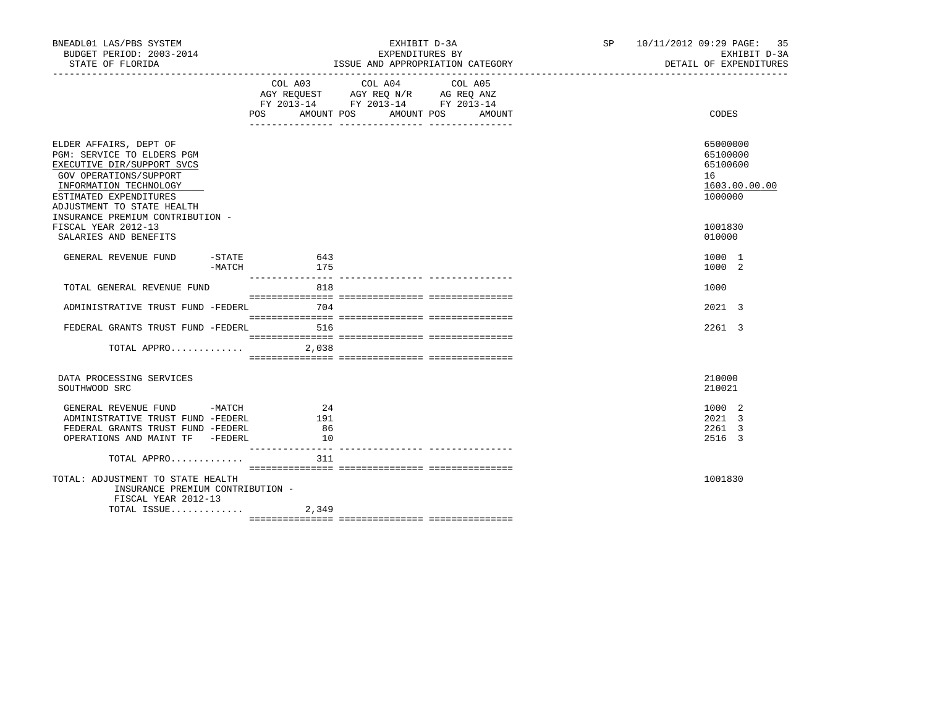| BNEADL01 LAS/PBS SYSTEM<br>BUDGET PERIOD: 2003-2014<br>STATE OF FLORIDA                                                                                                                        |            | EXHIBIT D-3A<br>EXPENDITURES BY<br>ISSUE AND APPROPRIATION CATEGORY                                                              | SP 10/11/2012 09:29 PAGE: 35<br>EXHIBIT D-3A<br>DETAIL OF EXPENDITURES |
|------------------------------------------------------------------------------------------------------------------------------------------------------------------------------------------------|------------|----------------------------------------------------------------------------------------------------------------------------------|------------------------------------------------------------------------|
|                                                                                                                                                                                                | COL A03    | COL A04<br>COL A05<br>AGY REQUEST AGY REQ N/R AG REQ ANZ<br>FY 2013-14 FY 2013-14 FY 2013-14<br>POS AMOUNT POS AMOUNT POS AMOUNT | CODES                                                                  |
| ELDER AFFAIRS, DEPT OF<br>PGM: SERVICE TO ELDERS PGM<br>EXECUTIVE DIR/SUPPORT SVCS<br>GOV OPERATIONS/SUPPORT<br>INFORMATION TECHNOLOGY<br>ESTIMATED EXPENDITURES<br>ADJUSTMENT TO STATE HEALTH |            |                                                                                                                                  | 65000000<br>65100000<br>65100600<br>16<br>1603.00.00.00<br>1000000     |
| INSURANCE PREMIUM CONTRIBUTION -<br>FISCAL YEAR 2012-13<br>SALARIES AND BENEFITS                                                                                                               |            |                                                                                                                                  | 1001830<br>010000                                                      |
| $-$ STATE<br>GENERAL REVENUE FUND<br>-MATCH                                                                                                                                                    | 643<br>175 |                                                                                                                                  | 1000 1<br>1000 2                                                       |
| TOTAL GENERAL REVENUE FUND                                                                                                                                                                     | 818        |                                                                                                                                  | 1000                                                                   |
| ADMINISTRATIVE TRUST FUND -FEDERL                                                                                                                                                              | 704        |                                                                                                                                  | 2021 3                                                                 |
| FEDERAL GRANTS TRUST FUND -FEDERL                                                                                                                                                              | 516        |                                                                                                                                  | 2261 3                                                                 |
|                                                                                                                                                                                                |            |                                                                                                                                  |                                                                        |
| DATA PROCESSING SERVICES<br>SOUTHWOOD SRC                                                                                                                                                      |            |                                                                                                                                  | 210000<br>210021                                                       |
| GENERAL REVENUE FUND -MATCH<br>ADMINISTRATIVE TRUST FUND -FEDERL                                                                                                                               | 24<br>191  |                                                                                                                                  | 1000 2<br>2021 3                                                       |
| FEDERAL GRANTS TRUST FUND -FEDERL<br>OPERATIONS AND MAINT TF -FEDERL                                                                                                                           | 86<br>10   |                                                                                                                                  | 2261 3<br>2516 3                                                       |
| TOTAL APPRO                                                                                                                                                                                    | 311        |                                                                                                                                  |                                                                        |
| TOTAL: ADJUSTMENT TO STATE HEALTH<br>INSURANCE PREMIUM CONTRIBUTION -<br>FISCAL YEAR 2012-13                                                                                                   |            |                                                                                                                                  | 1001830                                                                |
| TOTAL ISSUE                                                                                                                                                                                    | 2,349      |                                                                                                                                  |                                                                        |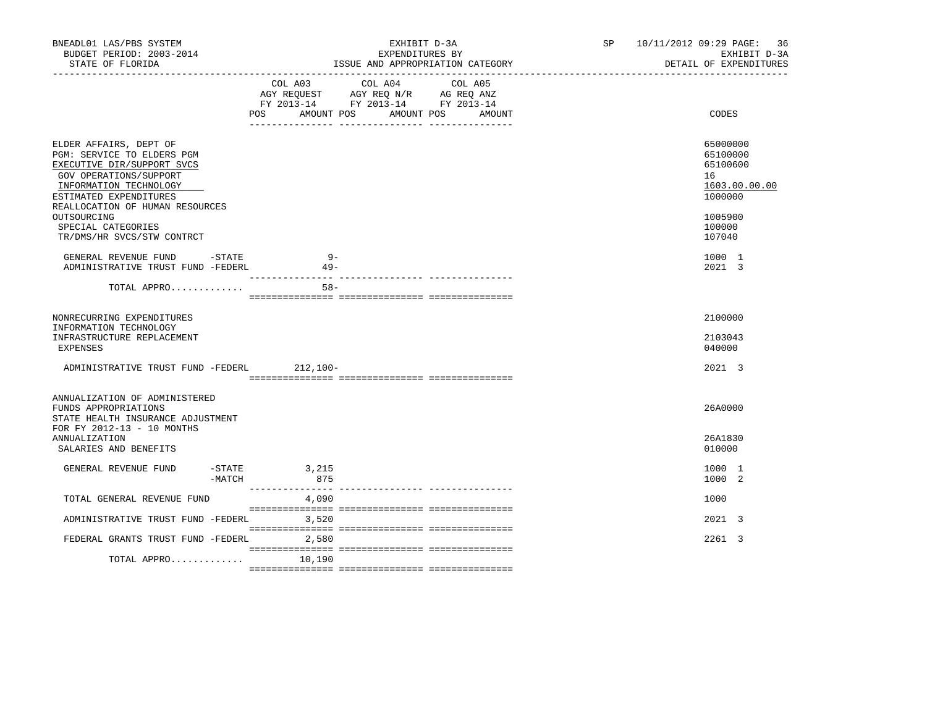| BNEADL01 LAS/PBS SYSTEM<br>BUDGET PERIOD: 2003-2014<br>STATE OF FLORIDA<br>_____________________________________                                                                                                                                                       | EXHIBIT D-3A<br>EXPENDITURES BY<br>ISSUE AND APPROPRIATION CATEGORY                                                                      | SP 10/11/2012 09:29 PAGE: 36<br>EXHIBIT D-3A<br>DETAIL OF EXPENDITURES                            |
|------------------------------------------------------------------------------------------------------------------------------------------------------------------------------------------------------------------------------------------------------------------------|------------------------------------------------------------------------------------------------------------------------------------------|---------------------------------------------------------------------------------------------------|
|                                                                                                                                                                                                                                                                        | COL A03 COL A04<br>COL A05<br>AGY REQUEST AGY REQ N/R AG REQ ANZ<br>FY 2013-14 FY 2013-14 FY 2013-14<br>POS AMOUNT POS AMOUNT POS AMOUNT | CODES                                                                                             |
| ELDER AFFAIRS, DEPT OF<br>PGM: SERVICE TO ELDERS PGM<br>EXECUTIVE DIR/SUPPORT SVCS<br>GOV OPERATIONS/SUPPORT<br>INFORMATION TECHNOLOGY<br>ESTIMATED EXPENDITURES<br>REALLOCATION OF HUMAN RESOURCES<br>OUTSOURCING<br>SPECIAL CATEGORIES<br>TR/DMS/HR SVCS/STW CONTRCT |                                                                                                                                          | 65000000<br>65100000<br>65100600<br>16<br>1603.00.00.00<br>1000000<br>1005900<br>100000<br>107040 |
| GENERAL REVENUE FUND -STATE<br>ADMINISTRATIVE TRUST FUND -FEDERL                                                                                                                                                                                                       | $9 -$<br>$49 -$<br>$- - - - - - - - -$                                                                                                   | 1000 1<br>2021 3                                                                                  |
| TOTAL APPRO                                                                                                                                                                                                                                                            | $58 -$                                                                                                                                   |                                                                                                   |
| NONRECURRING EXPENDITURES<br>INFORMATION TECHNOLOGY<br>INFRASTRUCTURE REPLACEMENT<br>EXPENSES                                                                                                                                                                          |                                                                                                                                          | 2100000<br>2103043<br>040000                                                                      |
| ADMINISTRATIVE TRUST FUND -FEDERL                                                                                                                                                                                                                                      | 212,100-                                                                                                                                 | 2021 3                                                                                            |
| ANNUALIZATION OF ADMINISTERED<br>FUNDS APPROPRIATIONS<br>STATE HEALTH INSURANCE ADJUSTMENT<br>FOR FY 2012-13 - 10 MONTHS                                                                                                                                               |                                                                                                                                          | 26A0000                                                                                           |
| <b>ANNUALIZATION</b><br>SALARIES AND BENEFITS                                                                                                                                                                                                                          |                                                                                                                                          | 26A1830<br>010000                                                                                 |
| GENERAL REVENUE FUND<br>$-MATCH$                                                                                                                                                                                                                                       | $-STATE$ 3, 215<br>875                                                                                                                   | 1000 1<br>1000 2                                                                                  |
| TOTAL GENERAL REVENUE FUND                                                                                                                                                                                                                                             | 4,090                                                                                                                                    | 1000                                                                                              |
| ADMINISTRATIVE TRUST FUND -FEDERL 3,520                                                                                                                                                                                                                                |                                                                                                                                          | 2021 3                                                                                            |
| FEDERAL GRANTS TRUST FUND -FEDERL                                                                                                                                                                                                                                      | 2,580                                                                                                                                    | 2261 3                                                                                            |
| TOTAL APPRO                                                                                                                                                                                                                                                            | 10,190                                                                                                                                   |                                                                                                   |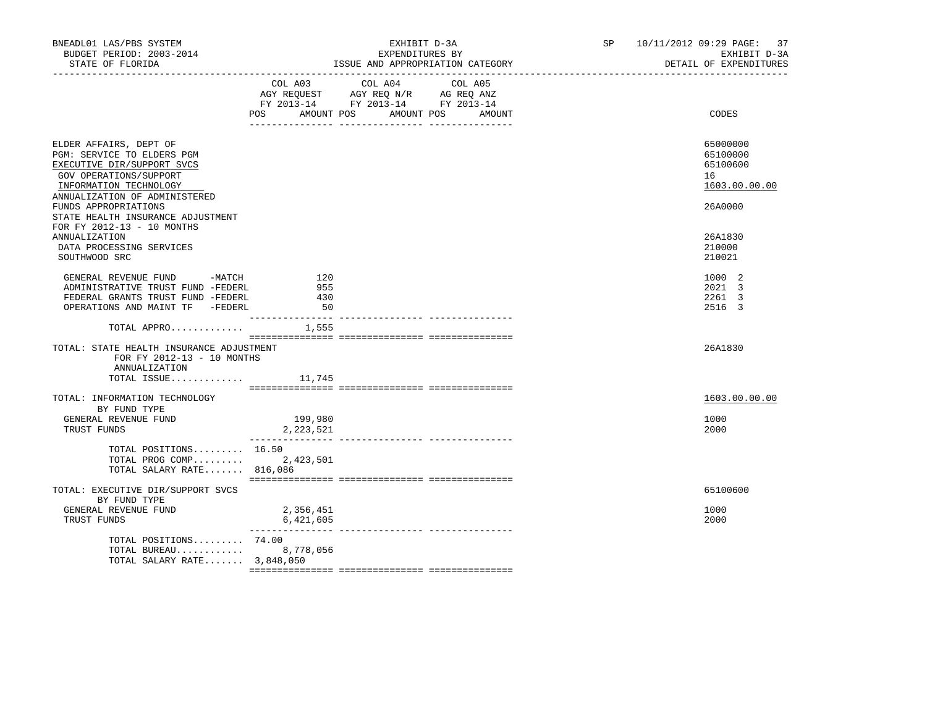| BNEADL01 LAS/PBS SYSTEM<br>BUDGET PERIOD: 2003-2014<br>STATE OF FLORIDA                                                                                                 |                         | EXHIBIT D-3A<br>EXPENDITURES BY<br>ISSUE AND APPROPRIATION CATEGORY                                                          | SP <sub>2</sub> | 10/11/2012 09:29 PAGE:<br>37<br>EXHIBIT D-3A<br>DETAIL OF EXPENDITURES |
|-------------------------------------------------------------------------------------------------------------------------------------------------------------------------|-------------------------|------------------------------------------------------------------------------------------------------------------------------|-----------------|------------------------------------------------------------------------|
|                                                                                                                                                                         | POS AMOUNT POS          | COL A03 COL A04<br>COL A05<br>AGY REQUEST AGY REQ N/R AG REQ ANZ<br>FY 2013-14 FY 2013-14 FY 2013-14<br>AMOUNT POS<br>AMOUNT |                 | CODES                                                                  |
| ELDER AFFAIRS, DEPT OF<br>PGM: SERVICE TO ELDERS PGM<br>EXECUTIVE DIR/SUPPORT SVCS<br>GOV OPERATIONS/SUPPORT<br>INFORMATION TECHNOLOGY<br>ANNUALIZATION OF ADMINISTERED |                         |                                                                                                                              |                 | 65000000<br>65100000<br>65100600<br>16<br>1603.00.00.00                |
| FUNDS APPROPRIATIONS<br>STATE HEALTH INSURANCE ADJUSTMENT<br>FOR FY 2012-13 - 10 MONTHS                                                                                 |                         |                                                                                                                              |                 | 26A0000                                                                |
| ANNUALIZATION<br>DATA PROCESSING SERVICES<br>SOUTHWOOD SRC                                                                                                              |                         |                                                                                                                              |                 | 26A1830<br>210000<br>210021                                            |
| GENERAL REVENUE FUND -MATCH<br>ADMINISTRATIVE TRUST FUND -FEDERL<br>FEDERAL GRANTS TRUST FUND -FEDERL<br>OPERATIONS AND MAINT TF -FEDERL                                | 120<br>955<br>430<br>50 |                                                                                                                              |                 | 1000 2<br>2021 3<br>2261 3<br>2516 3                                   |
| TOTAL APPRO $1,555$                                                                                                                                                     |                         |                                                                                                                              |                 |                                                                        |
| TOTAL: STATE HEALTH INSURANCE ADJUSTMENT<br>FOR FY 2012-13 - 10 MONTHS<br>ANNUALIZATION                                                                                 |                         |                                                                                                                              |                 | 26A1830                                                                |
| TOTAL ISSUE 11,745                                                                                                                                                      |                         |                                                                                                                              |                 |                                                                        |
| TOTAL: INFORMATION TECHNOLOGY<br>BY FUND TYPE                                                                                                                           |                         |                                                                                                                              |                 | 1603.00.00.00                                                          |
| GENERAL REVENUE FUND<br>TRUST FUNDS                                                                                                                                     | 199,980<br>2,223,521    |                                                                                                                              |                 | 1000<br>2000                                                           |
| TOTAL POSITIONS 16.50<br>TOTAL PROG COMP 2,423,501<br>TOTAL SALARY RATE 816,086                                                                                         |                         |                                                                                                                              |                 |                                                                        |
| TOTAL: EXECUTIVE DIR/SUPPORT SVCS<br>BY FUND TYPE<br>GENERAL REVENUE FUND                                                                                               | 2,356,451               |                                                                                                                              |                 | 65100600<br>1000                                                       |
| TRUST FUNDS<br>TOTAL POSITIONS $74.00$<br>TOTAL BUREAU 8,778,056<br>TOTAL SALARY RATE 3,848,050                                                                         | 6,421,605               |                                                                                                                              |                 | 2000                                                                   |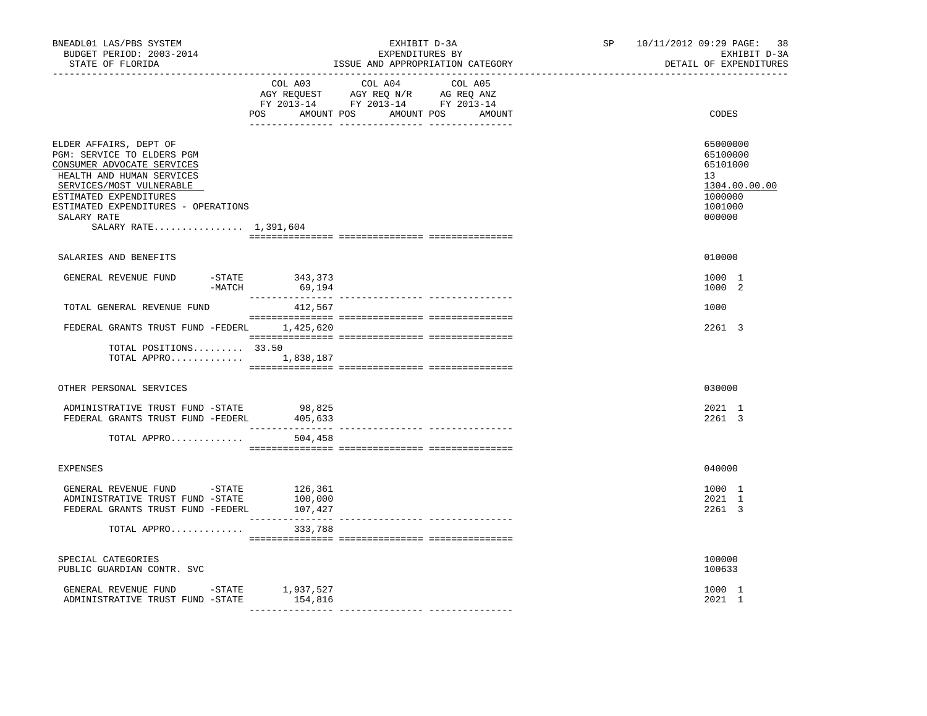| BNEADL01 LAS/PBS SYSTEM<br>BUDGET PERIOD: 2003-2014<br>STATE OF FLORIDA<br>-----------------                                                                                                                                                         |                                                | EXHIBIT D-3A<br>EXPENDITURES BY<br>ISSUE AND APPROPRIATION CATEGORY                                                              | SP 10/11/2012 09:29 PAGE: 38<br>EXHIBIT D-3A<br>DETAIL OF EXPENDITURES                  |
|------------------------------------------------------------------------------------------------------------------------------------------------------------------------------------------------------------------------------------------------------|------------------------------------------------|----------------------------------------------------------------------------------------------------------------------------------|-----------------------------------------------------------------------------------------|
|                                                                                                                                                                                                                                                      | COL A03                                        | COL A04<br>COL A05<br>AGY REQUEST AGY REQ N/R AG REQ ANZ<br>FY 2013-14 FY 2013-14 FY 2013-14<br>POS AMOUNT POS AMOUNT POS AMOUNT | CODES                                                                                   |
| ELDER AFFAIRS, DEPT OF<br>PGM: SERVICE TO ELDERS PGM<br>CONSUMER ADVOCATE SERVICES<br>HEALTH AND HUMAN SERVICES<br>SERVICES/MOST VULNERABLE<br>ESTIMATED EXPENDITURES<br>ESTIMATED EXPENDITURES - OPERATIONS<br>SALARY RATE<br>SALARY RATE 1,391,604 |                                                |                                                                                                                                  | 65000000<br>65100000<br>65101000<br>13<br>1304.00.00.00<br>1000000<br>1001000<br>000000 |
| SALARIES AND BENEFITS                                                                                                                                                                                                                                |                                                |                                                                                                                                  | 010000                                                                                  |
| GENERAL REVENUE FUND<br>$-MATCH$                                                                                                                                                                                                                     | -STATE 343,373<br>69,194                       |                                                                                                                                  | 1000 1<br>1000 2                                                                        |
| TOTAL GENERAL REVENUE FUND                                                                                                                                                                                                                           | 412,567                                        |                                                                                                                                  | 1000                                                                                    |
| FEDERAL GRANTS TRUST FUND -FEDERL 1,425,620                                                                                                                                                                                                          |                                                |                                                                                                                                  | 2261 3                                                                                  |
| TOTAL POSITIONS 33.50<br>TOTAL APPRO $1,838,187$                                                                                                                                                                                                     |                                                |                                                                                                                                  |                                                                                         |
| OTHER PERSONAL SERVICES                                                                                                                                                                                                                              |                                                |                                                                                                                                  | 030000                                                                                  |
| ADMINISTRATIVE TRUST FUND -STATE<br>FEDERAL GRANTS TRUST FUND -FEDERL                                                                                                                                                                                | 98,825<br>ر ده ن , ه <del>و</del><br>405 , 633 |                                                                                                                                  | 2021 1<br>2261 3                                                                        |
| TOTAL APPRO                                                                                                                                                                                                                                          | 504,458                                        |                                                                                                                                  |                                                                                         |
| <b>EXPENSES</b>                                                                                                                                                                                                                                      |                                                |                                                                                                                                  | 040000                                                                                  |
| GENERAL REVENUE FUND -STATE 126,361<br>ADMINISTRATIVE TRUST FUND -STATE<br>FEDERAL GRANTS TRUST FUND -FEDERL                                                                                                                                         | 100,000<br>107,427                             |                                                                                                                                  | 1000 1<br>2021 1<br>2261 3                                                              |
| TOTAL APPRO                                                                                                                                                                                                                                          | 333,788                                        |                                                                                                                                  |                                                                                         |
| SPECIAL CATEGORIES<br>PUBLIC GUARDIAN CONTR. SVC                                                                                                                                                                                                     |                                                |                                                                                                                                  | 100000<br>100633                                                                        |
| GENERAL REVENUE FUND -STATE 1,937,527<br>ADMINISTRATIVE TRUST FUND -STATE                                                                                                                                                                            | 154,816                                        |                                                                                                                                  | 1000 1<br>2021 1                                                                        |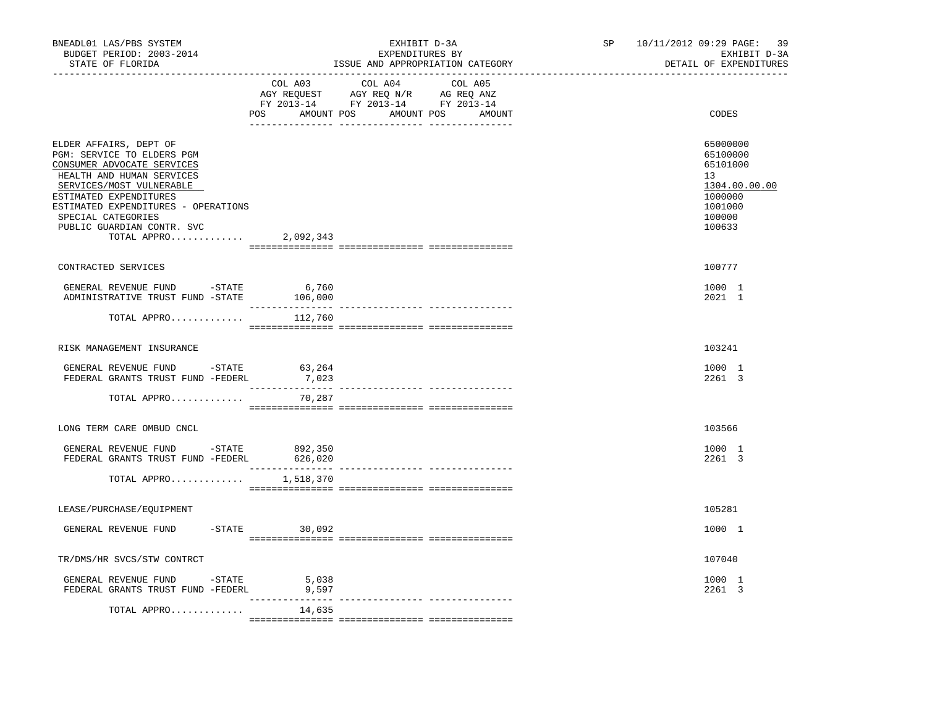| BNEADL01 LAS/PBS SYSTEM<br>BUDGET PERIOD: 2003-2014<br>STATE OF FLORIDA<br>-----------------                                                                                                                                                                                    |                 | EXHIBIT D-3A<br>EXPENDITURES BY<br>ISSUE AND APPROPRIATION CATEGORY | ------------------------------------ | SP 10/11/2012 09:29 PAGE:<br>-39<br>EXHIBIT D-3A<br>DETAIL OF EXPENDITURES                                     |
|---------------------------------------------------------------------------------------------------------------------------------------------------------------------------------------------------------------------------------------------------------------------------------|-----------------|---------------------------------------------------------------------|--------------------------------------|----------------------------------------------------------------------------------------------------------------|
|                                                                                                                                                                                                                                                                                 | COL A03         | COL A04<br>COL A05<br>POS AMOUNT POS AMOUNT POS AMOUNT              |                                      | CODES                                                                                                          |
| ELDER AFFAIRS, DEPT OF<br>PGM: SERVICE TO ELDERS PGM<br>CONSUMER ADVOCATE SERVICES<br>HEALTH AND HUMAN SERVICES<br>SERVICES/MOST VULNERABLE<br>ESTIMATED EXPENDITURES<br>ESTIMATED EXPENDITURES - OPERATIONS<br>SPECIAL CATEGORIES<br>PUBLIC GUARDIAN CONTR. SVC<br>TOTAL APPRO | 2,092,343       |                                                                     |                                      | 65000000<br>65100000<br>65101000<br>13 <sup>°</sup><br>1304.00.00.00<br>1000000<br>1001000<br>100000<br>100633 |
| CONTRACTED SERVICES                                                                                                                                                                                                                                                             |                 |                                                                     |                                      | 100777                                                                                                         |
| GENERAL REVENUE FUND - STATE<br>ADMINISTRATIVE TRUST FUND -STATE 106,000                                                                                                                                                                                                        | 6,760           |                                                                     |                                      | 1000 1<br>2021 1                                                                                               |
| TOTAL APPRO                                                                                                                                                                                                                                                                     | 112,760         |                                                                     |                                      |                                                                                                                |
| RISK MANAGEMENT INSURANCE                                                                                                                                                                                                                                                       |                 |                                                                     |                                      | 103241                                                                                                         |
| GENERAL REVENUE FUND - STATE<br>FEDERAL GRANTS TRUST FUND -FEDERL                                                                                                                                                                                                               | 63,264<br>7,023 |                                                                     |                                      | 1000 1<br>2261 3                                                                                               |
| TOTAL APPRO                                                                                                                                                                                                                                                                     | 70,287          |                                                                     |                                      |                                                                                                                |
| LONG TERM CARE OMBUD CNCL                                                                                                                                                                                                                                                       |                 |                                                                     |                                      | 103566                                                                                                         |
| GENERAL REVENUE FUND -STATE 892,350<br>FEDERAL GRANTS TRUST FUND -FEDERL                                                                                                                                                                                                        | 626,020         |                                                                     |                                      | 1000 1<br>2261 3                                                                                               |
| TOTAL APPRO                                                                                                                                                                                                                                                                     | 1,518,370       |                                                                     |                                      |                                                                                                                |
| LEASE/PURCHASE/EOUIPMENT                                                                                                                                                                                                                                                        |                 |                                                                     |                                      | 105281                                                                                                         |
| GENERAL REVENUE FUND                                                                                                                                                                                                                                                            | $-STATE$ 30,092 |                                                                     |                                      | 1000 1                                                                                                         |
| TR/DMS/HR SVCS/STW CONTRCT                                                                                                                                                                                                                                                      |                 |                                                                     |                                      | 107040                                                                                                         |
| GENERAL REVENUE FUND -STATE<br>FEDERAL GRANTS TRUST FUND -FEDERL                                                                                                                                                                                                                | 5,038<br>9,597  |                                                                     |                                      | 1000 1<br>2261 3                                                                                               |
| TOTAL APPRO                                                                                                                                                                                                                                                                     | 14,635          |                                                                     |                                      |                                                                                                                |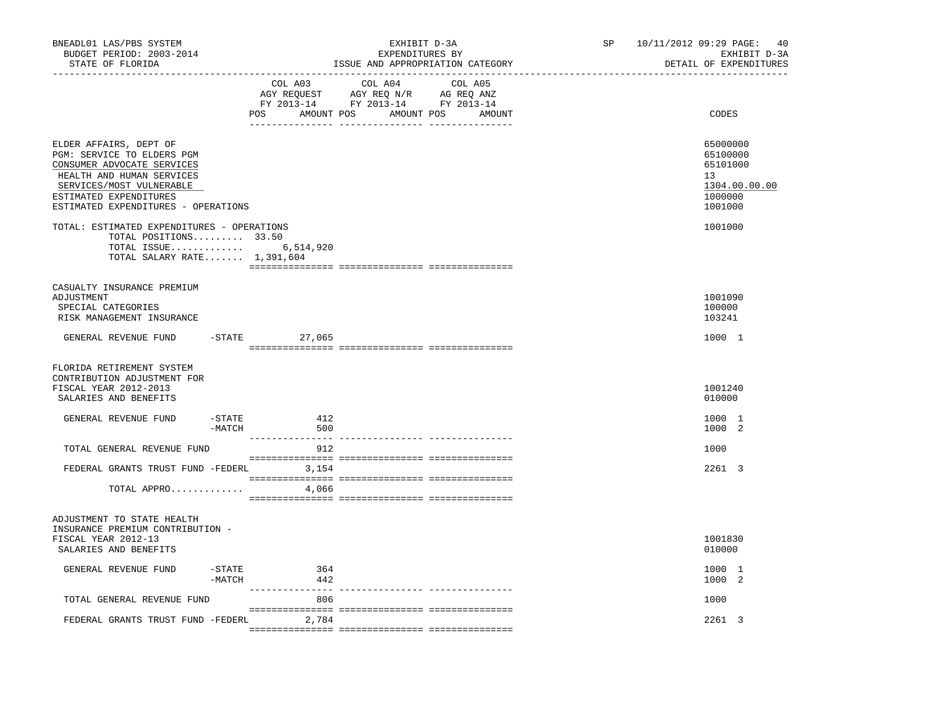| BNEADL01 LAS/PBS SYSTEM<br>BUDGET PERIOD: 2003-2014<br>STATE OF FLORIDA                                                                                                                                      |                        | EXHIBIT D-3A<br>EXPENDITURES BY<br>ISSUE AND APPROPRIATION CATEGORY                                                              | SP <sub>2</sub> | 10/11/2012 09:29 PAGE: 40<br>EXHIBIT D-3A<br>DETAIL OF EXPENDITURES           |
|--------------------------------------------------------------------------------------------------------------------------------------------------------------------------------------------------------------|------------------------|----------------------------------------------------------------------------------------------------------------------------------|-----------------|-------------------------------------------------------------------------------|
| ---------------------------------                                                                                                                                                                            | COL A03                | COL A04<br>COL A05<br>AGY REQUEST AGY REQ N/R AG REQ ANZ<br>FY 2013-14 FY 2013-14 FY 2013-14<br>POS AMOUNT POS AMOUNT POS AMOUNT |                 | CODES                                                                         |
| ELDER AFFAIRS, DEPT OF<br>PGM: SERVICE TO ELDERS PGM<br>CONSUMER ADVOCATE SERVICES<br>HEALTH AND HUMAN SERVICES<br>SERVICES/MOST VULNERABLE<br>ESTIMATED EXPENDITURES<br>ESTIMATED EXPENDITURES - OPERATIONS |                        |                                                                                                                                  |                 | 65000000<br>65100000<br>65101000<br>13<br>1304.00.00.00<br>1000000<br>1001000 |
| TOTAL: ESTIMATED EXPENDITURES - OPERATIONS<br>TOTAL POSITIONS 33.50<br>TOTAL ISSUE 6,514,920<br>TOTAL SALARY RATE 1,391,604                                                                                  |                        |                                                                                                                                  |                 | 1001000                                                                       |
| CASUALTY INSURANCE PREMIUM<br>ADJUSTMENT<br>SPECIAL CATEGORIES<br>RISK MANAGEMENT INSURANCE                                                                                                                  |                        |                                                                                                                                  |                 | 1001090<br>100000<br>103241                                                   |
| GENERAL REVENUE FUND                                                                                                                                                                                         | $-$ STATE 27,065       |                                                                                                                                  |                 | 1000 1                                                                        |
| FLORIDA RETIREMENT SYSTEM<br>CONTRIBUTION ADJUSTMENT FOR<br>FISCAL YEAR 2012-2013<br>SALARIES AND BENEFITS                                                                                                   |                        |                                                                                                                                  |                 | 1001240<br>010000                                                             |
| GENERAL REVENUE FUND<br>$-$ STATE<br>$-MATCH$                                                                                                                                                                | 412<br>500             |                                                                                                                                  |                 | 1000 1<br>1000 2                                                              |
| TOTAL GENERAL REVENUE FUND                                                                                                                                                                                   | 912                    |                                                                                                                                  |                 | 1000                                                                          |
| FEDERAL GRANTS TRUST FUND -FEDERL 3,154<br>TOTAL APPRO                                                                                                                                                       | 4,066                  |                                                                                                                                  |                 | 2261 3                                                                        |
| ADJUSTMENT TO STATE HEALTH<br>INSURANCE PREMIUM CONTRIBUTION -<br>FISCAL YEAR 2012-13<br>SALARIES AND BENEFITS                                                                                               |                        |                                                                                                                                  |                 | 1001830<br>010000                                                             |
| -STATE<br>GENERAL REVENUE FUND<br>-MATCH                                                                                                                                                                     | 364<br>442             |                                                                                                                                  |                 | 1000 1<br>1000 2                                                              |
| TOTAL GENERAL REVENUE FUND                                                                                                                                                                                   | _______________<br>806 |                                                                                                                                  |                 | 1000                                                                          |
| FEDERAL GRANTS TRUST FUND -FEDERL                                                                                                                                                                            | 2,784                  |                                                                                                                                  |                 | 2261 3                                                                        |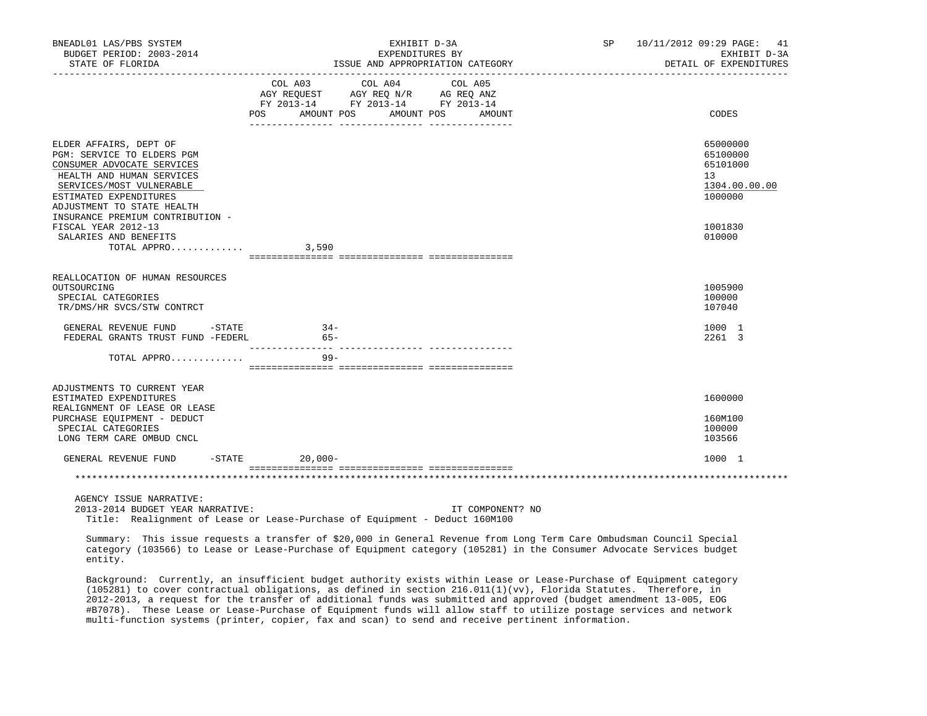| BNEADL01 LAS/PBS SYSTEM<br>BUDGET PERIOD: 2003-2014<br>STATE OF FLORIDA<br>_________________                                                                                                                                            | EXHIBIT D-3A<br>EXPENDITURES BY<br>ISSUE AND APPROPRIATION CATEGORY                                                                                                                                                                          | 10/11/2012 09:29 PAGE: 41<br>SP<br>EXHIBIT D-3A<br>DETAIL OF EXPENDITURES |
|-----------------------------------------------------------------------------------------------------------------------------------------------------------------------------------------------------------------------------------------|----------------------------------------------------------------------------------------------------------------------------------------------------------------------------------------------------------------------------------------------|---------------------------------------------------------------------------|
|                                                                                                                                                                                                                                         | COL A03 COL A04 COL A05<br>AGY REQUEST AGY REQ N/R AG REQ ANZ<br>FY 2013-14 FY 2013-14 FY 2013-14<br>POS AMOUNT POS AMOUNT POS<br>AMOUNT                                                                                                     | CODES                                                                     |
| ELDER AFFAIRS, DEPT OF<br>PGM: SERVICE TO ELDERS PGM<br>CONSUMER ADVOCATE SERVICES<br>HEALTH AND HUMAN SERVICES<br>SERVICES/MOST VULNERABLE<br>ESTIMATED EXPENDITURES<br>ADJUSTMENT TO STATE HEALTH<br>INSURANCE PREMIUM CONTRIBUTION - |                                                                                                                                                                                                                                              | 65000000<br>65100000<br>65101000<br>13<br>1304.00.00.00<br>1000000        |
| FISCAL YEAR 2012-13<br>SALARIES AND BENEFITS<br>TOTAL APPRO                                                                                                                                                                             | 3,590                                                                                                                                                                                                                                        | 1001830<br>010000                                                         |
| REALLOCATION OF HUMAN RESOURCES<br>OUTSOURCING<br>SPECIAL CATEGORIES<br>TR/DMS/HR SVCS/STW CONTRCT                                                                                                                                      |                                                                                                                                                                                                                                              | 1005900<br>100000<br>107040                                               |
| GENERAL REVENUE FUND -STATE<br>FEDERAL GRANTS TRUST FUND -FEDERL                                                                                                                                                                        | $34-$<br>65-                                                                                                                                                                                                                                 | 1000 1<br>2261 3                                                          |
| TOTAL APPRO                                                                                                                                                                                                                             | $99 -$                                                                                                                                                                                                                                       |                                                                           |
| ADJUSTMENTS TO CURRENT YEAR<br>ESTIMATED EXPENDITURES<br>REALIGNMENT OF LEASE OR LEASE<br>PURCHASE EQUIPMENT - DEDUCT<br>SPECIAL CATEGORIES<br>LONG TERM CARE OMBUD CNCL                                                                |                                                                                                                                                                                                                                              | 1600000<br>160M100<br>100000<br>103566                                    |
| GENERAL REVENUE FUND                                                                                                                                                                                                                    | $-STATE$<br>$20,000-$                                                                                                                                                                                                                        | 1000 1                                                                    |
|                                                                                                                                                                                                                                         |                                                                                                                                                                                                                                              |                                                                           |
| AGENCY ISSUE NARRATIVE:<br>2013-2014 BUDGET YEAR NARRATIVE:                                                                                                                                                                             | IT COMPONENT? NO<br>Title: Realignment of Lease or Lease-Purchase of Equipment - Deduct 160M100                                                                                                                                              |                                                                           |
| entity.                                                                                                                                                                                                                                 | Summary: This issue requests a transfer of \$20,000 in General Revenue from Long Term Care Ombudsman Council Special<br>category (103566) to Lease or Lease-Purchase of Equipment category (105281) in the Consumer Advocate Services budget |                                                                           |

 Background: Currently, an insufficient budget authority exists within Lease or Lease-Purchase of Equipment category (105281) to cover contractual obligations, as defined in section 216.011(1)(vv), Florida Statutes. Therefore, in 2012-2013, a request for the transfer of additional funds was submitted and approved (budget amendment 13-005, EOG #B7078). These Lease or Lease-Purchase of Equipment funds will allow staff to utilize postage services and network multi-function systems (printer, copier, fax and scan) to send and receive pertinent information.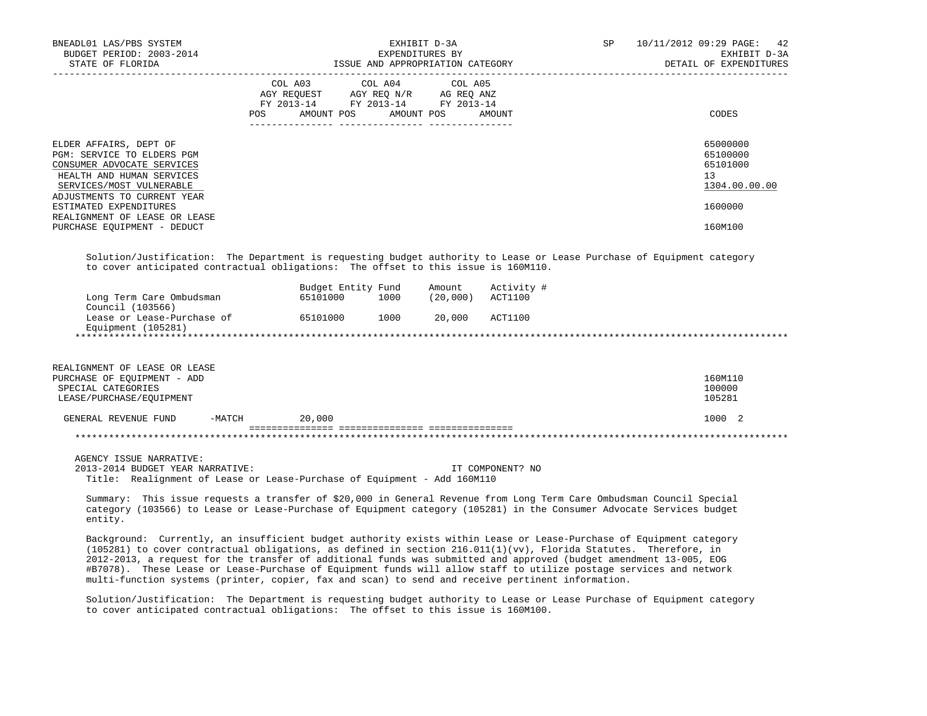| BNEADL01 LAS/PBS SYSTEM<br>BUDGET PERIOD: 2003-2014<br>STATE OF FLORIDA                                                                     | EXHIBIT D-3A<br>EXPENDITURES BY<br>ISSUE AND APPROPRIATION CATEGORY                                                                   | SP<br>10/11/2012 09:29 PAGE: 42<br>EXHIBIT D-3A<br>DETAIL OF EXPENDITURES |
|---------------------------------------------------------------------------------------------------------------------------------------------|---------------------------------------------------------------------------------------------------------------------------------------|---------------------------------------------------------------------------|
|                                                                                                                                             | COL A03 COL A04 COL A05<br>AGY REQUEST AGY REO N/R AG REO ANZ<br>FY 2013-14 FY 2013-14 FY 2013-14<br>POS AMOUNT POS AMOUNT POS AMOUNT | CODES                                                                     |
| ELDER AFFAIRS, DEPT OF<br>PGM: SERVICE TO ELDERS PGM<br>CONSUMER ADVOCATE SERVICES<br>HEALTH AND HUMAN SERVICES<br>SERVICES/MOST VULNERABLE |                                                                                                                                       | 65000000<br>65100000<br>65101000<br>13<br>1304.00.00.00                   |
| ADJUSTMENTS TO CURRENT YEAR<br>ESTIMATED EXPENDITURES<br>REALIGNMENT OF LEASE OR LEASE<br>PURCHASE EQUIPMENT - DEDUCT                       |                                                                                                                                       | 1600000<br>160M100                                                        |

 Solution/Justification: The Department is requesting budget authority to Lease or Lease Purchase of Equipment category to cover anticipated contractual obligations: The offset to this issue is 160M110.

|                            | Budget Entity Fund |      | Amount    | Activity # |
|----------------------------|--------------------|------|-----------|------------|
| Long Term Care Ombudsman   | 65101000           | 1000 | (20, 000) | ACT1100    |
| Council (103566)           |                    |      |           |            |
| Lease or Lease-Purchase of | 65101000           | 1000 | 20,000    | ACT1100    |
| Equipment (105281)         |                    |      |           |            |
|                            |                    |      |           |            |

| REALIGNMENT OF LEASE OR LEASE<br>PURCHASE OF EOUIPMENT - ADD<br>SPECIAL CATEGORIES<br>LEASE/PURCHASE/EOUIPMENT |          |        | 160M110<br>100000<br>105281 |
|----------------------------------------------------------------------------------------------------------------|----------|--------|-----------------------------|
| GENERAL REVENUE FUND                                                                                           | $-MATCH$ | 20,000 | 1000 2                      |
|                                                                                                                |          |        |                             |
|                                                                                                                |          |        |                             |

AGENCY ISSUE NARRATIVE:

 2013-2014 BUDGET YEAR NARRATIVE: IT COMPONENT? NO Title: Realignment of Lease or Lease-Purchase of Equipment - Add 160M110

 Summary: This issue requests a transfer of \$20,000 in General Revenue from Long Term Care Ombudsman Council Special category (103566) to Lease or Lease-Purchase of Equipment category (105281) in the Consumer Advocate Services budget entity.

 Background: Currently, an insufficient budget authority exists within Lease or Lease-Purchase of Equipment category (105281) to cover contractual obligations, as defined in section 216.011(1)(vv), Florida Statutes. Therefore, in 2012-2013, a request for the transfer of additional funds was submitted and approved (budget amendment 13-005, EOG #B7078). These Lease or Lease-Purchase of Equipment funds will allow staff to utilize postage services and network multi-function systems (printer, copier, fax and scan) to send and receive pertinent information.

 Solution/Justification: The Department is requesting budget authority to Lease or Lease Purchase of Equipment category to cover anticipated contractual obligations: The offset to this issue is 160M100.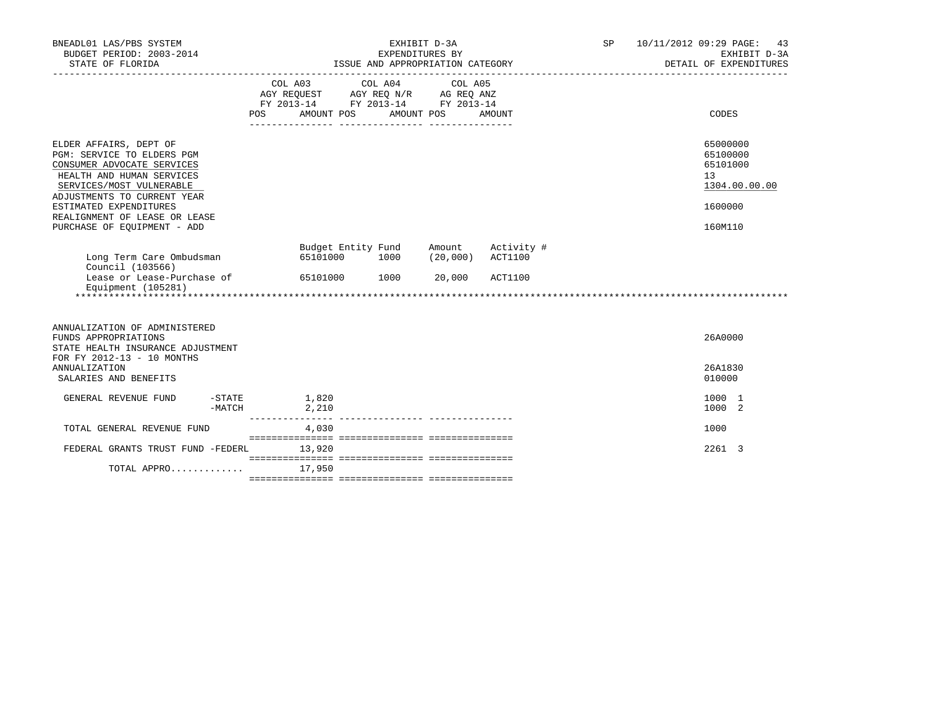| BNEADL01 LAS/PBS SYSTEM<br>BUDGET PERIOD: 2003-2014<br>STATE OF FLORIDA                                                                                                                                                                                              | EXHIBIT D-3A<br>EXPENDITURES BY<br>ISSUE AND APPROPRIATION CATEGORY |                                                                                                                 |      | SP               | 10/11/2012 09:29 PAGE: 43<br>EXHIBIT D-3A<br>DETAIL OF EXPENDITURES |  |                                                                               |
|----------------------------------------------------------------------------------------------------------------------------------------------------------------------------------------------------------------------------------------------------------------------|---------------------------------------------------------------------|-----------------------------------------------------------------------------------------------------------------|------|------------------|---------------------------------------------------------------------|--|-------------------------------------------------------------------------------|
|                                                                                                                                                                                                                                                                      | <b>POS</b>                                                          | COL A03 COL A04 COL A05<br>AGY REQUEST AGY REQ N/R AG REQ ANZ<br>FY 2013-14 FY 2013-14 FY 2013-14<br>AMOUNT POS |      | AMOUNT POS       | AMOUNT                                                              |  | CODES                                                                         |
| ELDER AFFAIRS, DEPT OF<br>PGM: SERVICE TO ELDERS PGM<br>CONSUMER ADVOCATE SERVICES<br>HEALTH AND HUMAN SERVICES<br>SERVICES/MOST VULNERABLE<br>ADJUSTMENTS TO CURRENT YEAR<br>ESTIMATED EXPENDITURES<br>REALIGNMENT OF LEASE OR LEASE<br>PURCHASE OF EQUIPMENT - ADD |                                                                     |                                                                                                                 |      |                  |                                                                     |  | 65000000<br>65100000<br>65101000<br>13<br>1304.00.00.00<br>1600000<br>160M110 |
| Long Term Care Ombudsman<br>Council (103566)<br>Lease or Lease-Purchase of<br>Equipment (105281)                                                                                                                                                                     |                                                                     | Budget Entity Fund<br>65101000<br>65101000 1000                                                                 | 1000 | Amount<br>20,000 | Activity #<br>$(20,000)$ $ACT1100$<br>ACT1100                       |  |                                                                               |
| ANNUALIZATION OF ADMINISTERED<br>FUNDS APPROPRIATIONS<br>STATE HEALTH INSURANCE ADJUSTMENT<br>FOR FY 2012-13 - 10 MONTHS<br><b>ANNUALIZATION</b><br>SALARIES AND BENEFITS                                                                                            |                                                                     |                                                                                                                 |      |                  |                                                                     |  | 26A0000<br>26A1830<br>010000                                                  |
| -STATE<br>GENERAL REVENUE FUND<br>$-MATCH$                                                                                                                                                                                                                           | 1,820                                                               | 2,210                                                                                                           |      |                  |                                                                     |  | 1000 1<br>1000 2                                                              |
| TOTAL GENERAL REVENUE FUND                                                                                                                                                                                                                                           |                                                                     | 4,030                                                                                                           |      |                  |                                                                     |  | 1000                                                                          |
| FEDERAL GRANTS TRUST FUND -FEDERL                                                                                                                                                                                                                                    |                                                                     | 13,920                                                                                                          |      |                  |                                                                     |  | 2261 3                                                                        |
| TOTAL APPRO                                                                                                                                                                                                                                                          |                                                                     | 17,950                                                                                                          |      |                  |                                                                     |  |                                                                               |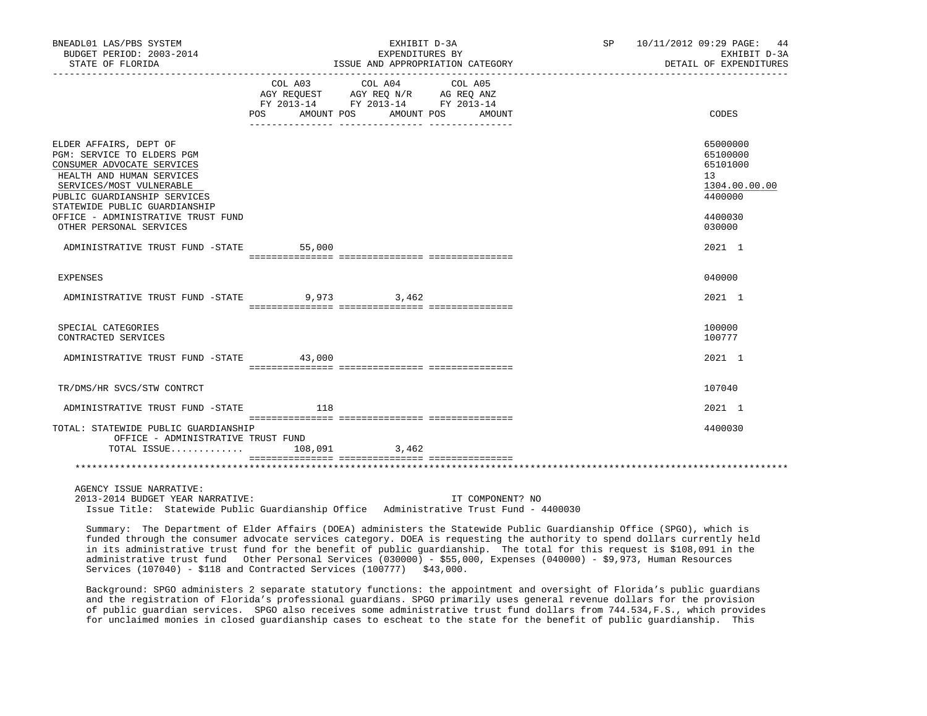| BNEADL01 LAS/PBS SYSTEM<br>BUDGET PERIOD: 2003-2014                                                                                                                                                                                                | EXHIBIT D-3A<br>EXPENDITURES BY                                                                                                                                                                                                                                                                                                                           | SP 10/11/2012 09:29 PAGE: 44<br>EXHIBIT D-3A                                               |
|----------------------------------------------------------------------------------------------------------------------------------------------------------------------------------------------------------------------------------------------------|-----------------------------------------------------------------------------------------------------------------------------------------------------------------------------------------------------------------------------------------------------------------------------------------------------------------------------------------------------------|--------------------------------------------------------------------------------------------|
| STATE OF FLORIDA                                                                                                                                                                                                                                   | ISSUE AND APPROPRIATION CATEGORY                                                                                                                                                                                                                                                                                                                          | DETAIL OF EXPENDITURES                                                                     |
|                                                                                                                                                                                                                                                    | $\begin{tabular}{lllllllllll} &\multicolumn{4}{c}{\text{COL A03}} &\multicolumn{4}{c}{\text{COL A04}} &\multicolumn{4}{c}{\text{COL A05}} \\ \multicolumn{4}{c}{\text{AGY REQUEST}} &\multicolumn{4}{c}{\text{AGY REQ N/R}} &\multicolumn{4}{c}{\text{AG REQ ANZ}} \end{tabular}$<br>FY 2013-14 FY 2013-14 FY 2013-14<br>POS AMOUNT POS AMOUNT POS AMOUNT | CODES                                                                                      |
| ELDER AFFAIRS, DEPT OF<br>PGM: SERVICE TO ELDERS PGM<br>CONSUMER ADVOCATE SERVICES<br>HEALTH AND HUMAN SERVICES<br>SERVICES/MOST VULNERABLE<br>PUBLIC GUARDIANSHIP SERVICES<br>STATEWIDE PUBLIC GUARDIANSHIP<br>OFFICE - ADMINISTRATIVE TRUST FUND |                                                                                                                                                                                                                                                                                                                                                           | 65000000<br>65100000<br>65101000<br>13 <sup>°</sup><br>1304.00.00.00<br>4400000<br>4400030 |
| OTHER PERSONAL SERVICES                                                                                                                                                                                                                            |                                                                                                                                                                                                                                                                                                                                                           | 030000                                                                                     |
| ADMINISTRATIVE TRUST FUND -STATE 55,000                                                                                                                                                                                                            |                                                                                                                                                                                                                                                                                                                                                           | 2021 1                                                                                     |
| <b>EXPENSES</b>                                                                                                                                                                                                                                    |                                                                                                                                                                                                                                                                                                                                                           | 040000                                                                                     |
| ADMINISTRATIVE TRUST FUND -STATE 9,973 3,462                                                                                                                                                                                                       |                                                                                                                                                                                                                                                                                                                                                           | 2021 1                                                                                     |
| SPECIAL CATEGORIES<br>CONTRACTED SERVICES                                                                                                                                                                                                          |                                                                                                                                                                                                                                                                                                                                                           | 100000<br>100777                                                                           |
| ADMINISTRATIVE TRUST FUND -STATE 43,000                                                                                                                                                                                                            |                                                                                                                                                                                                                                                                                                                                                           | 2021 1                                                                                     |
| TR/DMS/HR SVCS/STW CONTRCT                                                                                                                                                                                                                         |                                                                                                                                                                                                                                                                                                                                                           | 107040                                                                                     |
| ADMINISTRATIVE TRUST FUND -STATE 118                                                                                                                                                                                                               |                                                                                                                                                                                                                                                                                                                                                           | 2021 1                                                                                     |
| TOTAL: STATEWIDE PUBLIC GUARDIANSHIP<br>OFFICE - ADMINISTRATIVE TRUST FUND<br>TOTAL ISSUE 108,091 3,462                                                                                                                                            |                                                                                                                                                                                                                                                                                                                                                           | 4400030                                                                                    |
|                                                                                                                                                                                                                                                    |                                                                                                                                                                                                                                                                                                                                                           |                                                                                            |
| AGENCY ISSUE NARRATIVE:<br>2013-2014 BUDGET YEAR NARRATIVE:                                                                                                                                                                                        | IT COMPONENT? NO<br>Issue Title: Statewide Public Guardianship Office Administrative Trust Fund - 4400030                                                                                                                                                                                                                                                 |                                                                                            |

 Summary: The Department of Elder Affairs (DOEA) administers the Statewide Public Guardianship Office (SPGO), which is funded through the consumer advocate services category. DOEA is requesting the authority to spend dollars currently held in its administrative trust fund for the benefit of public guardianship. The total for this request is \$108,091 in the administrative trust fund Other Personal Services (030000) - \$55,000, Expenses (040000) - \$9,973, Human Resources Services (107040) - \$118 and Contracted Services (100777) \$43,000.

 Background: SPGO administers 2 separate statutory functions: the appointment and oversight of Florida's public guardians and the registration of Florida's professional guardians. SPGO primarily uses general revenue dollars for the provision of public guardian services. SPGO also receives some administrative trust fund dollars from 744.534,F.S., which provides for unclaimed monies in closed guardianship cases to escheat to the state for the benefit of public guardianship. This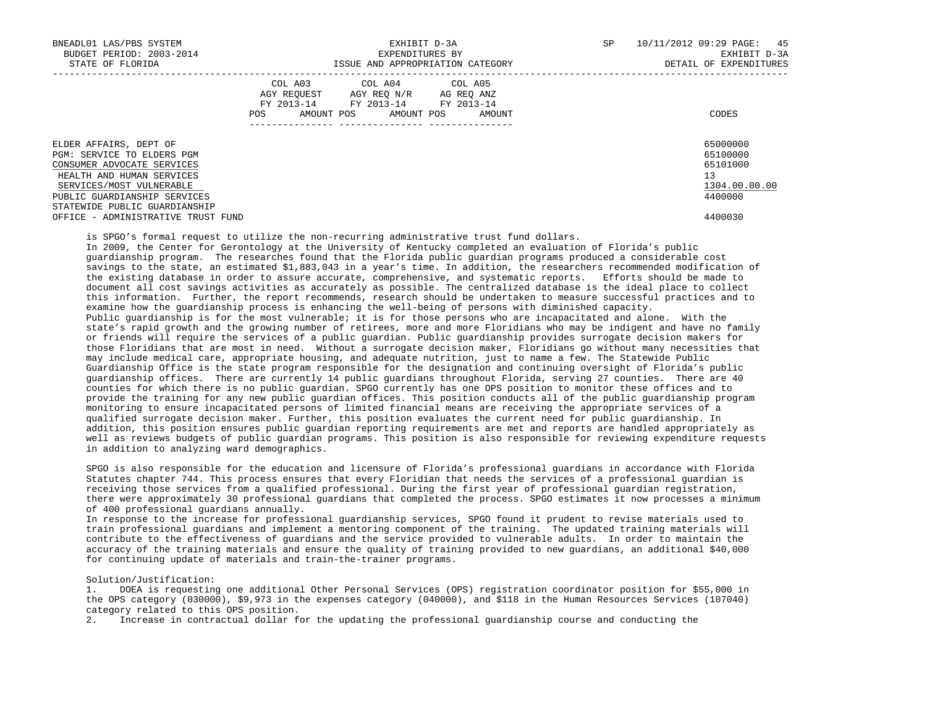| BNEADL01 LAS/PBS SYSTEM<br>BUDGET PERIOD: 2003-2014<br>STATE OF FLORIDA                                                                                                                                      | EXHIBIT D-3A<br>EXPENDITURES BY<br>ISSUE AND APPROPRIATION CATEGORY                                                                            | SP<br>10/11/2012 09:29 PAGE: 45<br>EXHIBIT D-3A<br>DETAIL OF EXPENDITURES |
|--------------------------------------------------------------------------------------------------------------------------------------------------------------------------------------------------------------|------------------------------------------------------------------------------------------------------------------------------------------------|---------------------------------------------------------------------------|
|                                                                                                                                                                                                              | COL A03 COL A04 COL A05<br>AGY REQUEST AGY REQ N/R AG REQ ANZ<br>FY 2013-14 FY 2013-14 FY 2013-14<br>POS DO<br>AMOUNT POS AMOUNT POS<br>AMOUNT | CODES                                                                     |
| ELDER AFFAIRS, DEPT OF<br>PGM: SERVICE TO ELDERS PGM<br>CONSUMER ADVOCATE SERVICES<br>HEALTH AND HUMAN SERVICES<br>SERVICES/MOST VULNERABLE<br>PUBLIC GUARDIANSHIP SERVICES<br>STATEWIDE PUBLIC GUARDIANSHIP |                                                                                                                                                | 65000000<br>65100000<br>65101000<br>13<br>1304.00.00.00<br>4400000        |
| OFFICE - ADMINISTRATIVE TRUST FUND                                                                                                                                                                           |                                                                                                                                                | 4400030                                                                   |

is SPGO's formal request to utilize the non-recurring administrative trust fund dollars.

 In 2009, the Center for Gerontology at the University of Kentucky completed an evaluation of Florida's public guardianship program. The researches found that the Florida public guardian programs produced a considerable cost savings to the state, an estimated \$1,883,043 in a year's time. In addition, the researchers recommended modification of the existing database in order to assure accurate, comprehensive, and systematic reports. Efforts should be made to document all cost savings activities as accurately as possible. The centralized database is the ideal place to collect this information. Further, the report recommends, research should be undertaken to measure successful practices and to examine how the guardianship process is enhancing the well-being of persons with diminished capacity. Public guardianship is for the most vulnerable; it is for those persons who are incapacitated and alone. With the state's rapid growth and the growing number of retirees, more and more Floridians who may be indigent and have no family or friends will require the services of a public guardian. Public guardianship provides surrogate decision makers for those Floridians that are most in need. Without a surrogate decision maker, Floridians go without many necessities that may include medical care, appropriate housing, and adequate nutrition, just to name a few. The Statewide Public Guardianship Office is the state program responsible for the designation and continuing oversight of Florida's public guardianship offices. There are currently 14 public guardians throughout Florida, serving 27 counties. There are 40 counties for which there is no public guardian. SPGO currently has one OPS position to monitor these offices and to provide the training for any new public guardian offices. This position conducts all of the public guardianship program monitoring to ensure incapacitated persons of limited financial means are receiving the appropriate services of a qualified surrogate decision maker. Further, this position evaluates the current need for public guardianship. In addition, this position ensures public guardian reporting requirements are met and reports are handled appropriately as well as reviews budgets of public guardian programs. This position is also responsible for reviewing expenditure requests in addition to analyzing ward demographics.

 SPGO is also responsible for the education and licensure of Florida's professional guardians in accordance with Florida Statutes chapter 744. This process ensures that every Floridian that needs the services of a professional guardian is receiving those services from a qualified professional. During the first year of professional guardian registration, there were approximately 30 professional guardians that completed the process. SPGO estimates it now processes a minimum of 400 professional guardians annually.

 In response to the increase for professional guardianship services, SPGO found it prudent to revise materials used to train professional guardians and implement a mentoring component of the training. The updated training materials will contribute to the effectiveness of guardians and the service provided to vulnerable adults. In order to maintain the accuracy of the training materials and ensure the quality of training provided to new guardians, an additional \$40,000 for continuing update of materials and train-the-trainer programs.

## Solution/Justification:

 1. DOEA is requesting one additional Other Personal Services (OPS) registration coordinator position for \$55,000 in the OPS category (030000), \$9,973 in the expenses category (040000), and \$118 in the Human Resources Services (107040) category related to this OPS position.

2. Increase in contractual dollar for the updating the professional guardianship course and conducting the